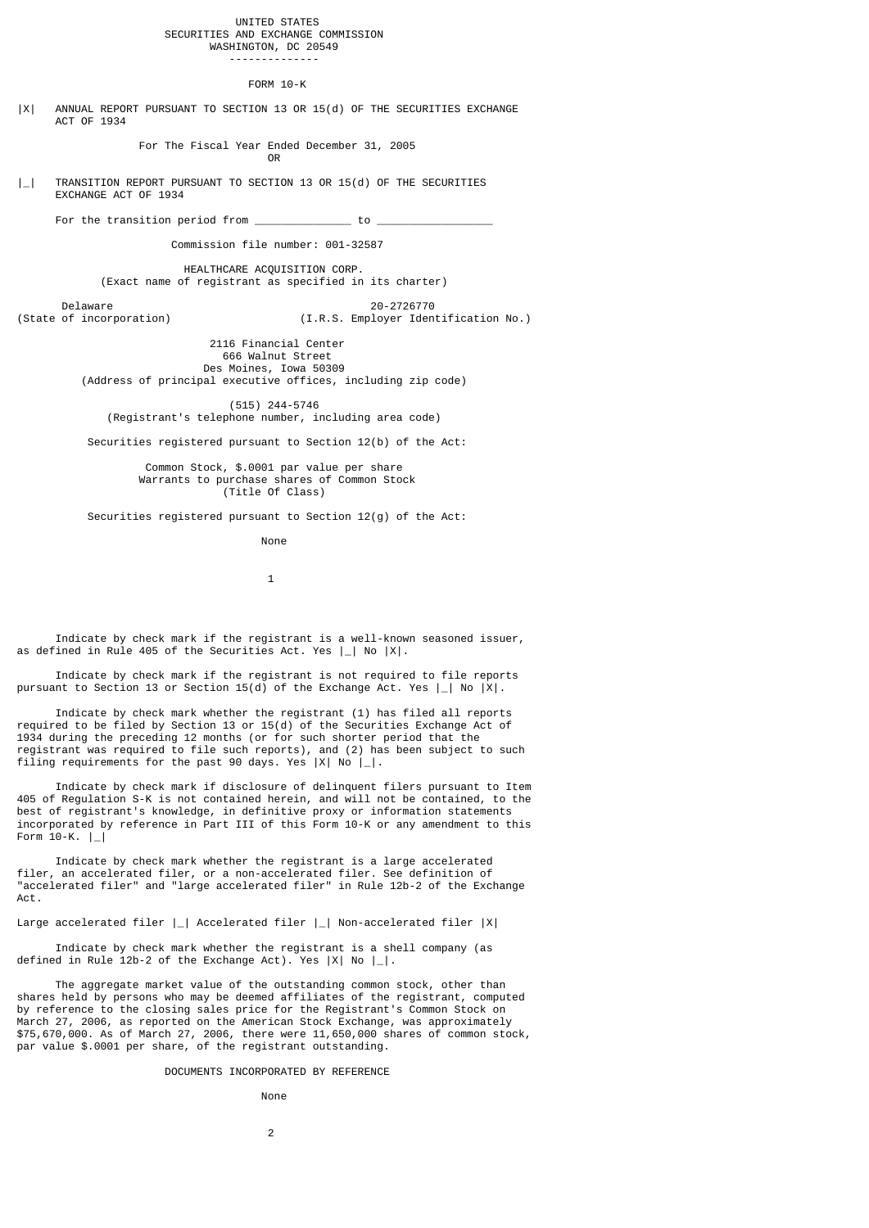### UNITED STATES SECURITIES AND EXCHANGE COMMISSION WASHINGTON, DC 20549

--------------

#### FORM 10-K

|X| ANNUAL REPORT PURSUANT TO SECTION 13 OR 15(d) OF THE SECURITIES EXCHANGE ACT OF 1934

For The Fiscal Year Ended December 31, 2005

|\_| TRANSITION REPORT PURSUANT TO SECTION 13 OR 15(d) OF THE SECURITIES EXCHANGE ACT OF 1934

For the transition period from \_\_\_\_\_\_\_\_\_\_\_\_\_\_\_\_\_ to \_

Commission file number: 001-32587

 HEALTHCARE ACQUISITION CORP. (Exact name of registrant as specified in its charter)

**OR** Service of the state of the state of the state of the state of the state of the state of the state of the state of the state of the state of the state of the state of the state of the state of the state of the state o

Delaware 20-2726770<br>(State of incorporation) (I.R.S. Employer Iden) (I.R.S. Employer Identification No.)

> 2116 Financial Center 666 Walnut Street Des Moines, Iowa 50309 (Address of principal executive offices, including zip code)

 (515) 244-5746 (Registrant's telephone number, including area code)

Securities registered pursuant to Section 12(b) of the Act:

 Common Stock, \$.0001 par value per share Warrants to purchase shares of Common Stock (Title Of Class)

Securities registered pursuant to Section 12(g) of the Act:

**None None None** 

1

 Indicate by check mark if the registrant is a well-known seasoned issuer, as defined in Rule 405 of the Securities Act. Yes |\_| No |X|.

 Indicate by check mark if the registrant is not required to file reports pursuant to Section 13 or Section 15(d) of the Exchange Act. Yes  $|$  | No |X|.

 Indicate by check mark whether the registrant (1) has filed all reports required to be filed by Section 13 or 15(d) of the Securities Exchange Act of 1934 during the preceding 12 months (or for such shorter period that the registrant was required to file such reports), and (2) has been subject to such filing requirements for the past 90 days. Yes |X| No |\_|.

 Indicate by check mark if disclosure of delinquent filers pursuant to Item 405 of Regulation S-K is not contained herein, and will not be contained, to the best of registrant's knowledge, in definitive proxy or information statements incorporated by reference in Part III of this Form 10-K or any amendment to this Form  $10-K.$   $|$ 

 Indicate by check mark whether the registrant is a large accelerated filer, an accelerated filer, or a non-accelerated filer. See definition of "accelerated filer" and "large accelerated filer" in Rule 12b-2 of the Exchange Act.

Large accelerated filer | | Accelerated filer | | Non-accelerated filer |X|

 Indicate by check mark whether the registrant is a shell company (as defined in Rule 12b-2 of the Exchange Act). Yes  $|X|$  No  $|$ <sub>-</sub> $|$ .

 The aggregate market value of the outstanding common stock, other than shares held by persons who may be deemed affiliates of the registrant, computed by reference to the closing sales price for the Registrant's Common Stock on March 27, 2006, as reported on the American Stock Exchange, was approximately \$75,670,000. As of March 27, 2006, there were 11,650,000 shares of common stock, par value \$.0001 per share, of the registrant outstanding.

### DOCUMENTS INCORPORATED BY REFERENCE

#### **None None None**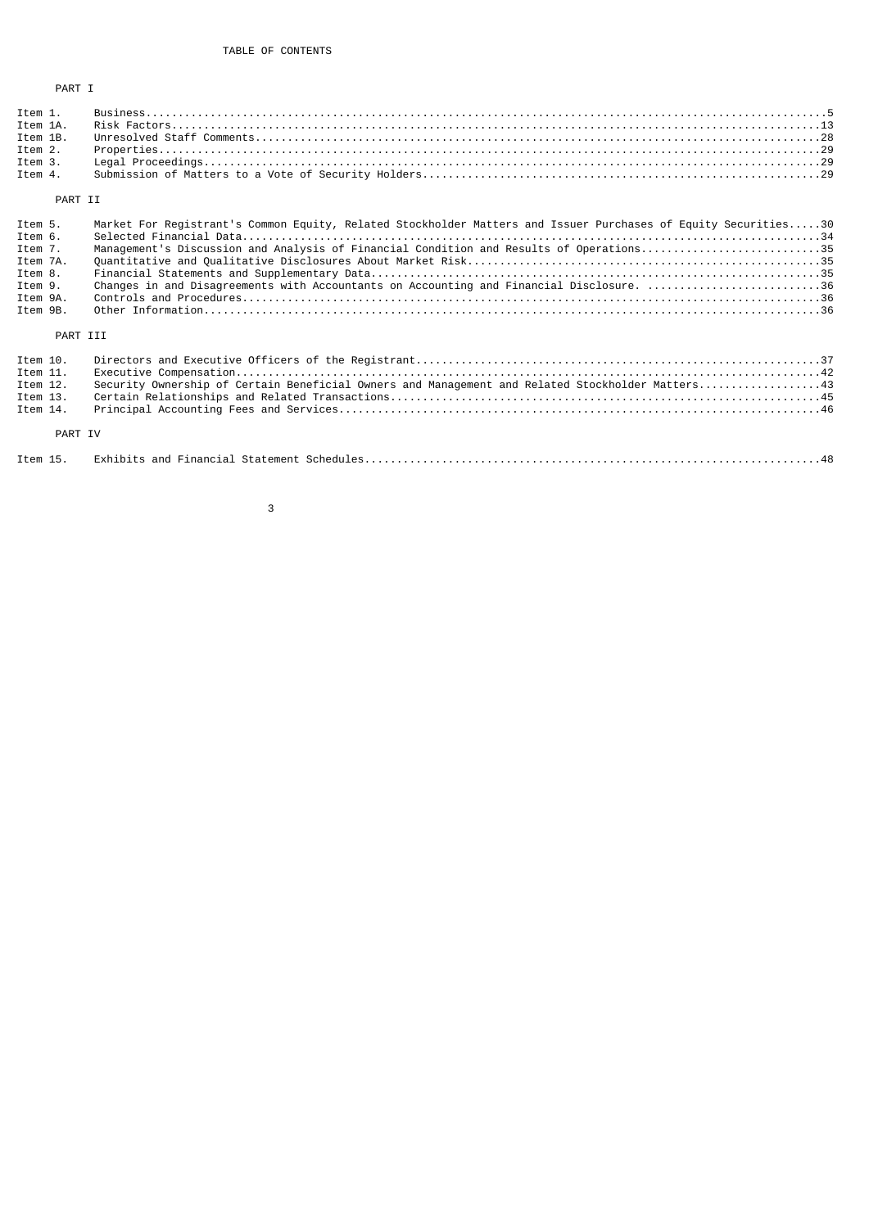PART I

| Item 1.<br>Item 1A.<br>Item 1B.<br>Item 2.<br>Item 3.<br>Item 4.                        |          |                                                                                                                                                                                                                                                                                                       |
|-----------------------------------------------------------------------------------------|----------|-------------------------------------------------------------------------------------------------------------------------------------------------------------------------------------------------------------------------------------------------------------------------------------------------------|
|                                                                                         | PART II  |                                                                                                                                                                                                                                                                                                       |
| Item 5.<br>Item 6.<br>Item 7.<br>Item 7A.<br>Item 8.<br>Item 9.<br>Item 9A.<br>Item 9B. |          | Market For Registrant's Common Equity, Related Stockholder Matters and Issuer Purchases of Equity Securities30<br>Management's Discussion and Analysis of Financial Condition and Results of Operations35<br>Changes in and Disagreements with Accountants on Accounting and Financial Disclosure. 36 |
|                                                                                         | PART III |                                                                                                                                                                                                                                                                                                       |
| Item 10.<br>Item 11.<br>Item 12.<br>Item 13.<br>Item 14.                                | PART IV  | Security Ownership of Certain Beneficial Owners and Management and Related Stockholder Matters43                                                                                                                                                                                                      |
| Item 15.                                                                                |          |                                                                                                                                                                                                                                                                                                       |

 $\sim$  3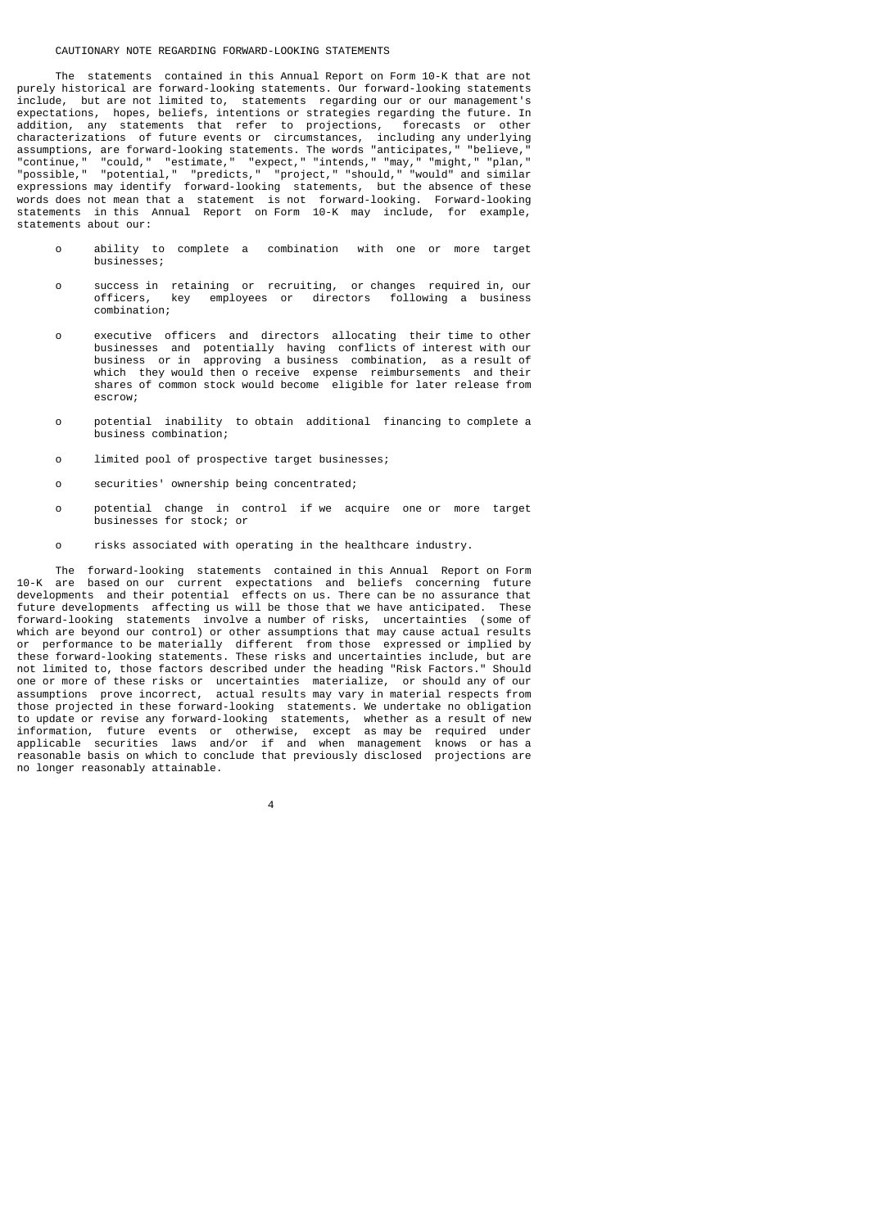### CAUTIONARY NOTE REGARDING FORWARD-LOOKING STATEMENTS

 The statements contained in this Annual Report on Form 10-K that are not purely historical are forward-looking statements. Our forward-looking statements include, but are not limited to, statements regarding our or our management's expectations, hopes, beliefs, intentions or strategies regarding the future. In addition, any statements that refer to projections, forecasts or other characterizations of future events or circumstances, including any underlying assumptions, are forward-looking statements. The words "anticipates," "believe," "continue," "could," "estimate," "expect," "intends," "may," "might," "plan," "possible," "potential," "predicts," "project," "should," "would" and similar expressions may identify forward-looking statements, but the absence of these words does not mean that a statement is not forward-looking. Forward-looking statements in this Annual Report on Form 10-K may include, for example, statements about our:

- o ability to complete a combination with one or more target businesses;
- o success in retaining or recruiting, or changes required in, our key employees or directors following a business combination;
- o executive officers and directors allocating their time to other businesses and potentially having conflicts of interest with our business or in approving a business combination, as a result of which they would then o receive expense reimbursements and their shares of common stock would become eligible for later release from escrow;
- o potential inability to obtain additional financing to complete a business combination;
- o limited pool of prospective target businesses;
- o securities' ownership being concentrated;

4

- o potential change in control if we acquire one or more target businesses for stock; or
- o risks associated with operating in the healthcare industry.

 The forward-looking statements contained in this Annual Report on Form 10-K are based on our current expectations and beliefs concerning future developments and their potential effects on us. There can be no assurance that future developments affecting us will be those that we have anticipated. These forward-looking statements involve a number of risks, uncertainties (some of which are beyond our control) or other assumptions that may cause actual results or performance to be materially different from those expressed or implied by these forward-looking statements. These risks and uncertainties include, but are not limited to, those factors described under the heading "Risk Factors." Should one or more of these risks or uncertainties materialize, or should any of our assumptions prove incorrect, actual results may vary in material respects from those projected in these forward-looking statements. We undertake no obligation to update or revise any forward-looking statements, whether as a result of new information, future events or otherwise, except as may be required under applicable securities laws and/or if and when management knows or has a reasonable basis on which to conclude that previously disclosed projections are no longer reasonably attainable.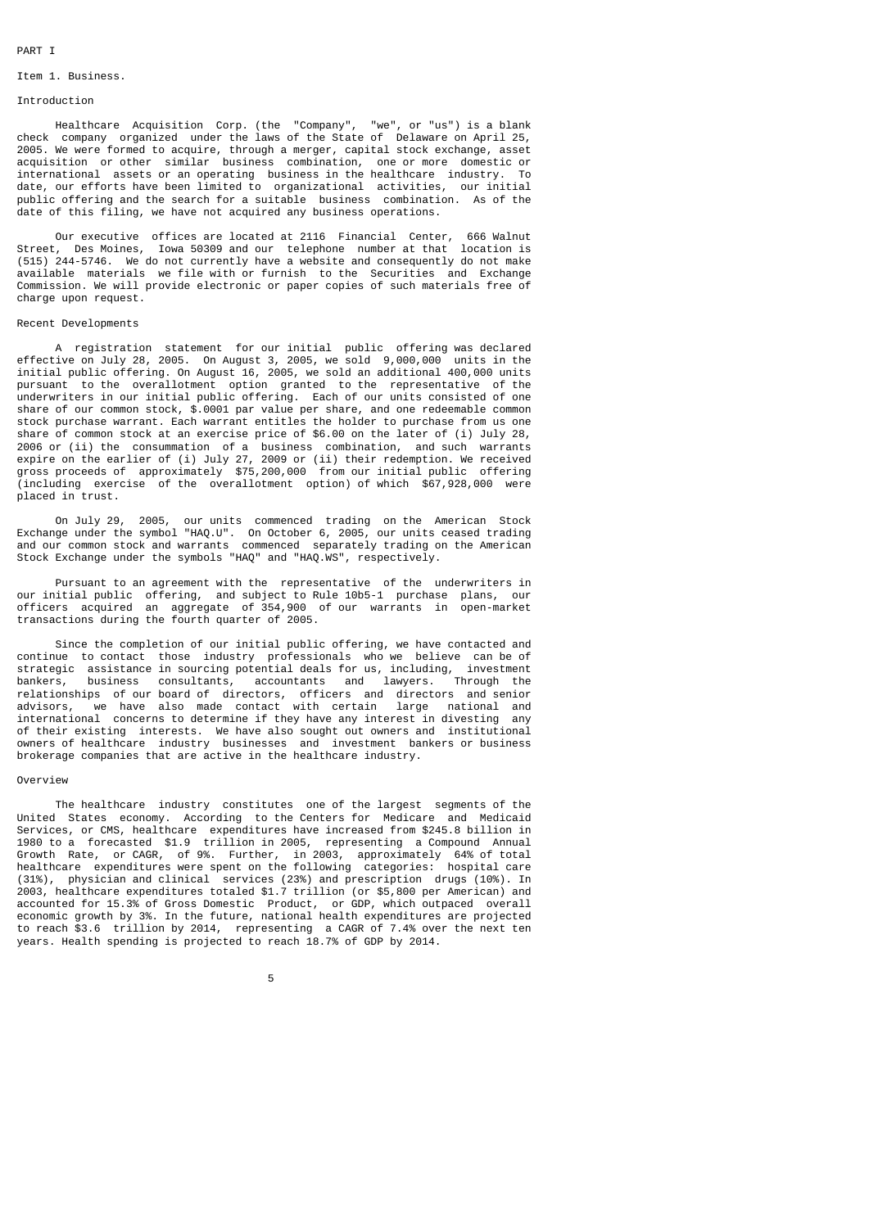### PART I

### Item 1. Business.

### Introduction

 Healthcare Acquisition Corp. (the "Company", "we", or "us") is a blank check company organized under the laws of the State of Delaware on April 25, 2005. We were formed to acquire, through a merger, capital stock exchange, asset acquisition or other similar business combination, one or more domestic or international assets or an operating business in the healthcare industry. To date, our efforts have been limited to organizational activities, our initial public offering and the search for a suitable business combination. As of the date of this filing, we have not acquired any business operations.

 Our executive offices are located at 2116 Financial Center, 666 Walnut Street, Des Moines, Iowa 50309 and our telephone number at that location is (515) 244-5746. We do not currently have a website and consequently do not make available materials we file with or furnish to the Securities and Exchange Commission. We will provide electronic or paper copies of such materials free of charge upon request.

#### Recent Developments

 A registration statement for our initial public offering was declared effective on July 28, 2005. On August 3, 2005, we sold 9,000,000 units in the initial public offering. On August 16, 2005, we sold an additional 400,000 units pursuant to the overallotment option granted to the representative of the underwriters in our initial public offering. Each of our units consisted of one share of our common stock, \$.0001 par value per share, and one redeemable common stock purchase warrant. Each warrant entitles the holder to purchase from us one share of common stock at an exercise price of \$6.00 on the later of (i) July 28, 2006 or (ii) the consummation of a business combination, and such warrants expire on the earlier of (i) July 27, 2009 or (ii) their redemption. We received gross proceeds of approximately \$75,200,000 from our initial public offering (including exercise of the overallotment option) of which \$67,928,000 were placed in trust.

 On July 29, 2005, our units commenced trading on the American Stock Exchange under the symbol "HAQ.U". On October 6, 2005, our units ceased trading and our common stock and warrants commenced separately trading on the American Stock Exchange under the symbols "HAQ" and "HAQ.WS", respectively.

 Pursuant to an agreement with the representative of the underwriters in our initial public offering, and subject to Rule 10b5-1 purchase plans, our officers acquired an aggregate of 354,900 of our warrants in open-market transactions during the fourth quarter of 2005.

 Since the completion of our initial public offering, we have contacted and continue to contact those industry professionals who we believe can be of strategic assistance in sourcing potential deals for us, including, investment bankers, business consultants, accountants and lawyers. Through the relationships of our board of directors, officers and directors and senior advisors, we have also made contact with certain large national and international concerns to determine if they have any interest in divesting any of their existing interests. We have also sought out owners and institutional owners of healthcare industry businesses and investment bankers or business brokerage companies that are active in the healthcare industry.

### Overview

 The healthcare industry constitutes one of the largest segments of the United States economy. According to the Centers for Medicare and Medicaid Services, or CMS, healthcare expenditures have increased from \$245.8 billion in 1980 to a forecasted \$1.9 trillion in 2005, representing a Compound Annual Growth Rate, or CAGR, of 9%. Further, in 2003, approximately 64% of total healthcare expenditures were spent on the following categories: hospital care (31%), physician and clinical services (23%) and prescription drugs (10%). In 2003, healthcare expenditures totaled \$1.7 trillion (or \$5,800 per American) and accounted for 15.3% of Gross Domestic Product, or GDP, which outpaced overall economic growth by 3%. In the future, national health expenditures are projected to reach \$3.6 trillion by 2014, representing a CAGR of 7.4% over the next ten years. Health spending is projected to reach 18.7% of GDP by 2014.

the contract of the contract of the contract of the contract of the contract of the contract of the contract o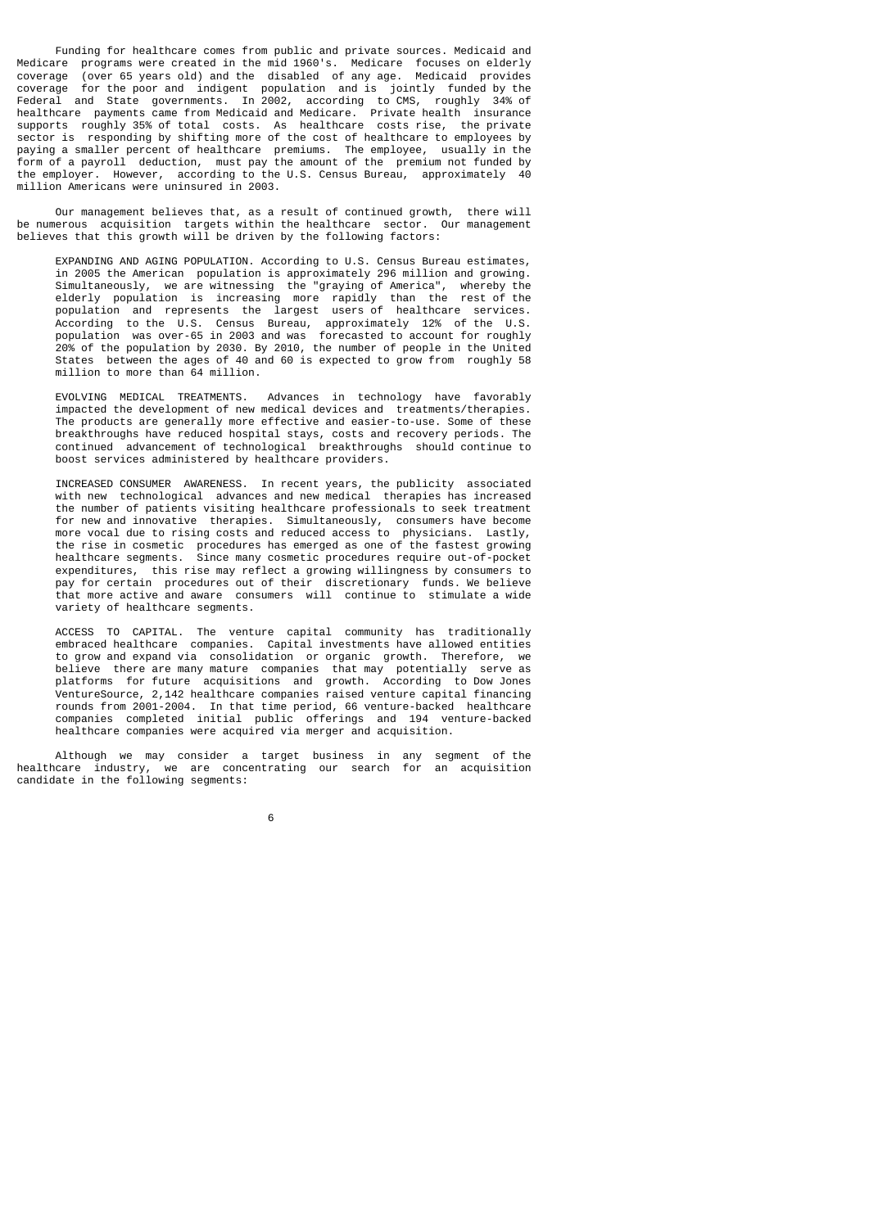Funding for healthcare comes from public and private sources. Medicaid and Medicare programs were created in the mid 1960's. Medicare focuses on elderly coverage (over 65 years old) and the disabled of any age. Medicaid provides coverage for the poor and indigent population and is jointly funded by the Federal and State governments. In 2002, according to CMS, roughly 34% of healthcare payments came from Medicaid and Medicare. Private health insurance supports roughly 35% of total costs. As healthcare costs rise, the private sector is responding by shifting more of the cost of healthcare to employees by paying a smaller percent of healthcare premiums. The employee, usually in the form of a payroll deduction, must pay the amount of the premium not funded by the employer. However, according to the U.S. Census Bureau, approximately 40 million Americans were uninsured in 2003.

 Our management believes that, as a result of continued growth, there will be numerous acquisition targets within the healthcare sector. Our management believes that this growth will be driven by the following factors:

 EXPANDING AND AGING POPULATION. According to U.S. Census Bureau estimates, in 2005 the American population is approximately 296 million and growing. Simultaneously, we are witnessing the "graying of America", whereby the elderly population is increasing more rapidly than the rest of the population and represents the largest users of healthcare services. According to the U.S. Census Bureau, approximately 12% of the U.S. population was over-65 in 2003 and was forecasted to account for roughly 20% of the population by 2030. By 2010, the number of people in the United States between the ages of 40 and 60 is expected to grow from roughly 58 million to more than 64 million.

 EVOLVING MEDICAL TREATMENTS. Advances in technology have favorably impacted the development of new medical devices and treatments/therapies. The products are generally more effective and easier-to-use. Some of these breakthroughs have reduced hospital stays, costs and recovery periods. The continued advancement of technological breakthroughs should continue to boost services administered by healthcare providers.

 INCREASED CONSUMER AWARENESS. In recent years, the publicity associated with new technological advances and new medical therapies has increased the number of patients visiting healthcare professionals to seek treatment the number of patients visiting healthcare professionals to seek treatment for new and innovative therapies. Simultaneously, consumers have become more vocal due to rising costs and reduced access to physicians. Lastly, the rise in cosmetic procedures has emerged as one of the fastest growing healthcare segments. Since many cosmetic procedures require out-of-pocket expenditures, this rise may reflect a growing willingness by consumers to pay for certain procedures out of their discretionary funds. We believe that more active and aware consumers will continue to stimulate a wide variety of healthcare segments.

 ACCESS TO CAPITAL. The venture capital community has traditionally embraced healthcare companies. Capital investments have allowed entities to grow and expand via consolidation or organic growth. Therefore, we believe there are many mature companies that may potentially serve as platforms for future acquisitions and growth. According to Dow Jones VentureSource, 2,142 healthcare companies raised venture capital financing rounds from 2001-2004. In that time period, 66 venture-backed healthcare companies completed initial public offerings and 194 venture-backed healthcare companies were acquired via merger and acquisition.

 Although we may consider a target business in any segment of the healthcare industry, we are concentrating our search for an acquisition candidate in the following segments:

 $\sim$  6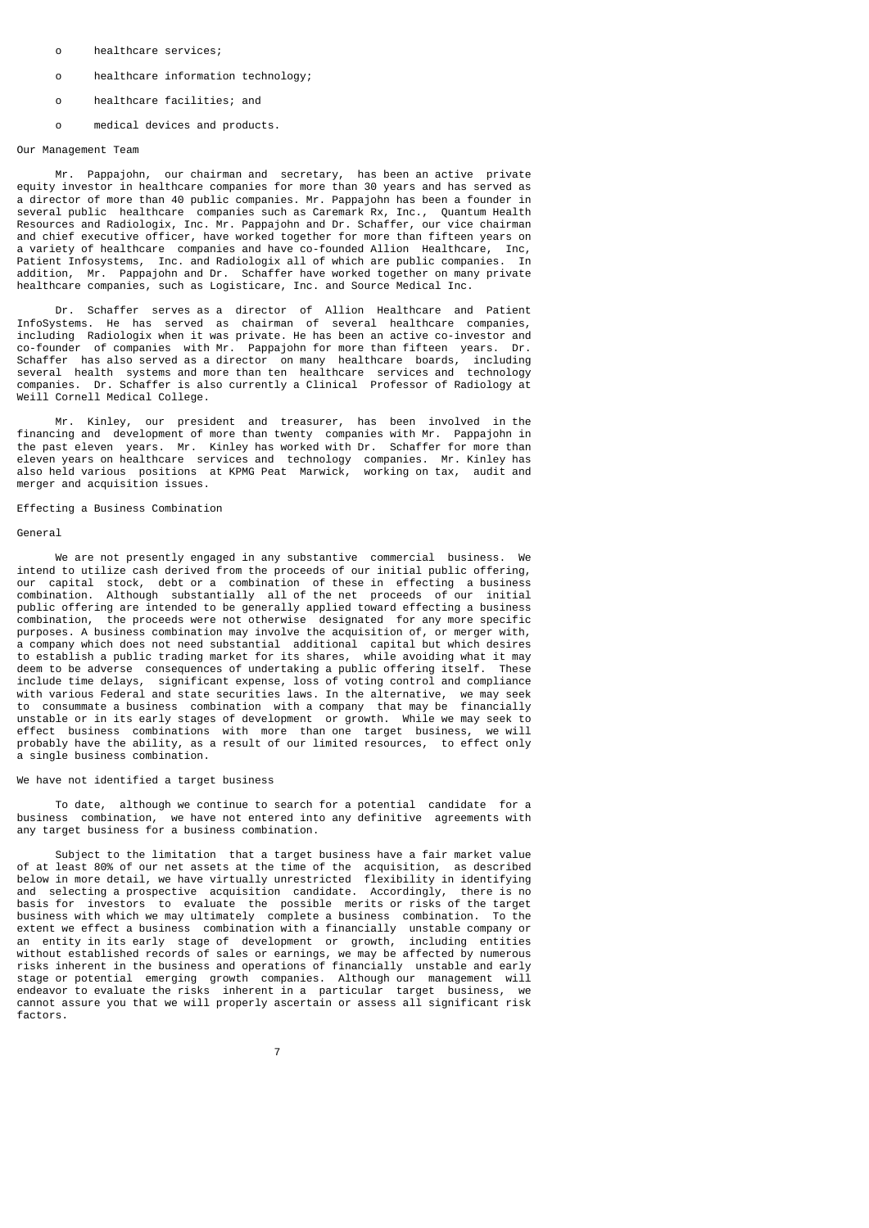- o healthcare services;
- o healthcare information technology;
- o healthcare facilities; and
- o medical devices and products.

# Our Management Team

 Mr. Pappajohn, our chairman and secretary, has been an active private equity investor in healthcare companies for more than 30 years and has served as a director of more than 40 public companies. Mr. Pappajohn has been a founder in several public healthcare companies such as Caremark Rx, Inc., Quantum Health Resources and Radiologix, Inc. Mr. Pappajohn and Dr. Schaffer, our vice chairman and chief executive officer, have worked together for more than fifteen years on a variety of healthcare companies and have co-founded Allion Healthcare, Inc, Patient Infosystems, Inc. and Radiologix all of which are public companies. In addition, Mr. Pappajohn and Dr. Schaffer have worked together on many private healthcare companies, such as Logisticare, Inc. and Source Medical Inc.

 Dr. Schaffer serves as a director of Allion Healthcare and Patient InfoSystems. He has served as chairman of several healthcare companies, including Radiologix when it was private. He has been an active co-investor and co-founder of companies with Mr. Pappajohn for more than fifteen years. Dr. Schaffer has also served as a director on many healthcare boards, including several health systems and more than ten healthcare services and technology companies. Dr. Schaffer is also currently a Clinical Professor of Radiology at Weill Cornell Medical College.

 Mr. Kinley, our president and treasurer, has been involved in the financing and development of more than twenty companies with Mr. Pappajohn in the past eleven years. Mr. Kinley has worked with Dr. Schaffer for more than eleven years on healthcare services and technology companies. Mr. Kinley has also held various positions at KPMG Peat Marwick, working on tax, audit and merger and acquisition issues.

## Effecting a Business Combination

## General

 We are not presently engaged in any substantive commercial business. We intend to utilize cash derived from the proceeds of our initial public offering, our capital stock, debt or a combination of these in effecting a business combination. Although substantially all of the net proceeds of our initial public offering are intended to be generally applied toward effecting a business combination, the proceeds were not otherwise designated for any more specific purposes. A business combination may involve the acquisition of, or merger with, a company which does not need substantial additional capital but which desires to establish a public trading market for its shares, while avoiding what it may deem to be adverse consequences of undertaking a public offering itself. These include time delays, significant expense, loss of voting control and compliance with various Federal and state securities laws. In the alternative, we may seek to consummate a business combination with a company that may be financially unstable or in its early stages of development or growth. While we may seek to effect business combinations with more than one target business, we will probably have the ability, as a result of our limited resources, to effect only a single business combination.

### We have not identified a target business

 To date, although we continue to search for a potential candidate for a business combination, we have not entered into any definitive agreements with any target business for a business combination.

 Subject to the limitation that a target business have a fair market value of at least 80% of our net assets at the time of the acquisition, as described below in more detail, we have virtually unrestricted flexibility in identifying and selecting a prospective acquisition candidate. Accordingly, there is no basis for investors to evaluate the possible merits or risks of the target business with which we may ultimately complete a business combination. To the extent we effect a business combination with a financially unstable company or<br>an entity in its early stage of development or growth, including entities an entity in its early stage of development or growth, without established records of sales or earnings, we may be affected by numerous risks inherent in the business and operations of financially unstable and early stage or potential emerging growth companies. Although our management will endeavor to evaluate the risks inherent in a particular target business, we cannot assure you that we will properly ascertain or assess all significant risk factors.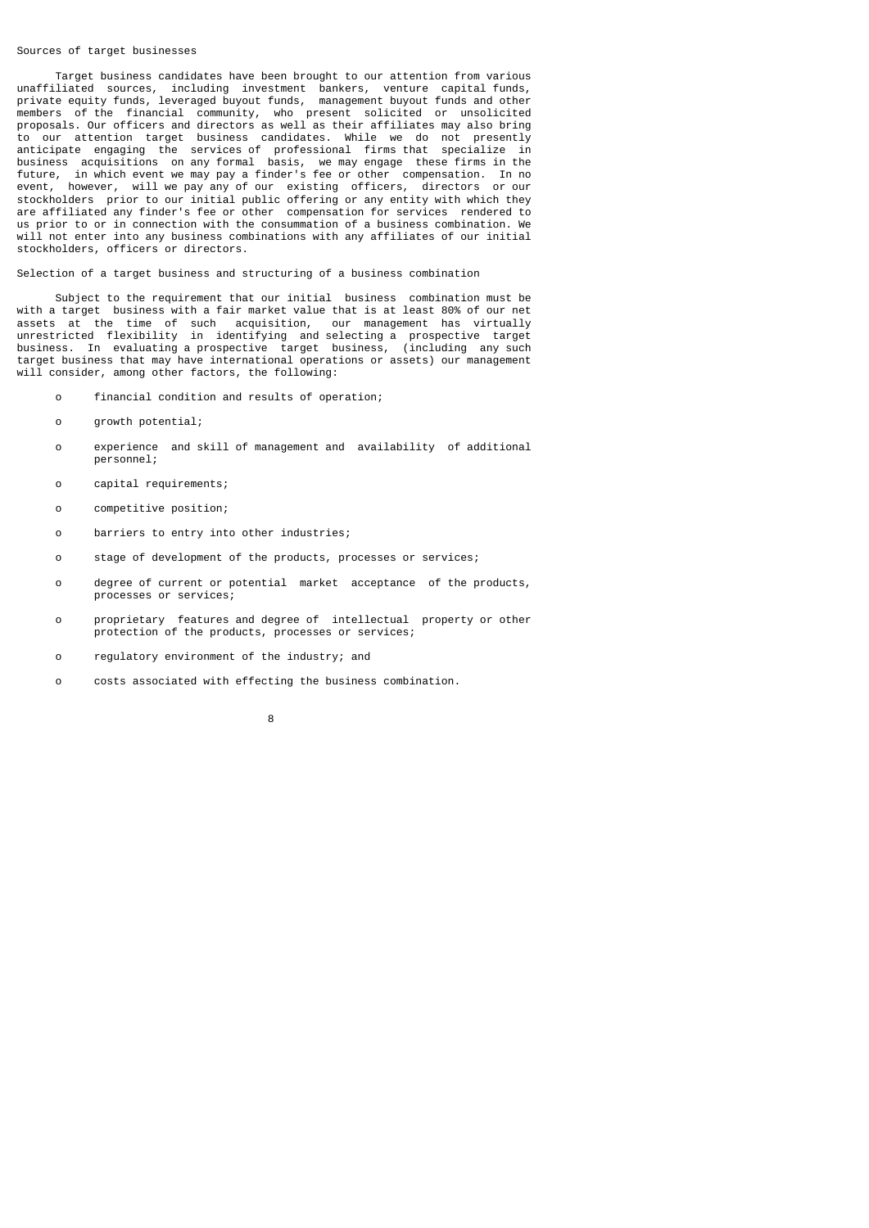#### Sources of target businesses

 Target business candidates have been brought to our attention from various unaffiliated sources, including investment bankers, venture capital funds, private equity funds, leveraged buyout funds, management buyout funds and other members of the financial community, who present solicited or unsolicited proposals. Our officers and directors as well as their affiliates may also bring to our attention target business candidates. While we do not presently anticipate engaging the services of professional firms that specialize in business acquisitions on any formal basis, we may engage these firms in the future, in which event we may pay a finder's fee or other compensation. In no event...<br>
future, in which event we may pay a finder's ree or other components...<br>
event, however, will we pay any of our existing officers, directors or our stockholders prior to our initial public offering or any entity with which they are affiliated any finder's fee or other compensation for services rendered to us prior to or in connection with the consummation of a business combination. We will not enter into any business combinations with any affiliates of our initial stockholders, officers or directors.

Selection of a target business and structuring of a business combination

 Subject to the requirement that our initial business combination must be with a target business with a fair market value that is at least 80% of our net assets at the time of such acquisition, our management has virtually unrestricted flexibility in identifying and selecting a prospective target business. In evaluating a prospective target business, (including any such target business that may have international operations or assets) our management will consider, among other factors, the following:

- o financial condition and results of operation;
- o growth potential;
- o experience and skill of management and availability of additional personnel;
- o capital requirements;
- o competitive position;
- o barriers to entry into other industries;
- o stage of development of the products, processes or services;
- o degree of current or potential market acceptance of the products, processes or services;
- o proprietary features and degree of intellectual property or other protection of the products, processes or services;
- o regulatory environment of the industry; and
- o costs associated with effecting the business combination.

e a construction de la construction de la construction de la construction de la construction de la constructio<br>En 1980, en 1980, en 1980, en 1980, en 1980, en 1980, en 1980, en 1980, en 1980, en 1980, en 1980, en 1980, en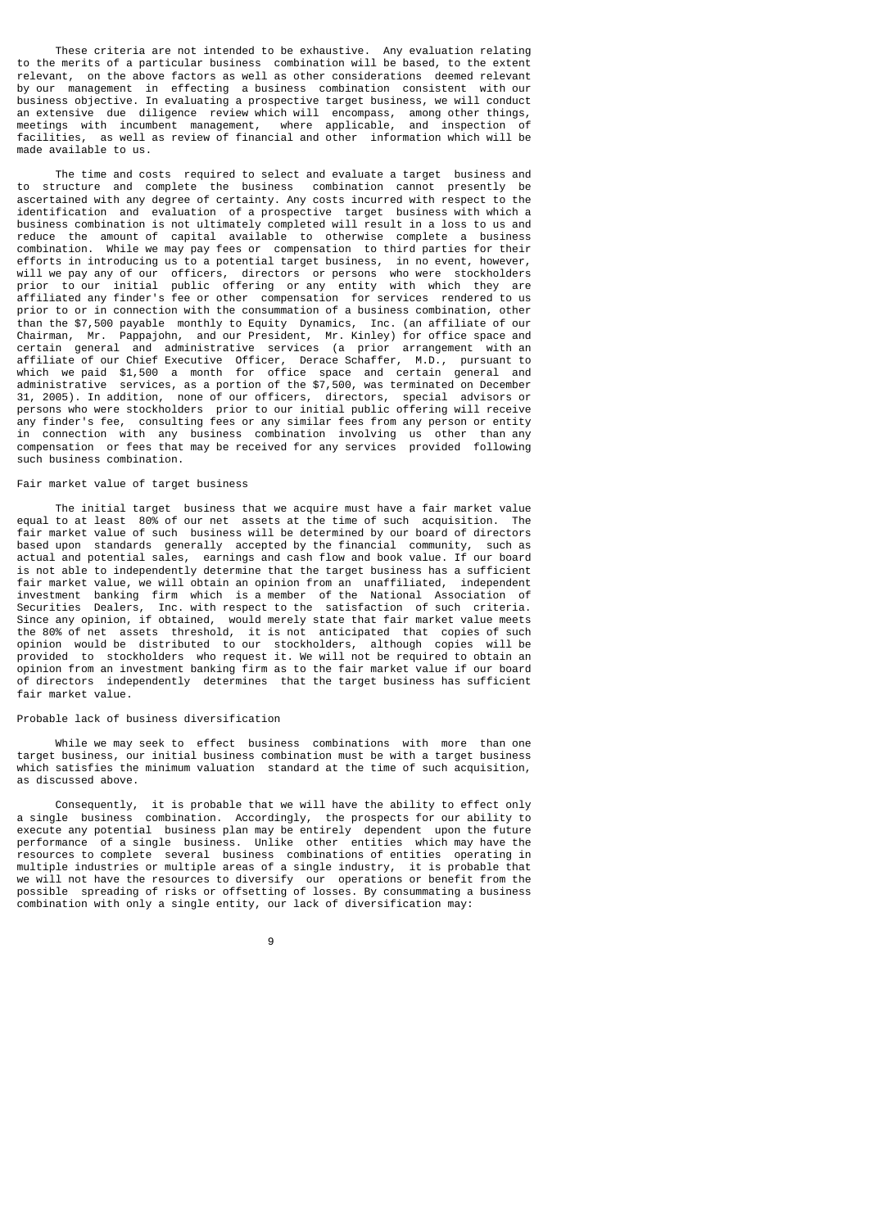These criteria are not intended to be exhaustive. Any evaluation relating to the merits of a particular business combination will be based, to the extent relevant, on the above factors as well as other considerations deemed relevant by our management in effecting a business combination consistent with our business objective. In evaluating a prospective target business, we will conduct an extensive due diligence review which will encompass, among other things, meetings with incumbent management, where applicable, and inspection of facilities, as well as review of financial and other information which will be made available to us.

 The time and costs required to select and evaluate a target business and to structure and complete the business combination cannot presently be ascertained with any degree of certainty. Any costs incurred with respect to the identification and evaluation of a prospective target business with which a business combination is not ultimately completed will result in a loss to us and reduce the amount of capital available to otherwise complete a business combination. While we may pay fees or compensation to third parties for their efforts in introducing us to a potential target business, in no event, however, will we pay any of our officers, directors or persons who were stockholders prior to our initial public offering or any entity with which they are affiliated any finder's fee or other compensation for services rendered to us prior to or in connection with the consummation of a business combination, other than the \$7,500 payable monthly to Equity Dynamics, Inc. (an affiliate of our Chairman, Mr. Pappajohn, and our President, Mr. Kinley) for office space and certain general and administrative services (a prior arrangement with an affiliate of our Chief Executive Officer, Derace Schaffer, M.D., pursuant to which we paid \$1,500 a month for office space and certain general and administrative services, as a portion of the \$7.500, was terminated on December services, as a portion of the  $\overline{\$7,500}$ , was terminated on December 31, 2005). In addition, none of our officers, directors, special advisors or persons who were stockholders prior to our initial public offering will receive any finder's fee, consulting fees or any similar fees from any person or entity in connection with any business combination involving us other than any compensation or fees that may be received for any services provided following such business combination.

## Fair market value of target business

 The initial target business that we acquire must have a fair market value equal to at least 80% of our net assets at the time of such acquisition. The fair market value of such business will be determined by our board of directors based upon standards generally accepted by the financial community, such as actual and potential sales, earnings and cash flow and book value. If our board is not able to independently determine that the target business has a sufficient fair market value, we will obtain an opinion from an unaffiliated, independent investment banking firm which is a member of the National Association of Securities Dealers, Inc. with respect to the satisfaction of such criteria. Since any opinion, if obtained, would merely state that fair market value meets the 80% of net assets threshold, it is not anticipated that copies of such opinion would be distributed to our stockholders, although copies will be provided to stockholders who request it. We will not be required to obtain an opinion from an investment banking firm as to the fair market value if our board of directors independently determines that the target business has sufficient fair market value.

## Probable lack of business diversification

 While we may seek to effect business combinations with more than one target business, our initial business combination must be with a target business which satisfies the minimum valuation standard at the time of such acquisition, as discussed above.

 Consequently, it is probable that we will have the ability to effect only a single business combination. Accordingly, the prospects for our ability to execute any potential business plan may be entirely dependent upon the future performance of a single business. Unlike other entities which may have the resources to complete several business combinations of entities operating in multiple industries or multiple areas of a single industry, it is probable that we will not have the resources to diversify our operations or benefit from the possible spreading of risks or offsetting of losses. By consummating a business combination with only a single entity, our lack of diversification may: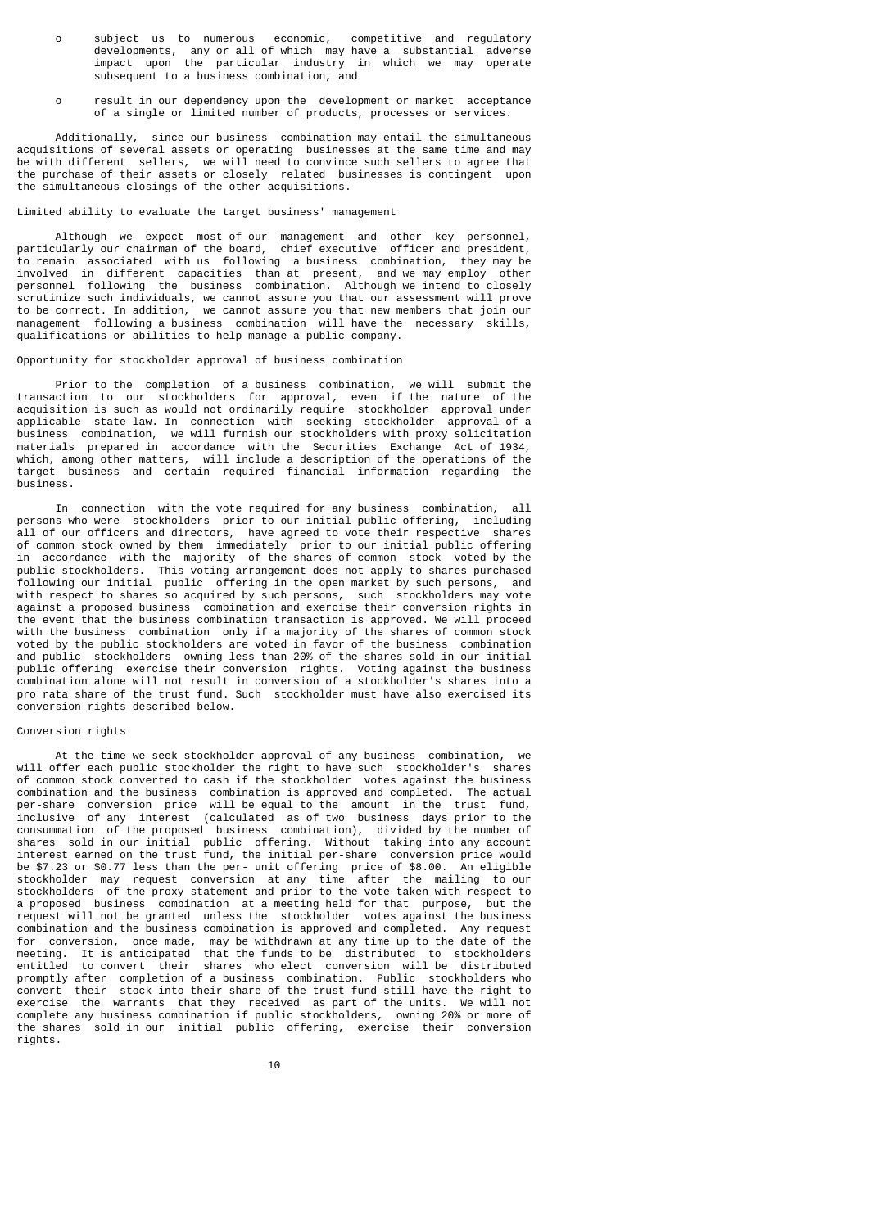- o subject us to numerous economic, competitive and regulatory developments, any or all of which may have a substantial adverse impact upon the particular industry in which we may operate subsequent to a business combination, and
	- o result in our dependency upon the development or market acceptance of a single or limited number of products, processes or services.

 Additionally, since our business combination may entail the simultaneous acquisitions of several assets or operating businesses at the same time and may be with different sellers, we will need to convince such sellers to agree that the purchase of their assets or closely related businesses is contingent upon the simultaneous closings of the other acquisitions.

### Limited ability to evaluate the target business' management

 Although we expect most of our management and other key personnel, particularly our chairman of the board, chief executive officer and president, to remain associated with us following a business combination, they may be involved in different capacities than at present, and we may employ other personnel following the business combination. Although we intend to closely scrutinize such individuals, we cannot assure you that our assessment will prove to be correct. In addition, we cannot assure you that new members that join our management following a business combination will have the necessary skills, qualifications or abilities to help manage a public company.

## Opportunity for stockholder approval of business combination

 Prior to the completion of a business combination, we will submit the transaction to our stockholders for approval, even if the nature of the acquisition is such as would not ordinarily require stockholder approval under applicable state law. In connection with seeking stockholder approval of a business combination, we will furnish our stockholders with proxy solicitation materials prepared in accordance with the Securities Exchange Act of 1934, which, among other matters, will include a description of the operations of the target business and certain required financial information regarding the business.

 In connection with the vote required for any business combination, all persons who were stockholders prior to our initial public offering, including all of our officers and directors, have agreed to vote their respective shares of common stock owned by them immediately prior to our initial public offering in accordance with the majority of the shares of common stock voted by the public stockholders. This voting arrangement does not apply to shares purchased following our initial public offering in the open market by such persons, and with respect to shares so acquired by such persons, such stockholders may vote against a proposed business combination and exercise their conversion rights in the event that the business combination transaction is approved. We will proceed with the business combination only if a majority of the shares of common stock voted by the public stockholders are voted in favor of the business combination and public stockholders owning less than 20% of the shares sold in our initial public offering exercise their conversion rights. Voting against the business combination alone will not result in conversion of a stockholder's shares into a pro rata share of the trust fund. Such stockholder must have also exercised its conversion rights described below.

### Conversion rights

 At the time we seek stockholder approval of any business combination, we will offer each public stockholder the right to have such stockholder's shares of common stock converted to cash if the stockholder votes against the business combination and the business combination is approved and completed. The actual per-share conversion price will be equal to the amount in the trust fund, inclusive of any interest (calculated as of two business days prior to the consummation of the proposed business combination), divided by the number of shares sold in our initial public offering. Without taking into any account interest earned on the trust fund, the initial per-share conversion price would be \$7.23 or \$0.77 less than the per- unit offering price of \$8.00. An eligible stockholder may request conversion at any time after the mailing to our stockholders of the proxy statement and prior to the vote taken with respect to a proposed business combination at a meeting held for that purpose, but the request will not be granted unless the stockholder votes against the business combination and the business combination is approved and completed. Any request for conversion, once made, may be withdrawn at any time up to the date of the meeting. It is anticipated that the funds to be distributed to stockholders entitled to convert their shares who elect conversion will be distributed promptly after completion of a business combination. Public stockholders who convert their stock into their share of the trust fund still have the right to exercise the warrants that they received as part of the units. We will not complete any business combination if public stockholders, owning 20% or more of the shares sold in our initial public offering, exercise their conversion rights.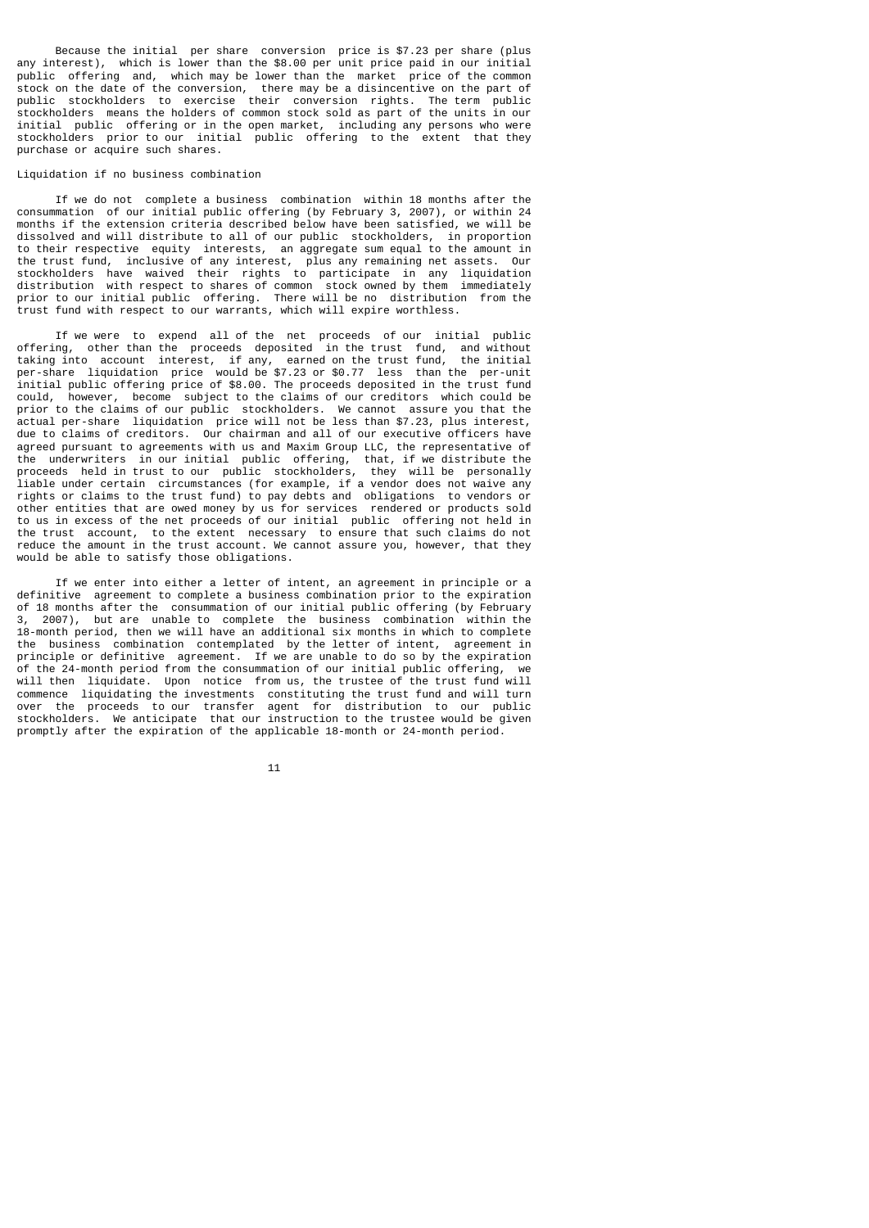Because the initial per share conversion price is \$7.23 per share (plus any interest), which is lower than the \$8.00 per unit price paid in our initial public offering and, which may be lower than the market price of the common stock on the date of the conversion, there may be a disincentive on the part of public stockholders to exercise their conversion rights. The term public stockholders means the holders of common stock sold as part of the units in our initial public offering or in the open market, including any persons who were stockholders prior to our initial public offering to the extent that they purchase or acquire such shares.

### Liquidation if no business combination

 If we do not complete a business combination within 18 months after the consummation of our initial public offering (by February 3, 2007), or within 24 months if the extension criteria described below have been satisfied, we will be dissolved and will distribute to all of our public stockholders, in proportion to their respective equity interests, an aggregate sum equal to the amount in the trust fund, inclusive of any interest, plus any remaining net assets. Our stockholders have waived their rights to participate in any liquidation distribution with respect to shares of common stock owned by them immediately prior to our initial public offering. There will be no distribution from the trust fund with respect to our warrants, which will expire worthless.

 If we were to expend all of the net proceeds of our initial public offering, other than the proceeds deposited in the trust fund, and without taking into account interest, if any, earned on the trust fund, the initial per-share liquidation price would be \$7.23 or \$0.77 less than the per-unit initial public offering price of \$8.00. The proceeds deposited in the trust fund could, however, become subject to the claims of our creditors which could be prior to the claims of our public stockholders. We cannot assure you that the actual per-share liquidation price will not be less than \$7.23, plus interest, due to claims of creditors. Our chairman and all of our executive officers have agreed pursuant to agreements with us and Maxim Group LLC, the representative of the underwriters in our initial public offering, that, if we distribute the proceeds held in trust to our public stockholders, they will be personally liable under certain circumstances (for example, if a vendor does not waive any rights or claims to the trust fund) to pay debts and obligations to vendors or other entities that are owed money by us for services rendered or products sold to us in excess of the net proceeds of our initial public offering not held in the trust account, to the extent necessary to ensure that such claims do not reduce the amount in the trust account. We cannot assure you, however, that they would be able to satisfy those obligations.

 If we enter into either a letter of intent, an agreement in principle or a definitive agreement to complete a business combination prior to the expiration of 18 months after the consummation of our initial public offering (by February 3, 2007), but are unable to complete the business combination within the 18-month period, then we will have an additional six months in which to complete the business combination contemplated by the letter of intent, agreement in principle or definitive agreement. If we are unable to do so by the expiration of the 24-month period from the consummation of our initial public offering, we will then liquidate. Upon notice from us, the trustee of the trust fund will commence liquidating the investments constituting the trust fund and will turn over the proceeds to our transfer agent for distribution to our public stockholders. We anticipate that our instruction to the trustee would be given promptly after the expiration of the applicable 18-month or 24-month period.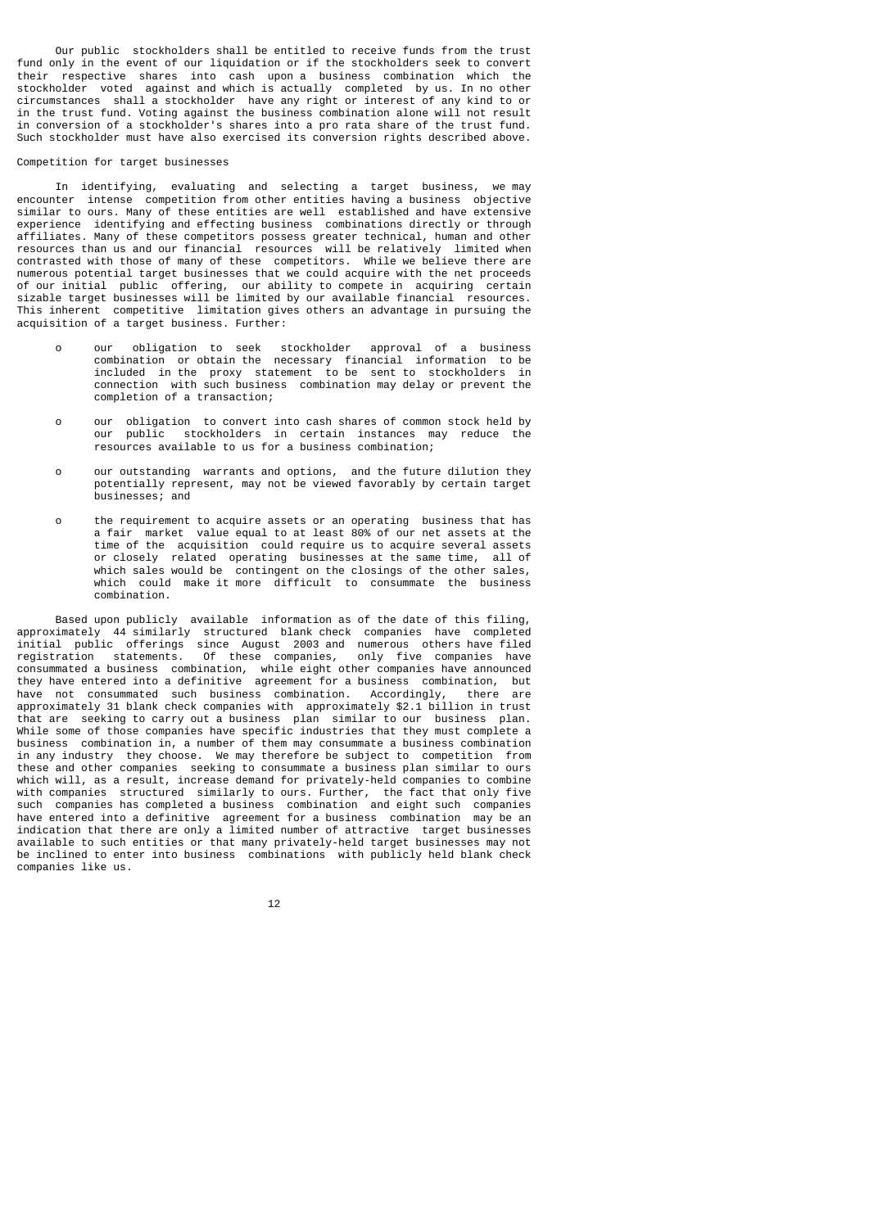Our public stockholders shall be entitled to receive funds from the trust fund only in the event of our liquidation or if the stockholders seek to convert their respective shares into cash upon a business combination which the stockholder voted against and which is actually completed by us. In no other circumstances shall a stockholder have any right or interest of any kind to or in the trust fund. Voting against the business combination alone will not result in conversion of a stockholder's shares into a pro rata share of the trust fund. Such stockholder must have also exercised its conversion rights described above.

### Competition for target businesses

 In identifying, evaluating and selecting a target business, we may encounter intense competition from other entities having a business objective similar to ours. Many of these entities are well established and have extensive experience identifying and effecting business combinations directly or through affiliates. Many of these competitors possess greater technical, human and other resources than us and our financial resources will be relatively limited when contrasted with those of many of these competitors. While we believe there are numerous potential target businesses that we could acquire with the net proceeds of our initial public offering, our ability to compete in acquiring certain sizable target businesses will be limited by our available financial resources. This inherent competitive limitation gives others an advantage in pursuing the acquisition of a target business. Further:

- o our obligation to seek stockholder approval of a business combination or obtain the necessary financial information to be included in the proxy statement to be sent to stockholders in connection with such business combination may delay or prevent the completion of a transaction;
- o our obligation to convert into cash shares of common stock held by<br>our public stockholders in certain instances may reduce the public stockholders in certain instances may reduce the resources available to us for a business combination;
- o our outstanding warrants and options, and the future dilution they potentially represent, may not be viewed favorably by certain target businesses; and
- o the requirement to acquire assets or an operating business that has a fair market value equal to at least 80% of our net assets at the time of the acquisition could require us to acquire several assets or closely related operating businesses at the same time, all of which sales would be contingent on the closings of the other sales, which could make it more difficult to consummate the business combination.

 Based upon publicly available information as of the date of this filing, approximately 44 similarly structured blank check companies have completed initial public offerings since August 2003 and numerous others have filed registration statements. Of these companies, only five companies have consummated a business combination, while eight other companies have announced they have entered into a definitive agreement for a business combination, but<br>they have entered into a definitive agreement for a business combination, but<br>have not consummated such business combination. Accordingly, there have not consummated such business combination. Accordingly, there are approximately 31 blank check companies with approximately \$2.1 billion in trust that are seeking to carry out a business plan similar to our business plan. While some of those companies have specific industries that they must complete a business combination in, a number of them may consummate a business combination in any industry they choose. We may therefore be subject to competition from these and other companies seeking to consummate a business plan similar to ours which will, as a result, increase demand for privately-held companies to combine with companies structured similarly to ours. Further, the fact that only five such companies has completed a business combination and eight such companies have entered into a definitive agreement for a business combination indication that there are only a limited number of attractive target businesses available to such entities or that many privately-held target businesses may not be inclined to enter into business combinations with publicly held blank check companies like us.

12 and 12 and 12 and 12 and 12 and 12 and 12 and 12 and 12 and 12 and 12 and 12 and 12 and 12 and 12 and 12 an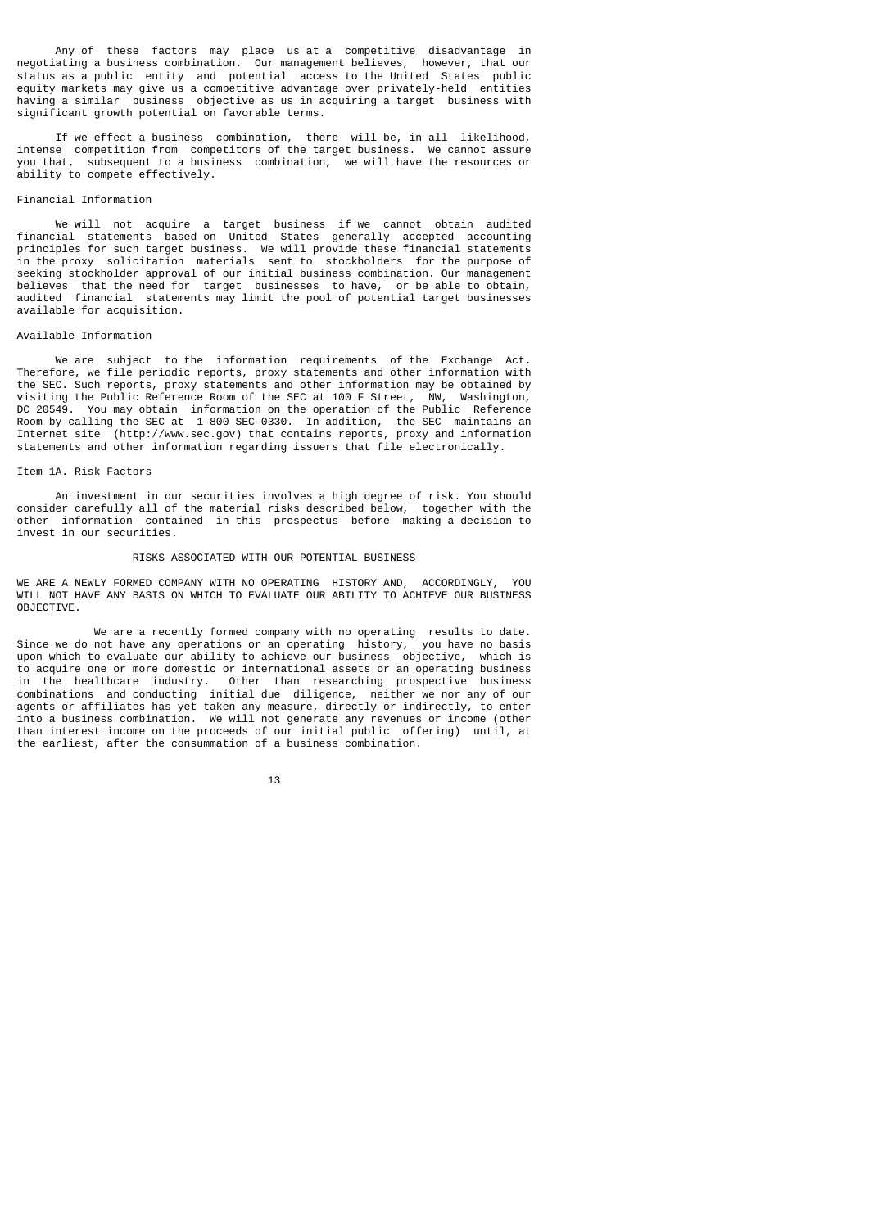Any of these factors may place us at a competitive disadvantage in negotiating a business combination. Our management believes, however, that our status as a public entity and potential access to the United States public equity markets may give us a competitive advantage over privately-held entities having a similar business objective as us in acquiring a target business with significant growth potential on favorable terms.

 If we effect a business combination, there will be, in all likelihood, intense competition from competitors of the target business. We cannot assure you that, subsequent to a business combination, we will have the resources or ability to compete effectively.

### Financial Information

 We will not acquire a target business if we cannot obtain audited financial statements based on United States generally accepted accounting principles for such target business. We will provide these financial statements in the proxy solicitation materials sent to stockholders for the purpose of seeking stockholder approval of our initial business combination. Our management believes that the need for target businesses to have, or be able to obtain, audited financial statements may limit the pool of potential target businesses available for acquisition.

## Available Information

 We are subject to the information requirements of the Exchange Act. Therefore, we file periodic reports, proxy statements and other information with the SEC. Such reports, proxy statements and other information may be obtained by visiting the Public Reference Room of the SEC at 100 F Street, NW, Washington, DC 20549. You may obtain information on the operation of the Public Reference Room by calling the SEC at 1-800-SEC-0330. In addition, the SEC maintains an Internet site (http://www.sec.gov) that contains reports, proxy and information statements and other information regarding issuers that file electronically.

## Item 1A. Risk Factors

 An investment in our securities involves a high degree of risk. You should consider carefully all of the material risks described below, together with the other information contained in this prospectus before making a decision to invest in our securities.

## RISKS ASSOCIATED WITH OUR POTENTIAL BUSINESS

WE ARE A NEWLY FORMED COMPANY WITH NO OPERATING HISTORY AND, ACCORDINGLY, YOU WILL NOT HAVE ANY BASIS ON WHICH TO EVALUATE OUR ABILITY TO ACHIEVE OUR BUSINESS OBJECTIVE.

We are a recently formed company with no operating results to date. Since we do not have any operations or an operating history, you have no basis upon which to evaluate our ability to achieve our business objective, which is to acquire one or more domestic or international assets or an operating business in the healthcare industry. Other than researching prospective business combinations and conducting initial due diligence, neither we nor any of our agents or affiliates has yet taken any measure, directly or indirectly, to enter into a business combination. We will not generate any revenues or income (other than interest income on the proceeds of our initial public offering) until, at the earliest, after the consummation of a business combination.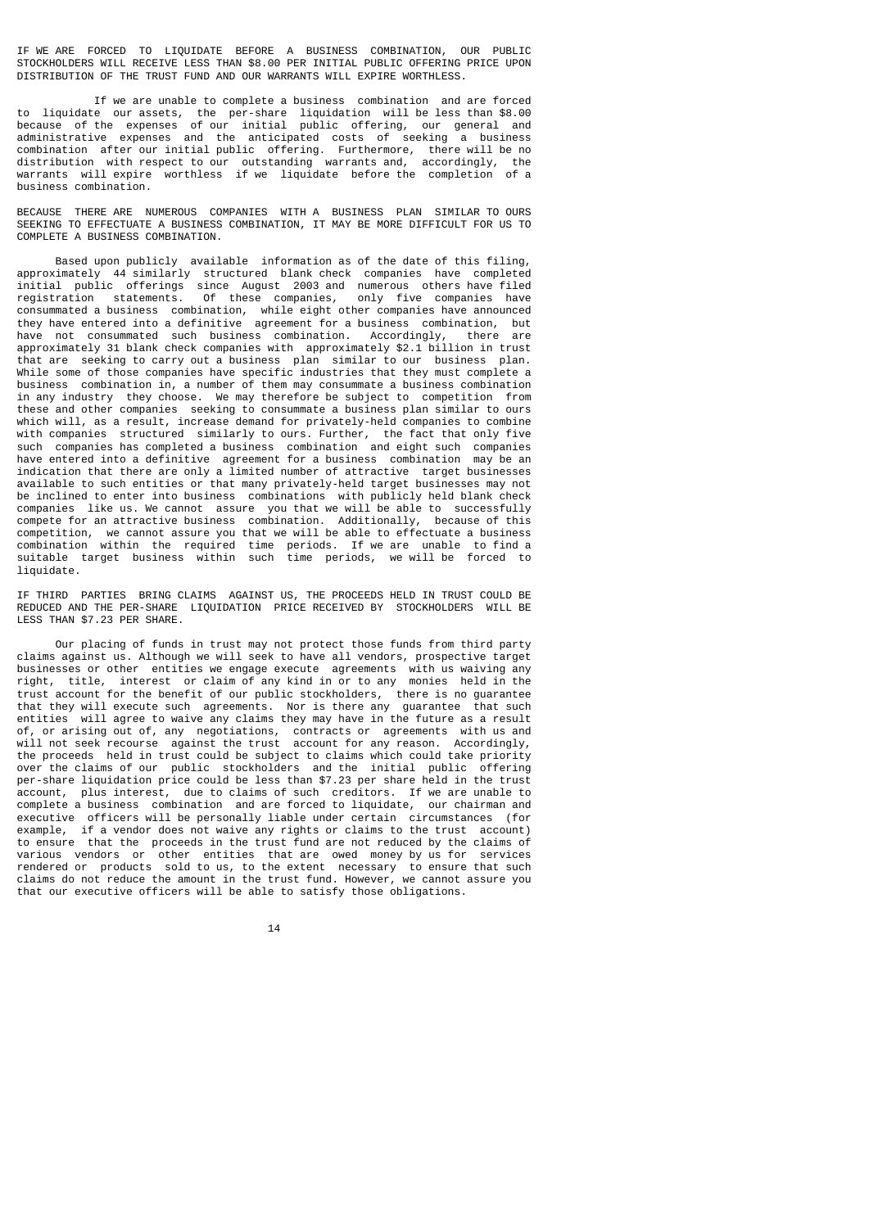IF WE ARE FORCED TO LIQUIDATE BEFORE A BUSINESS COMBINATION, OUR PUBLIC STOCKHOLDERS WILL RECEIVE LESS THAN \$8.00 PER INITIAL PUBLIC OFFERING PRICE UPON DISTRIBUTION OF THE TRUST FUND AND OUR WARRANTS WILL EXPIRE WORTHLESS.

 If we are unable to complete a business combination and are forced to liquidate our assets, the per-share liquidation will be less than \$8.00 because of the expenses of our initial public offering, our general and administrative expenses and the anticipated costs of seeking a business combination after our initial public offering. Furthermore, there will be no distribution with respect to our outstanding warrants and, accordingly, the warrants will expire worthless if we liquidate before the completion of a business combination.

BECAUSE THERE ARE NUMEROUS COMPANIES WITH A BUSINESS PLAN SIMILAR TO OURS SEEKING TO EFFECTUATE A BUSINESS COMBINATION, IT MAY BE MORE DIFFICULT FOR US TO COMPLETE A BUSINESS COMBINATION.

 Based upon publicly available information as of the date of this filing, approximately 44 similarly structured blank check companies have completed initial public offerings since August 2003 and numerous others have filed registration statements. Of these companies, only five companies have consummated a business combination, while eight other companies have announced they have entered into a definitive agreement for a business combination, but have not consummated such business combination. Accordingly, approximately 31 blank check companies with approximately \$2.1 billion in trust that are seeking to carry out a business plan similar to our business plan. While some of those companies have specific industries that they must complete a business combination in, a number of them may consummate a business combination in any industry they choose. We may therefore be subject to competition from these and other companies seeking to consummate a business plan similar to ours which will, as a result, increase demand for privately-held companies to combine with companies structured similarly to ours. Further, the fact that only five such companies has completed a business combination and eight such companies have entered into a definitive agreement for a business combination may be an indication that there are only a limited number of attractive target businesses available to such entities or that many privately-held target businesses may not be inclined to enter into business combinations with publicly held blank check companies like us. We cannot assure you that we will be able to successfully compete for an attractive business combination. Additionally, because of this competition, we cannot assure you that we will be able to effectuate a business combination within the required time periods. If we are unable to find a suitable target business within such time periods, we will be forced to liquidate.

IF THIRD PARTIES BRING CLAIMS AGAINST US, THE PROCEEDS HELD IN TRUST COULD BE REDUCED AND THE PER-SHARE LIQUIDATION PRICE RECEIVED BY STOCKHOLDERS WILL BE LESS THAN \$7.23 PER SHARE

 Our placing of funds in trust may not protect those funds from third party claims against us. Although we will seek to have all vendors, prospective target businesses or other entities we engage execute agreements with us waiving any right, title, interest or claim of any kind in or to any monies held in the trust account for the benefit of our public stockholders, there is no guarantee that they will execute such agreements. Nor is there any guarantee that such entities will agree to waive any claims they may have in the future as a result of, or arising out of, any negotiations, contracts or agreements with us and will not seek recourse against the trust account for any reason. Accordingly, the proceeds held in trust could be subject to claims which could take priority over the claims of our public stockholders and the initial public offering per-share liquidation price could be less than \$7.23 per share held in the trust account, plus interest, due to claims of such creditors. If we are unable to complete a business combination and are forced to liquidate, our chairman and executive officers will be personally liable under certain circumstances (for example, if a vendor does not waive any rights or claims to the trust account) to ensure that the proceeds in the trust fund are not reduced by the claims of various vendors or other entities that are owed money by us for services rendered or products sold to us, to the extent necessary to ensure that such claims do not reduce the amount in the trust fund. However, we cannot assure you that our executive officers will be able to satisfy those obligations.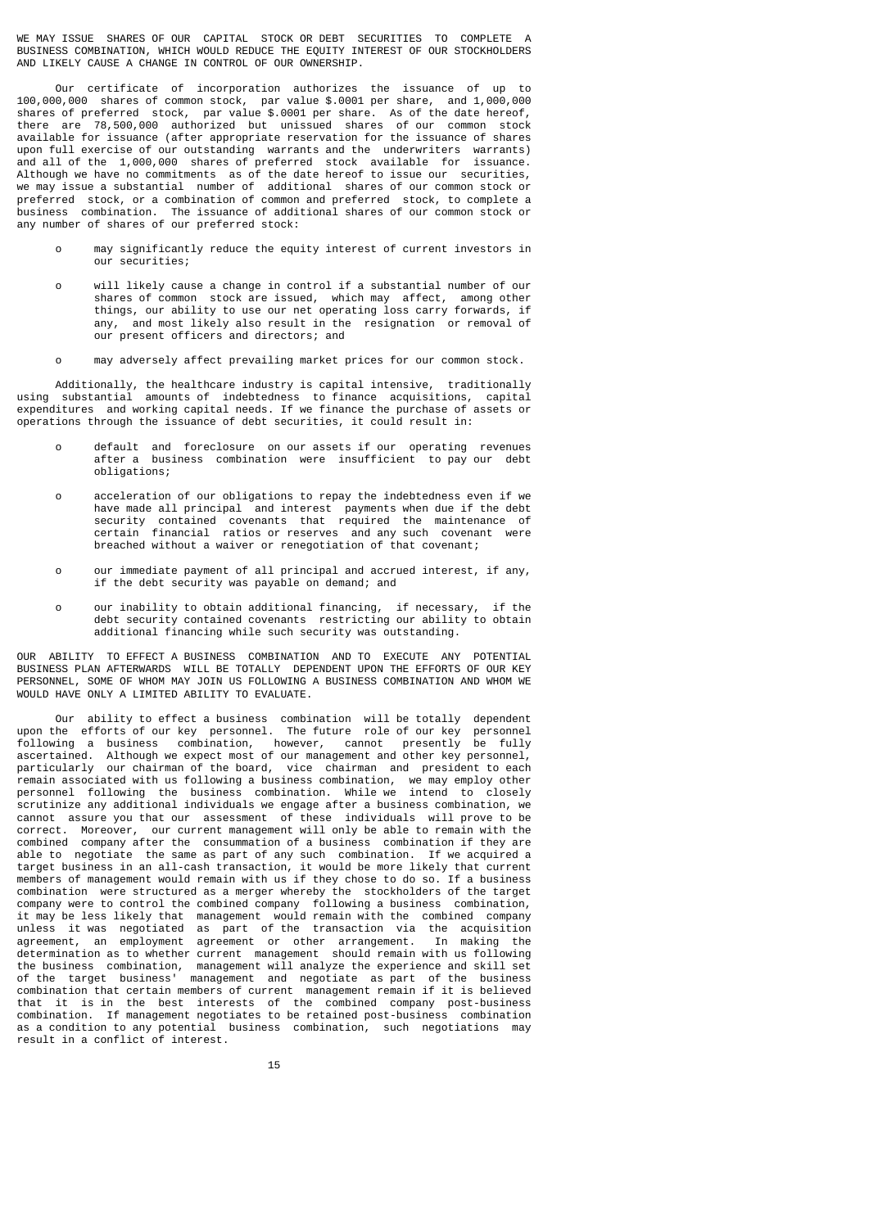WE MAY ISSUE SHARES OF OUR CAPITAL STOCK OR DEBT SECURITIES TO COMPLETE A BUSINESS COMBINATION, WHICH WOULD REDUCE THE EQUITY INTEREST OF OUR STOCKHOLDERS AND LIKELY CAUSE A CHANGE IN CONTROL OF OUR OWNERSHIP.

 Our certificate of incorporation authorizes the issuance of up to 100,000,000 shares of common stock, par value \$.0001 per share, and 1,000,000 shares of preferred stock, par value \$.0001 per share. As of the date hereof, there are 78,500,000 authorized but unissued shares of our common stock available for issuance (after appropriate reservation for the issuance of shares upon full exercise of our outstanding warrants and the underwriters warrants) and all of the 1,000,000 shares of preferred stock available for issuance. Although we have no commitments as of the date hereof to issue our securities, we may issue a substantial number of additional shares of our common stock or preferred stock, or a combination of common and preferred stock, to complete a business combination. The issuance of additional shares of our common stock or any number of shares of our preferred stock:

- o may significantly reduce the equity interest of current investors in our securities;
- o will likely cause a change in control if a substantial number of our shares of common stock are issued, which may affect, among other things, our ability to use our net operating loss carry forwards, if any, and most likely also result in the resignation or removal of our present officers and directors; and
- o may adversely affect prevailing market prices for our common stock.

 Additionally, the healthcare industry is capital intensive, traditionally using substantial amounts of indebtedness to finance acquisitions, capital expenditures and working capital needs. If we finance the purchase of assets or operations through the issuance of debt securities, it could result in:

- o default and foreclosure on our assets if our operating revenues after a business combination were insufficient to pay our debt obligations;
- o acceleration of our obligations to repay the indebtedness even if we have made all principal and interest payments when due if the debt security contained covenants that required the maintenance of certain financial ratios or reserves and any such covenant were breached without a waiver or renegotiation of that covenant;
	- o our immediate payment of all principal and accrued interest, if any, if the debt security was payable on demand; and
	- o our inability to obtain additional financing, if necessary, if the debt security contained covenants restricting our ability to obtain additional financing while such security was outstanding.

OUR ABILITY TO EFFECT A BUSINESS COMBINATION AND TO EXECUTE ANY POTENTIAL BUSINESS PLAN AFTERWARDS WILL BE TOTALLY DEPENDENT UPON THE EFFORTS OF OUR KEY PERSONNEL, SOME OF WHOM MAY JOIN US FOLLOWING A BUSINESS COMBINATION AND WHOM WE WOULD HAVE ONLY A LIMITED ABILITY TO EVALUATE.

Our ability to effect a business combination will be totally dependent<br>the efforts of our key personnel. The future role of our kev nersonnel upon the efforts of our key personnel. The future role of our key following a business combination, however, cannot presently be fully ascertained. Although we expect most of our management and other key personnel, particularly our chairman of the board, vice chairman and president to each remain associated with us following a business combination, we may employ other personnel following the business combination. While we intend to closely scrutinize any additional individuals we engage after a business combination, we cannot assure you that our assessment of these individuals will prove to be correct. Moreover, our current management will only be able to remain with the combined company after the consummation of a business combination if they are able to negotiate the same as part of any such combination. If we acquired a target business in an all-cash transaction, it would be more likely that current members of management would remain with us if they chose to do so. If a business combination were structured as a merger whereby the stockholders of the target company were to control the combined company following a business combination, it may be less likely that management would remain with the combined company unless it was negotiated as part of the transaction via the acquisition agreement, an employment agreement or other arrangement. In making the determination as to whether current management should remain with us following the business combination, management will analyze the experience and skill set of the target business' management and negotiate as part of the business combination that certain members of current management remain if it is believed that it is in the best interests of the combined company post-business combination. If management negotiates to be retained post-business combination as a condition to any potential business combination, such negotiations may result in a conflict of interest.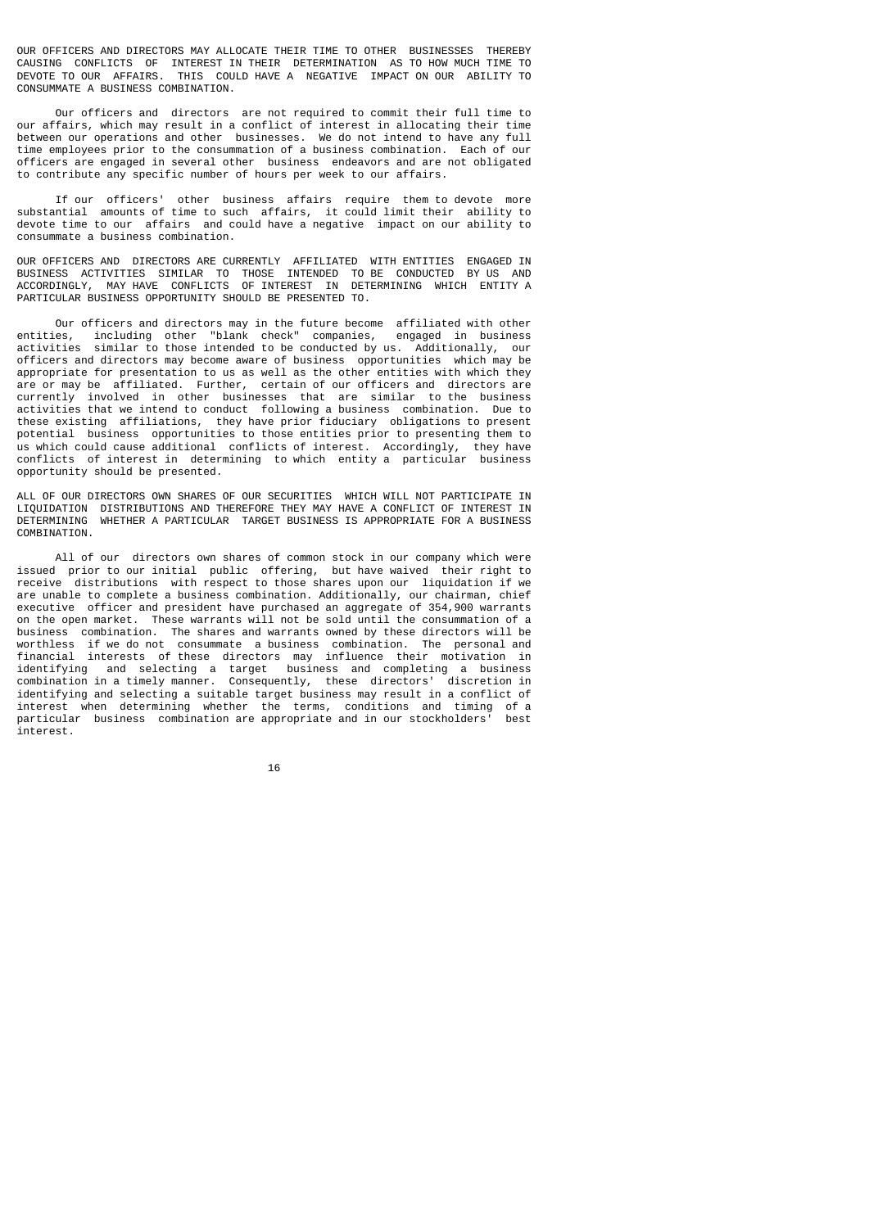OUR OFFICERS AND DIRECTORS MAY ALLOCATE THEIR TIME TO OTHER BUSINESSES THEREBY CAUSING CONFLICTS OF INTEREST IN THEIR DETERMINATION AS TO HOW MUCH TIME TO DEVOTE TO OUR AFFAIRS. THIS COULD HAVE A NEGATIVE IMPACT ON OUR ABILITY TO CONSUMMATE A BUSINESS COMBINATION.

 Our officers and directors are not required to commit their full time to our affairs, which may result in a conflict of interest in allocating their time between our operations and other businesses. We do not intend to have any full time employees prior to the consummation of a business combination. Each of our officers are engaged in several other business endeavors and are not obligated to contribute any specific number of hours per week to our affairs.

 If our officers' other business affairs require them to devote more substantial amounts of time to such affairs, it could limit their ability to devote time to our affairs and could have a negative impact on our ability to consummate a business combination.

OUR OFFICERS AND DIRECTORS ARE CURRENTLY AFFILIATED WITH ENTITIES ENGAGED IN BUSINESS ACTIVITIES SIMILAR TO THOSE INTENDED TO BE CONDUCTED BY US AND ACCORDINGLY, MAY HAVE CONFLICTS OF INTEREST IN DETERMINING WHICH ENTITY A PARTICULAR BUSINESS OPPORTUNITY SHOULD BE PRESENTED TO.

 Our officers and directors may in the future become affiliated with other entities, including other "blank check" companies, engaged in business activities similar to those intended to be conducted by us. Additionally, our officers and directors may become aware of business opportunities which may be appropriate for presentation to us as well as the other entities with which they are or may be affiliated. Further, certain of our officers and directors are currently involved in other businesses that are similar to the business activities that we intend to conduct following a business combination. Due to these existing affiliations, they have prior fiduciary obligations to present potential business opportunities to those entities prior to presenting them to us which could cause additional conflicts of interest. Accordingly, they have conflicts of interest in determining to which entity a particular business opportunity should be presented.

ALL OF OUR DIRECTORS OWN SHARES OF OUR SECURITIES WHICH WILL NOT PARTICIPATE IN LIQUIDATION DISTRIBUTIONS AND THEREFORE THEY MAY HAVE A CONFLICT OF INTEREST IN DETERMINING WHETHER A PARTICULAR TARGET BUSINESS IS APPROPRIATE FOR A BUSINESS COMBINATION.

 All of our directors own shares of common stock in our company which were issued prior to our initial public offering, but have waived their right to receive distributions with respect to those shares upon our liquidation if we are unable to complete a business combination. Additionally, our chairman, chief executive officer and president have purchased an aggregate of 354,900 warrants on the open market. These warrants will not be sold until the consummation of a business combination. The shares and warrants owned by these directors will be worthless if we do not consummate a business combination. The personal and financial interests of these directors may influence their motivation in identifying and selecting a target business and completing a business combination in a timely manner. Consequently, these directors' discretion in identifying and selecting a suitable target business may result in a conflict of interest when determining whether the terms, conditions and timing of a particular business combination are appropriate and in our stockholders' best interest.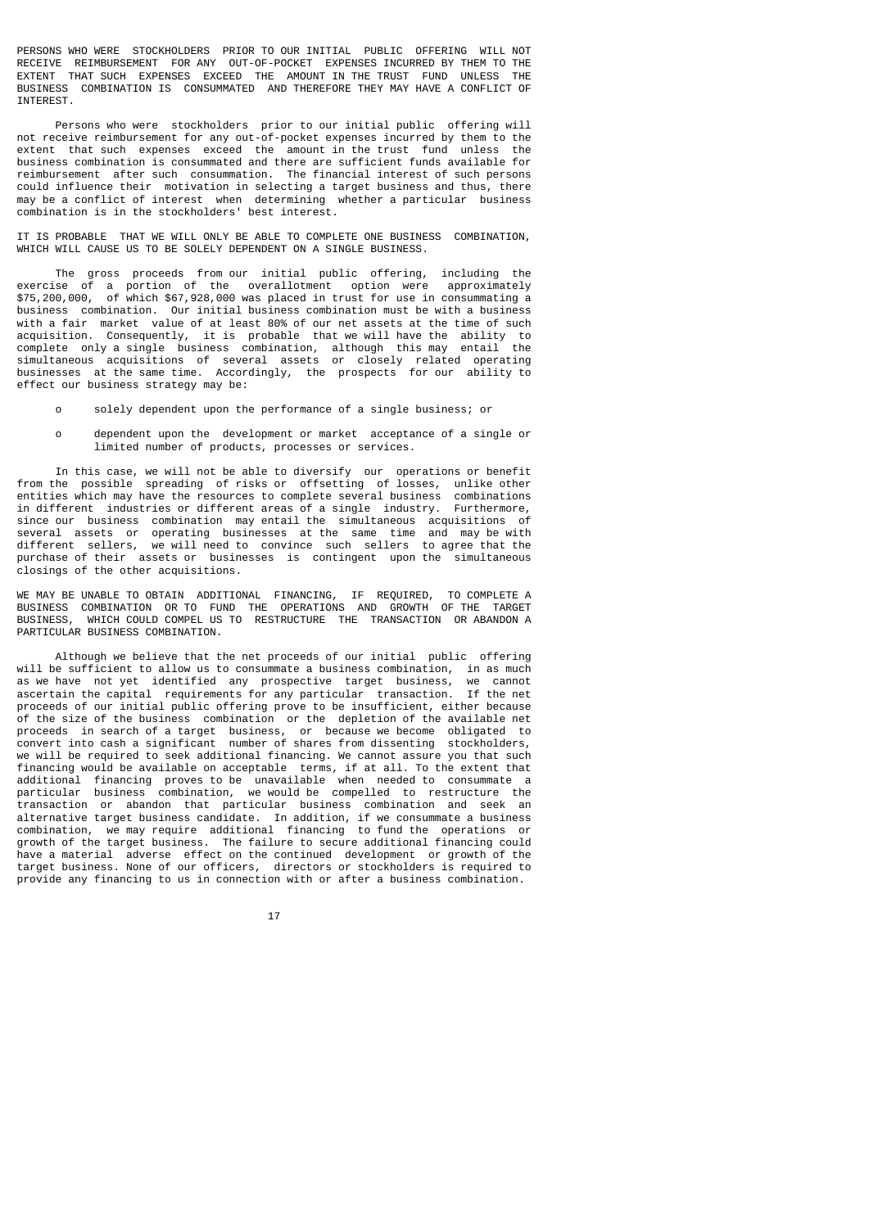PERSONS WHO WERE STOCKHOLDERS PRIOR TO OUR INITIAL PUBLIC OFFERING WILL NOT RECEIVE REIMBURSEMENT FOR ANY OUT-OF-POCKET EXPENSES INCURRED BY THEM TO THE EXTENT THAT SUCH EXPENSES EXCEED THE AMOUNT IN THE TRUST FUND UNLESS THE BUSINESS COMBINATION IS CONSUMMATED AND THEREFORE THEY MAY HAVE A CONFLICT OF INTEREST.

 Persons who were stockholders prior to our initial public offering will not receive reimbursement for any out-of-pocket expenses incurred by them to the extent that such expenses exceed the amount in the trust fund unless the business combination is consummated and there are sufficient funds available for reimbursement after such consummation. The financial interest of such persons could influence their motivation in selecting a target business and thus, there may be a conflict of interest when determining whether a particular business combination is in the stockholders' best interest.

IT IS PROBABLE THAT WE WILL ONLY BE ABLE TO COMPLETE ONE BUSINESS COMBINATION, WHICH WILL CAUSE US TO BE SOLELY DEPENDENT ON A SINGLE BUSINESS.

 The gross proceeds from our initial public offering, including the exercise of a portion of the overallotment option were approximately \$75,200,000, of which \$67,928,000 was placed in trust for use in consummating a business combination. Our initial business combination must be with a business with a fair market value of at least 80% of our net assets at the time of such acquisition. Consequently, it is probable that we will have the ability to complete only a single business combination, although this may entail the simultaneous acquisitions of several assets or closely related operating businesses at the same time. Accordingly, the prospects for our ability to effect our business strategy may be:

- o solely dependent upon the performance of a single business; or
- o dependent upon the development or market acceptance of a single or limited number of products, processes or services.

 In this case, we will not be able to diversify our operations or benefit from the possible spreading of risks or offsetting of losses, unlike other entities which may have the resources to complete several business combinations in different industries or different areas of a single industry. Furthermore, since our business combination may entail the simultaneous acquisitions of several assets or operating businesses at the same time and may be with different sellers, we will need to convince such sellers to agree that the purchase of their assets or businesses is contingent upon the simultaneous closings of the other acquisitions.

WE MAY BE UNABLE TO OBTAIN ADDITIONAL FINANCING, IF REQUIRED, TO COMPLETE A BUSINESS COMBINATION OR TO FUND THE OPERATIONS AND GROWTH OF THE TARGET BUSINESS, WHICH COULD COMPEL US TO RESTRUCTURE THE TRANSACTION OR ABANDON A PARTICULAR BUSINESS COMBINATION.

 Although we believe that the net proceeds of our initial public offering will be sufficient to allow us to consummate a business combination, in as much as we have not yet identified any prospective target business, we cannot ascertain the capital requirements for any particular transaction. If the net proceeds of our initial public offering prove to be insufficient, either because of the size of the business combination or the depletion of the available net proceeds in search of a target business, or because we become obligated to convert into cash a significant number of shares from dissenting stockholders, we will be required to seek additional financing. We cannot assure you that such financing would be available on acceptable terms, if at all. To the extent that additional financing proves to be unavailable when needed to consummate a particular business combination, we would be compelled to restructure the transaction or abandon that particular business combination and seek an alternative target business candidate. In addition, if we consummate a business combination, we may require additional financing to fund the operations or growth of the target business. The failure to secure additional financing could have a material adverse effect on the continued development or growth of the target business. None of our officers, directors or stockholders is required to provide any financing to us in connection with or after a business combination.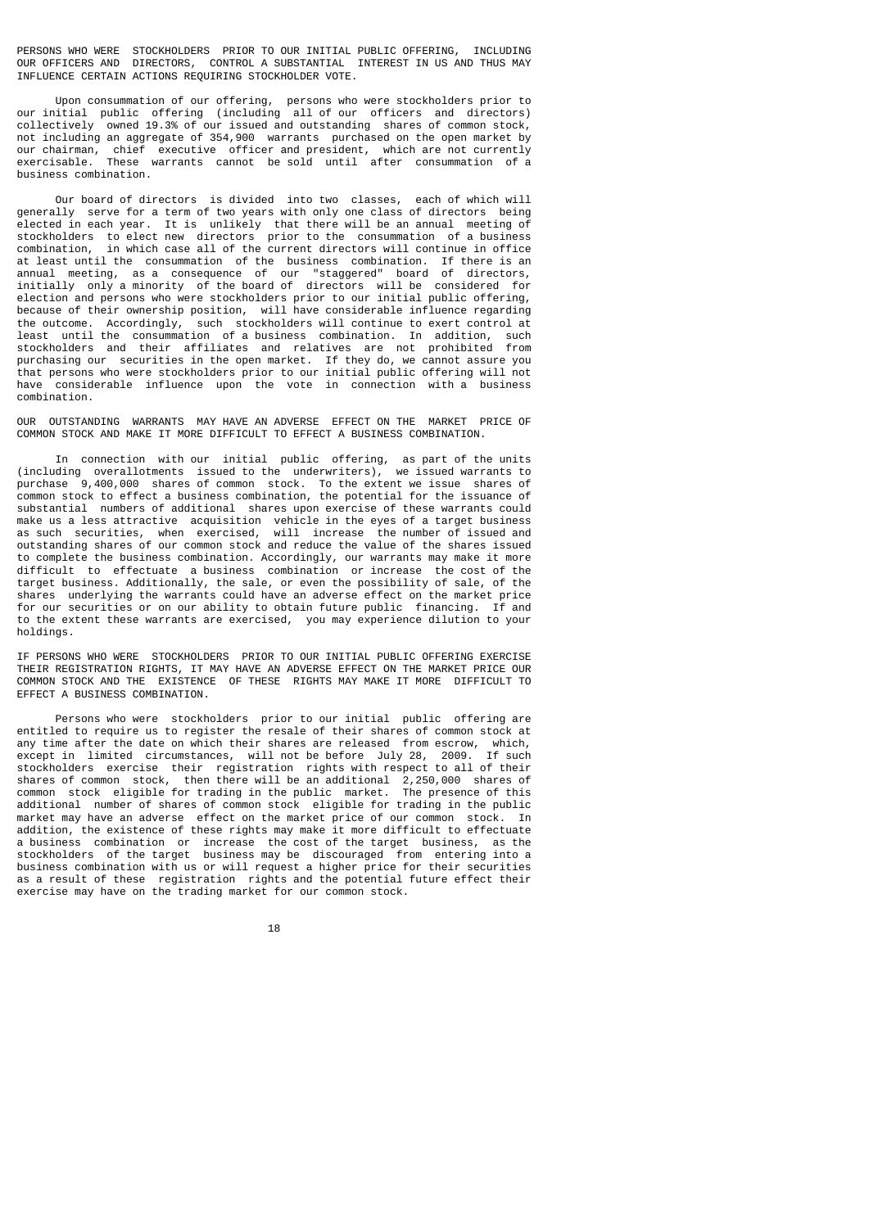PERSONS WHO WERE STOCKHOLDERS PRIOR TO OUR INITIAL PUBLIC OFFERING, INCLUDING OUR OFFICERS AND DIRECTORS, CONTROL A SUBSTANTIAL INTEREST IN US AND THUS MAY INFLUENCE CERTAIN ACTIONS REQUIRING STOCKHOLDER VOTE.

 Upon consummation of our offering, persons who were stockholders prior to our initial public offering (including all of our officers and directors) collectively owned 19.3% of our issued and outstanding shares of common stock, not including an aggregate of 354,900 warrants purchased on the open market by our chairman, chief executive officer and president, which are not currently exercisable. These warrants cannot be sold until after consummation of a business combination.

 Our board of directors is divided into two classes, each of which will generally serve for a term of two years with only one class of directors being elected in each year. It is unlikely that there will be an annual meeting of stockholders to elect new directors prior to the consummation of a business combination, in which case all of the current directors will continue in office at least until the consummation of the business combination. If there is an annual meeting, as a consequence of our "staggered" board of directors, initially only a minority of the board of directors will be considered for election and persons who were stockholders prior to our initial public offering, because of their ownership position, will have considerable influence regarding the outcome. Accordingly, such stockholders will continue to exert control at least until the consummation of a business combination. In addition, such stockholders and their affiliates and relatives are not prohibited from purchasing our securities in the open market. If they do, we cannot assure you that persons who were stockholders prior to our initial public offering will not have considerable influence upon the vote in connection with a business combination.

OUR OUTSTANDING WARRANTS MAY HAVE AN ADVERSE EFFECT ON THE MARKET PRICE OF COMMON STOCK AND MAKE IT MORE DIFFICULT TO EFFECT A BUSINESS COMBINATION.

 In connection with our initial public offering, as part of the units (including overallotments issued to the underwriters), we issued warrants to purchase 9,400,000 shares of common stock. To the extent we issue shares of common stock to effect a business combination, the potential for the issuance of substantial numbers of additional shares upon exercise of these warrants could make us a less attractive acquisition vehicle in the eyes of a target business as such securities, when exercised, will increase the number of issued and outstanding shares of our common stock and reduce the value of the shares issued to complete the business combination. Accordingly, our warrants may make it more difficult to effectuate a business combination or increase the cost of the target business. Additionally, the sale, or even the possibility of sale, of the shares underlying the warrants could have an adverse effect on the market price for our securities or on our ability to obtain future public financing. If and to the extent these warrants are exercised, you may experience dilution to your holdings.

IF PERSONS WHO WERE STOCKHOLDERS PRIOR TO OUR INITIAL PUBLIC OFFERING EXERCISE THEIR REGISTRATION RIGHTS, IT MAY HAVE AN ADVERSE EFFECT ON THE MARKET PRICE OUR COMMON STOCK AND THE EXISTENCE OF THESE RIGHTS MAY MAKE IT MORE DIFFICULT TO EFFECT A BUSINESS COMBINATION.

 Persons who were stockholders prior to our initial public offering are entitled to require us to register the resale of their shares of common stock at any time after the date on which their shares are released from escrow, which, except in limited circumstances, will not be before July 28, 2009. If such stockholders exercise their registration rights with respect to all of their shares of common stock, then there will be an additional 2,250,000 shares of common stock eligible for trading in the public market. The presence of this additional number of shares of common stock eligible for trading in the public market may have an adverse effect on the market price of our common stock. In addition, the existence of these rights may make it more difficult to effectuate a business combination or increase the cost of the target business, as the stockholders of the target business may be discouraged from entering into a business combination with us or will request a higher price for their securities as a result of these registration rights and the potential future effect their exercise may have on the trading market for our common stock.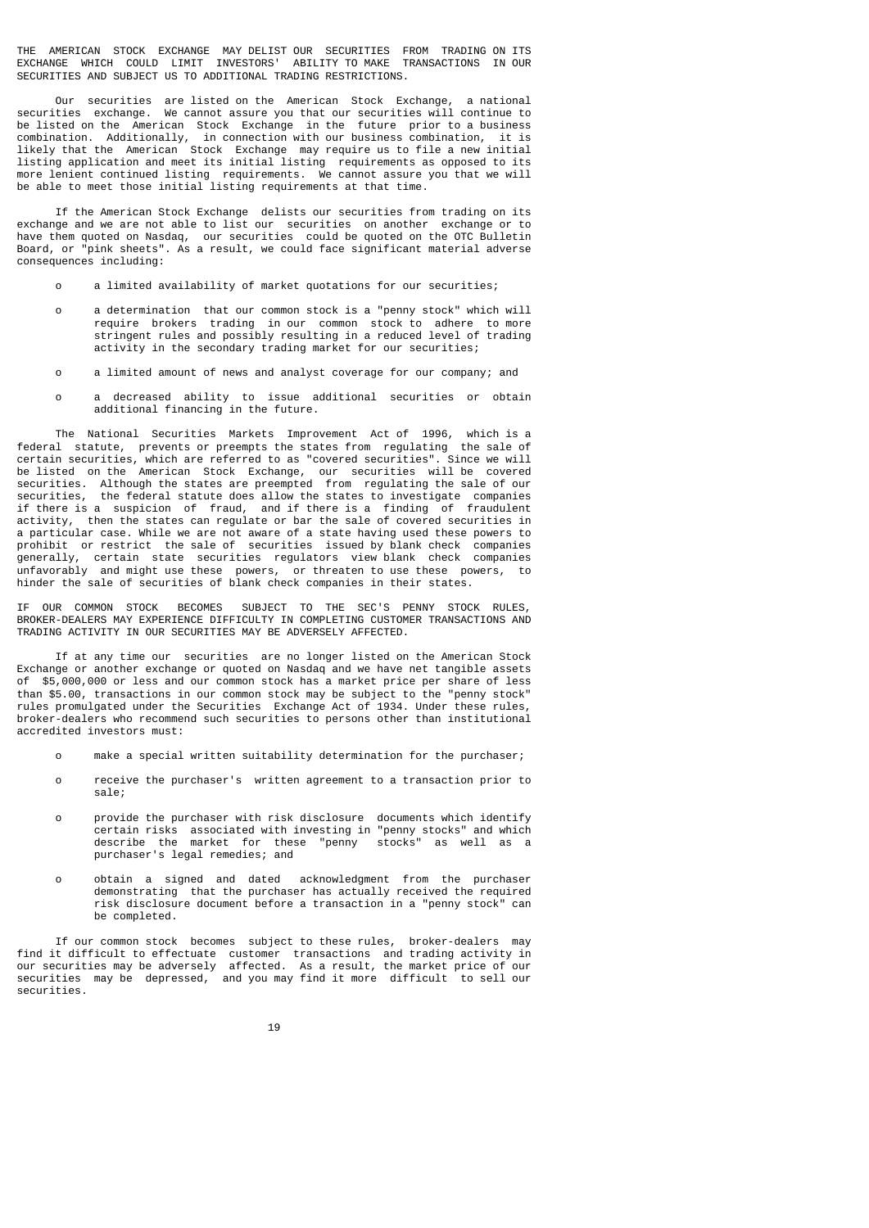THE AMERICAN STOCK EXCHANGE MAY DELIST OUR SECURITIES FROM TRADING ON ITS EXCHANGE WHICH COULD LIMIT INVESTORS' ABILITY TO MAKE TRANSACTIONS IN OUR SECURITIES AND SUBJECT US TO ADDITIONAL TRADING RESTRICTIONS.

 Our securities are listed on the American Stock Exchange, a national securities exchange. We cannot assure you that our securities will continue to be listed on the American Stock Exchange in the future prior to a business combination. Additionally, in connection with our business combination, it is likely that the American Stock Exchange may require us to file a new initial listing application and meet its initial listing requirements as opposed to its more lenient continued listing requirements. We cannot assure you that we will be able to meet those initial listing requirements at that time.

 If the American Stock Exchange delists our securities from trading on its exchange and we are not able to list our securities on another exchange or to have them quoted on Nasdaq, our securities could be quoted on the OTC Bulletin Board, or "pink sheets". As a result, we could face significant material adverse consequences including:

- o a limited availability of market quotations for our securities;
- o a determination that our common stock is a "penny stock" which will require brokers trading in our common stock to adhere to more stringent rules and possibly resulting in a reduced level of trading activity in the secondary trading market for our securities;
- o a limited amount of news and analyst coverage for our company; and
- o a decreased ability to issue additional securities or obtain additional financing in the future.

 The National Securities Markets Improvement Act of 1996, which is a federal statute, prevents or preempts the states from regulating the sale of certain securities, which are referred to as "covered securities". Since we will be listed on the American Stock Exchange, our securities will be covered securities. Although the states are preempted from regulating the sale of our securities, the federal statute does allow the states to investigate companies if there is a suspicion of fraud, and if there is a finding of fraudulent activity, then the states can regulate or bar the sale of covered securities in a particular case. While we are not aware of a state having used these powers to prohibit or restrict the sale of securities issued by blank check companies generally, certain state securities regulators view blank check companies unfavorably and might use these powers, or threaten to use these powers, to hinder the sale of securities of blank check companies in their states.

IF OUR COMMON STOCK BECOMES SUBJECT TO THE SEC'S PENNY STOCK RULES, BROKER-DEALERS MAY EXPERIENCE DIFFICULTY IN COMPLETING CUSTOMER TRANSACTIONS AND TRADING ACTIVITY IN OUR SECURITIES MAY BE ADVERSELY AFFECTED.

 If at any time our securities are no longer listed on the American Stock Exchange or another exchange or quoted on Nasdaq and we have net tangible assets of \$5,000,000 or less and our common stock has a market price per share of less than \$5.00, transactions in our common stock may be subject to the "penny stock" rules promulgated under the Securities Exchange Act of 1934. Under these rules, broker-dealers who recommend such securities to persons other than institutional accredited investors must:

- o make a special written suitability determination for the purchaser;
- o receive the purchaser's written agreement to a transaction prior to sale;
- o provide the purchaser with risk disclosure documents which identify certain risks associated with investing in "penny stocks" and which describe the market for these "penny stocks" as well as a purchaser's legal remedies; and
- o obtain a signed and dated acknowledgment from the purchaser demonstrating that the purchaser has actually received the required risk disclosure document before a transaction in a "penny stock" can be completed.

 If our common stock becomes subject to these rules, broker-dealers may find it difficult to effectuate customer transactions and trading activity in our securities may be adversely affected. As a result, the market price of our securities may be depressed, and you may find it more difficult to sell our securities.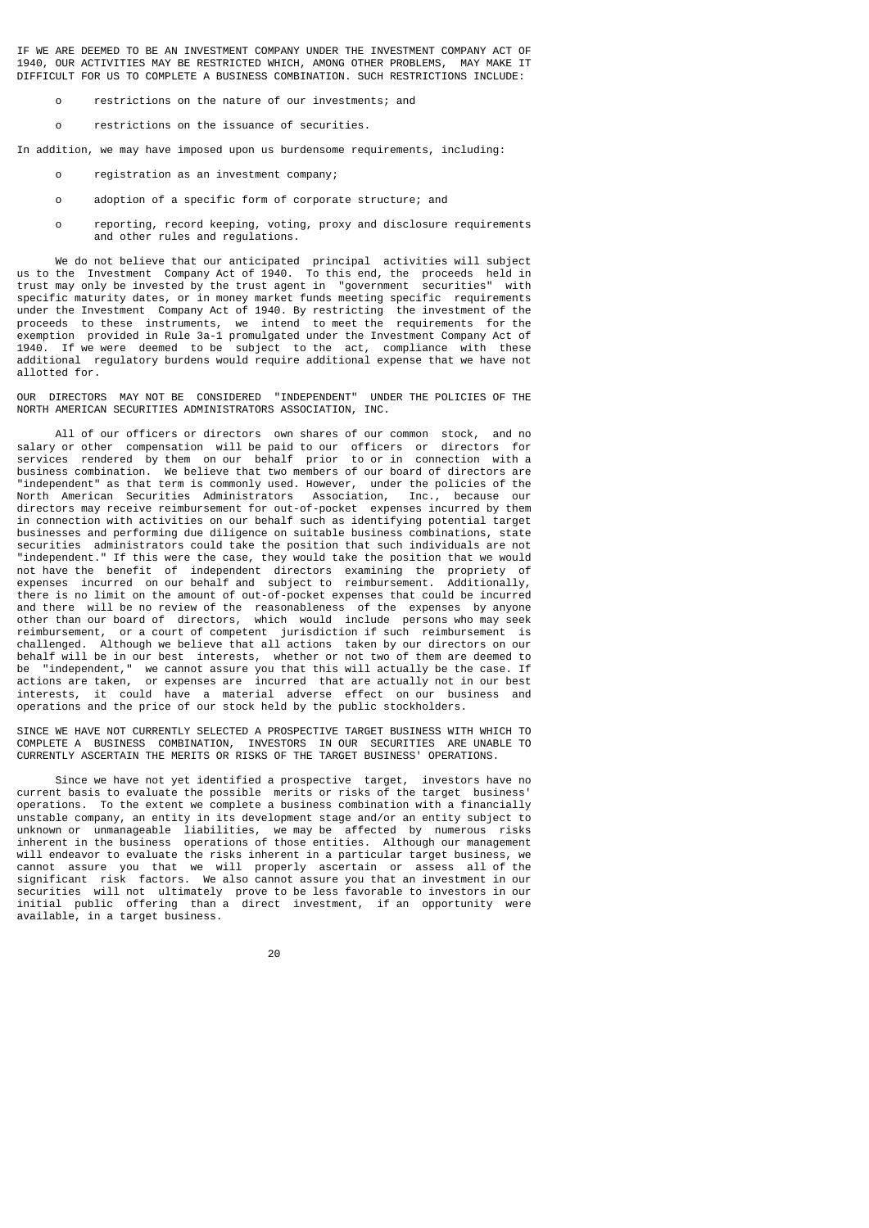IF WE ARE DEEMED TO BE AN INVESTMENT COMPANY UNDER THE INVESTMENT COMPANY ACT OF 1940, OUR ACTIVITIES MAY BE RESTRICTED WHICH, AMONG OTHER PROBLEMS, MAY MAKE IT DIFFICULT FOR US TO COMPLETE A BUSINESS COMBINATION. SUCH RESTRICTIONS INCLUDE:

- o restrictions on the nature of our investments; and
- o restrictions on the issuance of securities.

In addition, we may have imposed upon us burdensome requirements, including:

- o registration as an investment company;
- o adoption of a specific form of corporate structure; and
- o reporting, record keeping, voting, proxy and disclosure requirements and other rules and regulations.

 We do not believe that our anticipated principal activities will subject us to the Investment Company Act of 1940. To this end, the proceeds held in trust may only be invested by the trust agent in "government securities" with trust may only be invested by the trust agent in "government specific maturity dates, or in money market funds meeting specific requirements under the Investment Company Act of 1940. By restricting the investment of the proceeds to these instruments, we intend to meet the requirements for the exemption provided in Rule 3a-1 promulgated under the Investment Company Act of 1940. If we were deemed to be subject to the act, compliance with these additional regulatory burdens would require additional expense that we have not allotted for.

OUR DIRECTORS MAY NOT BE CONSIDERED "INDEPENDENT" UNDER THE POLICIES OF THE NORTH AMERICAN SECURITIES ADMINISTRATORS ASSOCIATION, INC.

 All of our officers or directors own shares of our common stock, and no salary or other compensation will be paid to our officers or directors for services rendered by them on our behalf prior to or in connection with a business combination. We believe that two members of our board of directors are "independent" as that term is commonly used. However, under the policies of the North American Securities Administrators Association, directors may receive reimbursement for out-of-pocket expenses incurred by them in connection with activities on our behalf such as identifying potential target businesses and performing due diligence on suitable business combinations, state securities administrators could take the position that such individuals are not "independent." If this were the case, they would take the position that we would not have the benefit of independent directors examining the propriety of expenses incurred on our behalf and subject to reimbursement. Additionally, there is no limit on the amount of out-of-pocket expenses that could be incurred and there will be no review of the reasonableness of the expenses by anyone other than our board of directors, which would include persons who may seek reimbursement, or a court of competent jurisdiction if such reimbursement is challenged. Although we believe that all actions taken by our directors on our behalf will be in our best interests, whether or not two of them are deemed to be "independent," we cannot assure you that this will actually be the case. If actions are taken, or expenses are incurred that are actually not in our best interests, it could have a material adverse effect on our business and operations and the price of our stock held by the public stockholders.

SINCE WE HAVE NOT CURRENTLY SELECTED A PROSPECTIVE TARGET BUSINESS WITH WHICH TO COMPLETE A BUSINESS COMBINATION, INVESTORS IN OUR SECURITIES ARE UNABLE TO CURRENTLY ASCERTAIN THE MERITS OR RISKS OF THE TARGET BUSINESS' OPERATIONS.

 Since we have not yet identified a prospective target, investors have no current basis to evaluate the possible merits or risks of the target business' operations. To the extent we complete a business combination with a financially unstable company, an entity in its development stage and/or an entity subject to unknown or unmanageable liabilities, we may be affected by numerous risks inherent in the business operations of those entities. Although our management will endeavor to evaluate the risks inherent in a particular target business, we cannot assure you that we will properly ascertain or assess all of the significant risk factors. We also cannot assure you that an investment in our securities will not ultimately prove to be less favorable to investors in our initial public offering than a direct investment, if an opportunity were available, in a target business.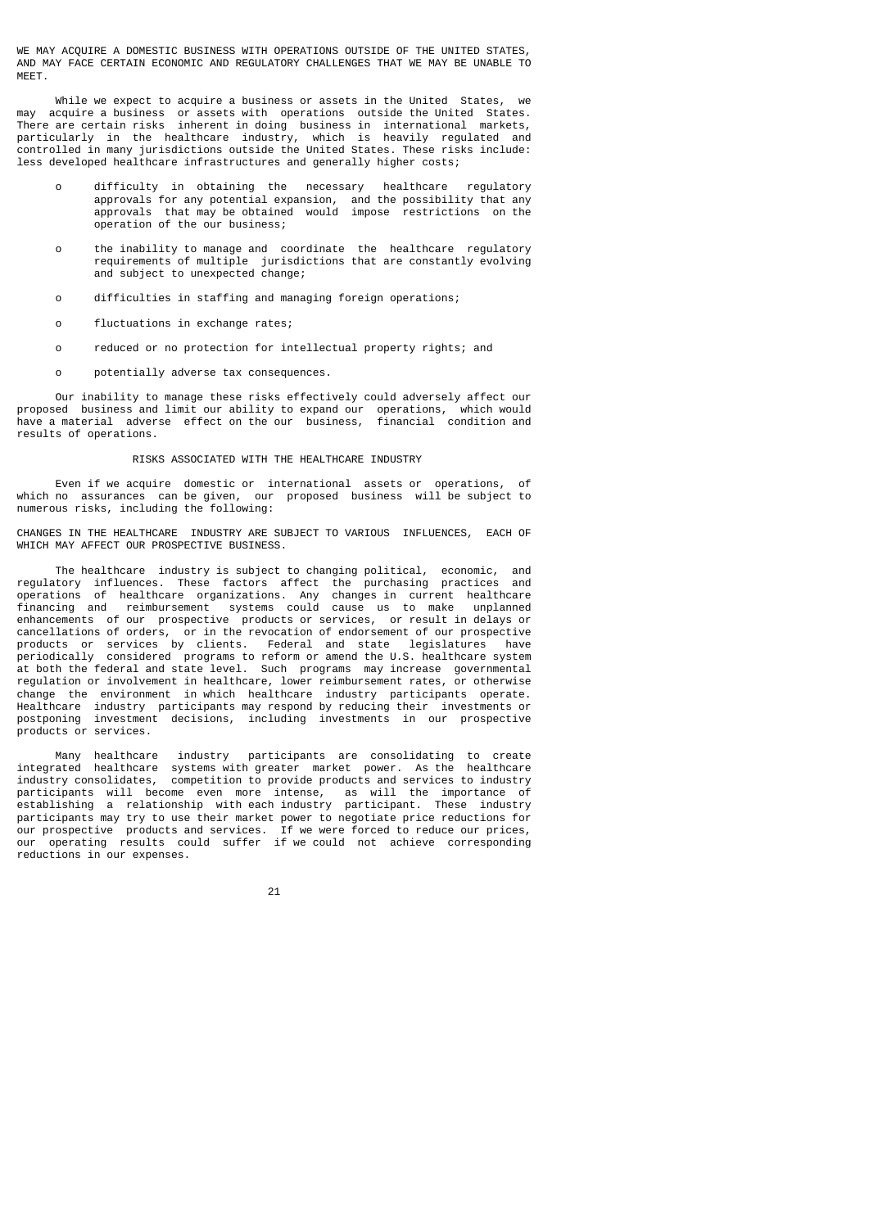WE MAY ACQUITRE A DOMESTIC BUSINESS WITH OPERATIONS OUTSIDE OF THE UNITED STATES. AND MAY FACE CERTAIN ECONOMIC AND REGULATORY CHALLENGES THAT WE MAY BE UNABLE TO MEET.

While we expect to acquire a business or assets in the United States, we may acquire a business or assets with operations outside the United States. There are certain risks inherent in doing business in international markets, particularly in the healthcare industry, which is heavily regulated and controlled in many jurisdictions outside the United States. These risks include: less developed healthcare infrastructures and generally higher costs;

- o difficulty in obtaining the necessary healthcare regulatory approvals for any potential expansion, and the possibility that any approvals that may be obtained would impose restrictions on the operation of the our business;
	- o the inability to manage and coordinate the healthcare regulatory requirements of multiple jurisdictions that are constantly evolving and subject to unexpected change;
	- o difficulties in staffing and managing foreign operations;
	- o fluctuations in exchange rates;
	- o reduced or no protection for intellectual property rights; and
	- o potentially adverse tax consequences.

 Our inability to manage these risks effectively could adversely affect our proposed business and limit our ability to expand our operations, which would have a material adverse effect on the our business, financial condition and results of operations.

## RISKS ASSOCIATED WITH THE HEALTHCARE INDUSTRY

 Even if we acquire domestic or international assets or operations, of which no assurances can be given, our proposed business will be subject to numerous risks, including the following:

CHANGES IN THE HEALTHCARE INDUSTRY ARE SUBJECT TO VARIOUS INFLUENCES, EACH OF WHICH MAY AFFECT OUR PROSPECTIVE BUSINESS.

 The healthcare industry is subject to changing political, economic, and regulatory influences. These factors affect the purchasing practices and operations of healthcare organizations. Any changes in current healthcare financing and reimbursement systems could cause us to make unplanned enhancements of our prospective products or services, or result in delays or cancellations of orders, or in the revocation of endorsement of our prospective products or services by clients. Federal and state legislatures have periodically considered programs to reform or amend the U.S. healthcare system at both the federal and state level. Such programs may increase governmental regulation or involvement in healthcare, lower reimbursement rates, or otherwise change the environment in which healthcare industry participants operate. Healthcare industry participants may respond by reducing their investments or postponing investment decisions, including investments in our prospective products or services.

 Many healthcare industry participants are consolidating to create integrated healthcare systems with greater market power. As the healthcare industry consolidates, competition to provide products and services to industry participants will become even more intense, as will the importance of establishing a relationship with each industry participant. These industry participants may try to use their market power to negotiate price reductions for our prospective products and services. If we were forced to reduce our prices, our operating results could suffer if we could not achieve corresponding reductions in our expenses.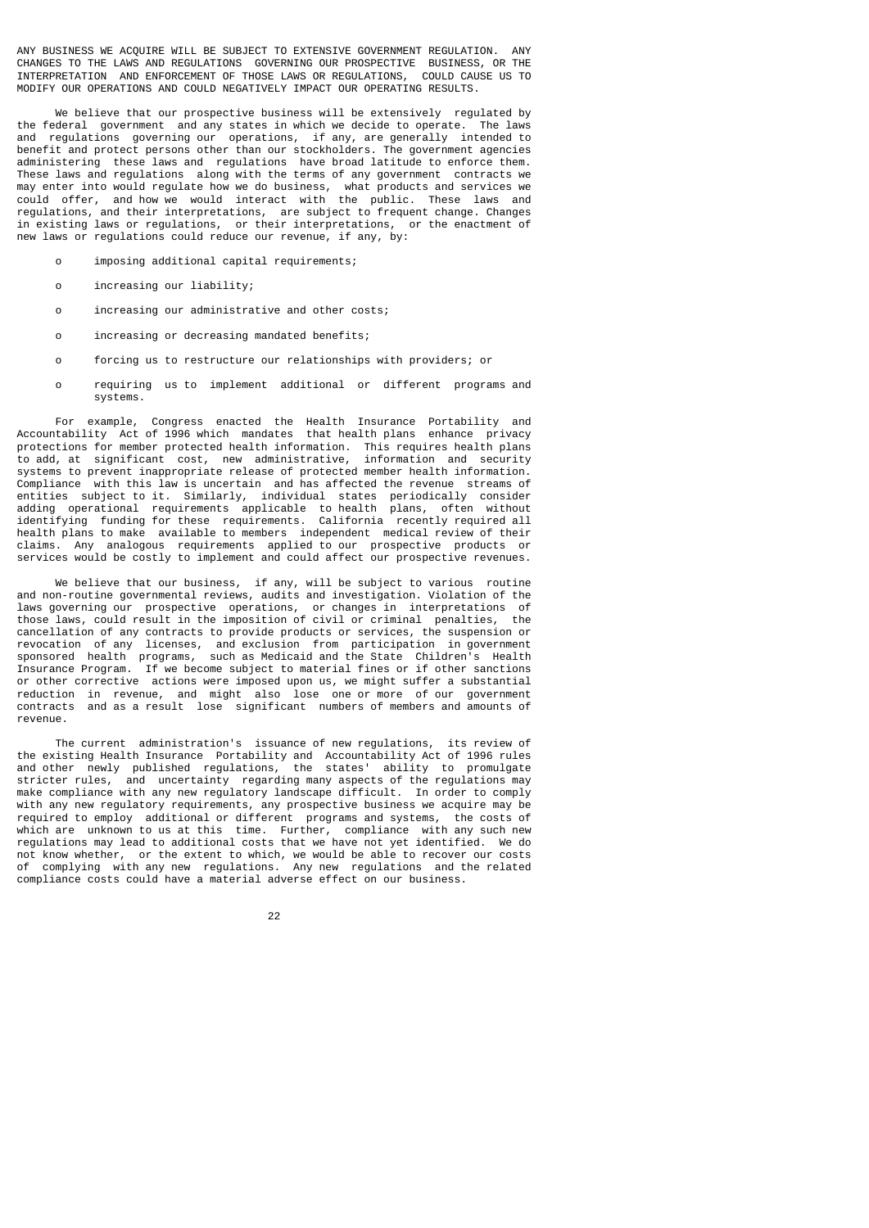ANY BUSINESS WE ACQUIRE WILL BE SUBJECT TO EXTENSIVE GOVERNMENT REGULATION. ANY CHANGES TO THE LAWS AND REGULATIONS GOVERNING OUR PROSPECTIVE BUSINESS, OR THE INTERPRETATION AND ENFORCEMENT OF THOSE LAWS OR REGULATIONS, COULD CAUSE US TO MODIFY OUR OPERATIONS AND COULD NEGATIVELY IMPACT OUR OPERATING RESULTS.

 We believe that our prospective business will be extensively regulated by the federal government and any states in which we decide to operate. The laws and regulations governing our operations, if any, are generally intended to benefit and protect persons other than our stockholders. The government agencies administering these laws and regulations have broad latitude to enforce them. These laws and regulations along with the terms of any government contracts we may enter into would regulate how we do business, what products and services we could offer, and how we would interact with the public. These laws and regulations, and their interpretations, are subject to frequent change. Changes in existing laws or regulations, or their interpretations, or the enactment of new laws or regulations could reduce our revenue, if any, by:

- o imposing additional capital requirements;
- o increasing our liability;
- o increasing our administrative and other costs;
- o increasing or decreasing mandated benefits;
- o forcing us to restructure our relationships with providers; or
- o requiring us to implement additional or different programs and systems.

 For example, Congress enacted the Health Insurance Portability and Accountability Act of 1996 which mandates that health plans enhance privacy protections for member protected health information. This requires health plans to add, at significant cost, new administrative, information and security systems to prevent inappropriate release of protected member health information. Compliance with this law is uncertain and has affected the revenue streams of entities subject to it. Similarly, individual states periodically consider adding operational requirements applicable to health plans, often without identifying funding for these requirements. California recently required all health plans to make available to members independent medical review of their claims. Any analogous requirements applied to our prospective products or services would be costly to implement and could affect our prospective revenues.

 We believe that our business, if any, will be subject to various routine and non-routine governmental reviews, audits and investigation. Violation of the laws governing our prospective operations, or changes in interpretations of those laws, could result in the imposition of civil or criminal penalties, the cancellation of any contracts to provide products or services, the suspension or revocation of any licenses, and exclusion from participation in government sponsored health programs, such as Medicaid and the State Children's Health Insurance Program. If we become subject to material fines or if other sanctions or other corrective actions were imposed upon us, we might suffer a substantial reduction in revenue, and might also lose one or more of our government contracts and as a result lose significant numbers of members and amounts of revenue.

 The current administration's issuance of new regulations, its review of the existing Health Insurance Portability and Accountability Act of 1996 rules and other newly published regulations, the states' ability to promulgate stricter rules, and uncertainty regarding many aspects of the regulations may make compliance with any new regulatory landscape difficult. In order to comply with any new regulatory requirements, any prospective business we acquire may be required to employ additional or different programs and systems, the costs of which are unknown to us at this time. Further, compliance with any such new regulations may lead to additional costs that we have not yet identified. We do not know whether, or the extent to which, we would be able to recover our costs of complying with any new regulations. Any new regulations and the related compliance costs could have a material adverse effect on our business.

<u>22</u>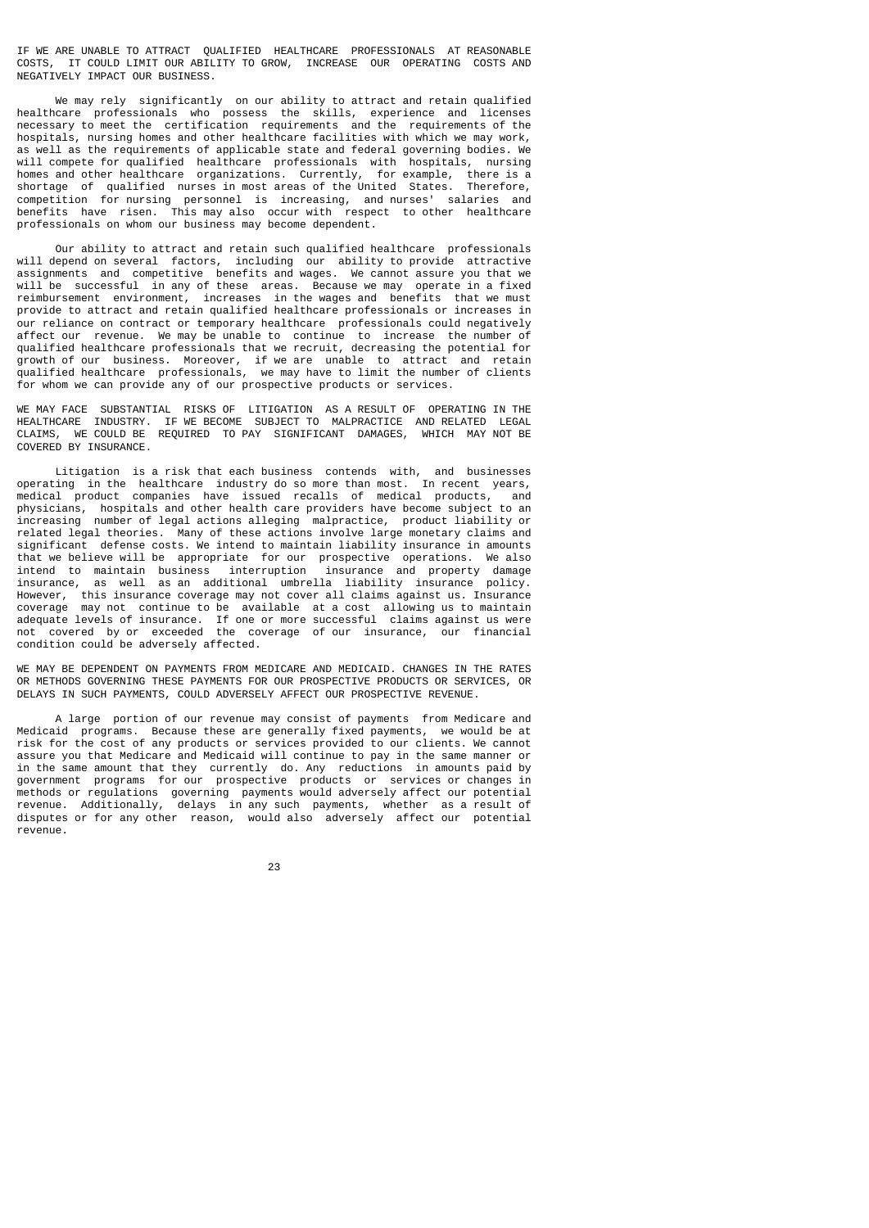IF WE ARE UNABLE TO ATTRACT QUALIFIED HEALTHCARE PROFESSIONALS AT REASONABLE COSTS, IT COULD LIMIT OUR ABILITY TO GROW, INCREASE OUR OPERATING COSTS AND NEGATIVELY IMPACT OUR BUSINESS.

 We may rely significantly on our ability to attract and retain qualified healthcare professionals who possess the skills, experience and licenses necessary to meet the certification requirements and the requirements of the hospitals, nursing homes and other healthcare facilities with which we may work, as well as the requirements of applicable state and federal governing bodies. We will compete for qualified healthcare professionals with hospitals, nursing homes and other healthcare organizations. Currently, for example, there is a shortage of qualified nurses in most areas of the United States. Therefore, competition for nursing personnel is increasing, and nurses' salaries and benefits have risen. This may also occur with respect to other healthcare professionals on whom our business may become dependent.

 Our ability to attract and retain such qualified healthcare professionals will depend on several factors, including our ability to provide attractive assignments and competitive benefits and wages. We cannot assure you that we will be successful in any of these areas. Because we may operate in a fixed reimbursement environment, increases in the wages and benefits that we must provide to attract and retain qualified healthcare professionals or increases in our reliance on contract or temporary healthcare professionals could negatively affect our revenue. We may be unable to continue to increase the number of qualified healthcare professionals that we recruit, decreasing the potential for growth of our business. Moreover, if we are unable to attract and retain qualified healthcare professionals, we may have to limit the number of clients for whom we can provide any of our prospective products or services.

WE MAY FACE SUBSTANTIAL RISKS OF LITIGATION AS A RESULT OF OPERATING IN THE HEALTHCARE INDUSTRY. IF WE BECOME SUBJECT TO MALPRACTICE AND RELATED LEGAL CLAIMS, WE COULD BE REQUIRED TO PAY SIGNIFICANT DAMAGES, WHICH MAY NOT BE COVERED BY INSURANCE.

 Litigation is a risk that each business contends with, and businesses operating in the healthcare industry do so more than most. In recent years,<br>medical product companies have issued recalls of medical products and medical product companies have issued recalls of medical products, physicians, hospitals and other health care providers have become subject to an increasing number of legal actions alleging malpractice, product liability or related legal theories. Many of these actions involve large monetary claims and significant defense costs. We intend to maintain liability insurance in amounts that we believe will be appropriate for our prospective operations. We also intend to maintain business interruption insurance and property damage insurance, as well as an additional umbrella liability insurance policy. However, this insurance coverage may not cover all claims against us. Insurance coverage may not continue to be available at a cost allowing us to maintain adequate levels of insurance. If one or more successful claims against us were not covered by or exceeded the coverage of our insurance, our financial condition could be adversely affected.

WE MAY BE DEPENDENT ON PAYMENTS FROM MEDICARE AND MEDICAID. CHANGES IN THE RATES OR METHODS GOVERNING THESE PAYMENTS FOR OUR PROSPECTIVE PRODUCTS OR SERVICES, OR DELAYS IN SUCH PAYMENTS, COULD ADVERSELY AFFECT OUR PROSPECTIVE REVENUE.

 A large portion of our revenue may consist of payments from Medicare and Medicaid programs. Because these are generally fixed payments, we would be at risk for the cost of any products or services provided to our clients. We cannot assure you that Medicare and Medicaid will continue to pay in the same manner or in the same amount that they currently do. Any reductions in amounts paid by government programs for our prospective products or services or changes in methods or regulations governing payments would adversely affect our potential revenue. Additionally, delays in any such payments, whether as a result of disputes or for any other reason, would also adversely affect our potential revenue.

<u>23 and 23</u>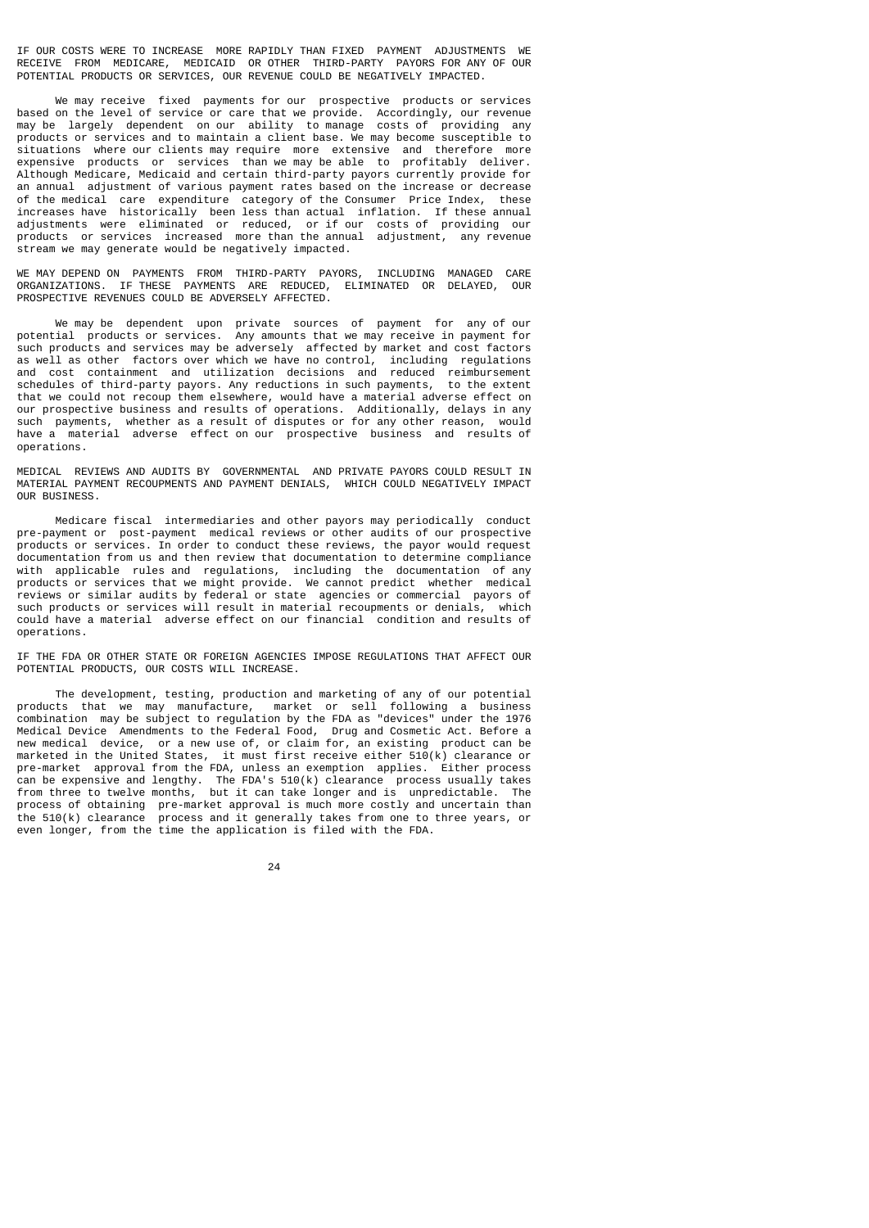IF OUR COSTS WERE TO INCREASE MORE RAPIDLY THAN FIXED PAYMENT ADJUSTMENTS WE RECEIVE FROM MEDICARE, MEDICAID OR OTHER THIRD-PARTY PAYORS FOR ANY OF OUR POTENTIAL PRODUCTS OR SERVICES, OUR REVENUE COULD BE NEGATIVELY IMPACTED.

 We may receive fixed payments for our prospective products or services based on the level of service or care that we provide. Accordingly, our revenue may be largely dependent on our ability to manage costs of providing any products or services and to maintain a client base. We may become susceptible to situations where our clients may require more extensive and therefore more expensive products or services than we may be able to profitably deliver. Although Medicare, Medicaid and certain third-party payors currently provide for an annual adjustment of various payment rates based on the increase or decrease of the medical care expenditure category of the Consumer Price Index, these increases have historically been less than actual inflation. If these annual adjustments were eliminated or reduced, or if our costs of providing our products or services increased more than the annual adjustment, any revenue stream we may generate would be negatively impacted.

WE MAY DEPEND ON PAYMENTS FROM THIRD-PARTY PAYORS, INCLUDING MANAGED CARE<br>ORGANIZATIONS. IF THESE PAYMENTS ARE REDUCED. FLIMINATED OR DELAYED. OUR ORGANIZATIONS. IF THESE PAYMENTS ARE REDUCED, ELIMINATED OR DELAYED, PROSPECTIVE REVENUES COULD BE ADVERSELY AFFECTED.

 We may be dependent upon private sources of payment for any of our potential products or services. Any amounts that we may receive in payment for such products and services may be adversely affected by market and cost factors as well as other factors over which we have no control, including regulations and cost containment and utilization decisions and reduced reimbursement schedules of third-party payors. Any reductions in such payments, to the extent that we could not recoup them elsewhere, would have a material adverse effect on our prospective business and results of operations. Additionally, delays in any such payments, whether as a result of disputes or for any other reason, would have a material adverse effect on our prospective business and results of operations.

MEDICAL REVIEWS AND AUDITS BY GOVERNMENTAL AND PRIVATE PAYORS COULD RESULT IN MATERIAL PAYMENT RECOUPMENTS AND PAYMENT DENIALS, WHICH COULD NEGATIVELY IMPACT OUR BUSINESS.

 Medicare fiscal intermediaries and other payors may periodically conduct pre-payment or post-payment medical reviews or other audits of our prospective products or services. In order to conduct these reviews, the payor would request documentation from us and then review that documentation to determine compliance with applicable rules and regulations, including the documentation of any products or services that we might provide. We cannot predict whether medical reviews or similar audits by federal or state agencies or commercial payors of such products or services will result in material recoupments or denials, which could have a material adverse effect on our financial condition and results of operations.

IF THE FDA OR OTHER STATE OR FOREIGN AGENCIES IMPOSE REGULATIONS THAT AFFECT OUR POTENTIAL PRODUCTS, OUR COSTS WILL INCREASE.

 The development, testing, production and marketing of any of our potential products that we may manufacture, market or sell following a business combination may be subject to regulation by the FDA as "devices" under the 1976 Medical Device Amendments to the Federal Food, Drug and Cosmetic Act. Before a new medical device, or a new use of, or claim for, an existing product can be marketed in the United States, it must first receive either 510(k) clearance or pre-market approval from the FDA, unless an exemption applies. Either process can be expensive and lengthy. The FDA's 510(k) clearance process usually takes from three to twelve months, but it can take longer and is unpredictable. The process of obtaining pre-market approval is much more costly and uncertain than the 510(k) clearance process and it generally takes from one to three years, or even longer, from the time the application is filed with the FDA.

<u>24</u>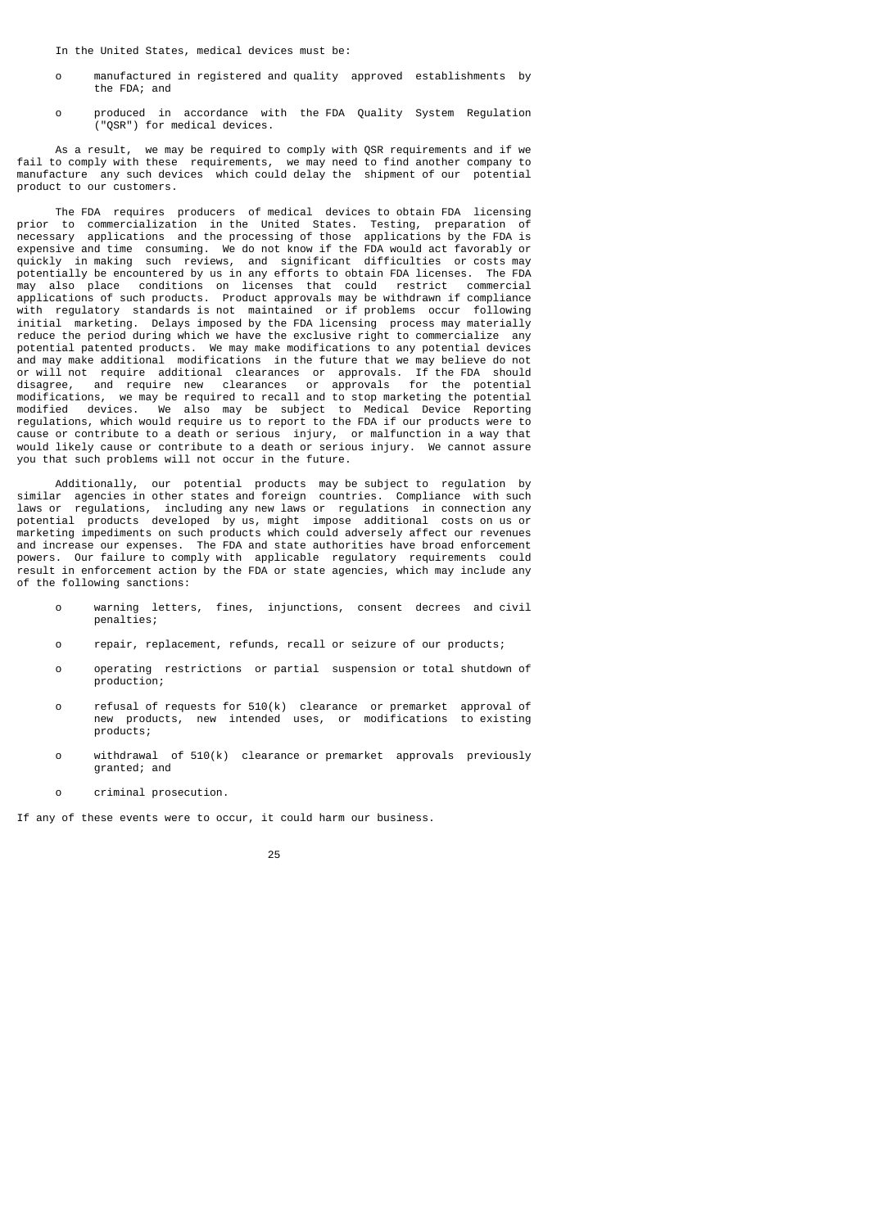In the United States, medical devices must be:

- o manufactured in registered and quality approved establishments by the FDA; and
- o produced in accordance with the FDA Quality System Regulation "QSR") for medical devices.

 As a result, we may be required to comply with QSR requirements and if we fail to comply with these requirements, we may need to find another company to manufacture any such devices which could delay the shipment of our potential product to our customers.

 The FDA requires producers of medical devices to obtain FDA licensing prior to commercialization in the United States. Testing, preparation of necessary applications and the processing of those applications by the FDA is expensive and time consuming. We do not know if the FDA would act favorably or quickly in making such reviews, and significant difficulties or costs may potentially be encountered by us in any efforts to obtain FDA licenses. The FDA may also place conditions on licenses that could restrict commercial applications of such products. Product approvals may be withdrawn if compliance with regulatory standards is not maintained or if problems occur following initial marketing. Delays imposed by the FDA licensing process may materially reduce the period during which we have the exclusive right to commercialize any potential patented products. We may make modifications to any potential devices and may make additional modifications in the future that we may believe do not or will not require additional clearances or approvals. If the FDA should disagree, and require new clearances or approvals for the potential modifications, we may be required to recall and to stop marketing the potential modified devices. We also may be subject to Medical Device Reporting regulations, which would require us to report to the FDA if our products were to cause or contribute to a death or serious injury, or malfunction in a way that would likely cause or contribute to a death or serious injury. We cannot assure you that such problems will not occur in the future.

 Additionally, our potential products may be subject to regulation by similar agencies in other states and foreign countries. Compliance with such laws or regulations, including any new laws or regulations in connection any potential products developed by us, might impose additional costs on us or marketing impediments on such products which could adversely affect our revenues and increase our expenses. The FDA and state authorities have broad enforcement powers. Our failure to comply with applicable regulatory requirements could result in enforcement action by the FDA or state agencies, which may include any of the following sanctions:

- o warning letters, fines, injunctions, consent decrees and civil penalties;
- o repair, replacement, refunds, recall or seizure of our products;
- o operating restrictions or partial suspension or total shutdown of production;
- o refusal of requests for 510(k) clearance or premarket approval of new products, new intended uses, or modifications to existing products;
	- o withdrawal of 510(k) clearance or premarket approvals previously granted; and
	- o criminal prosecution.

If any of these events were to occur, it could harm our business.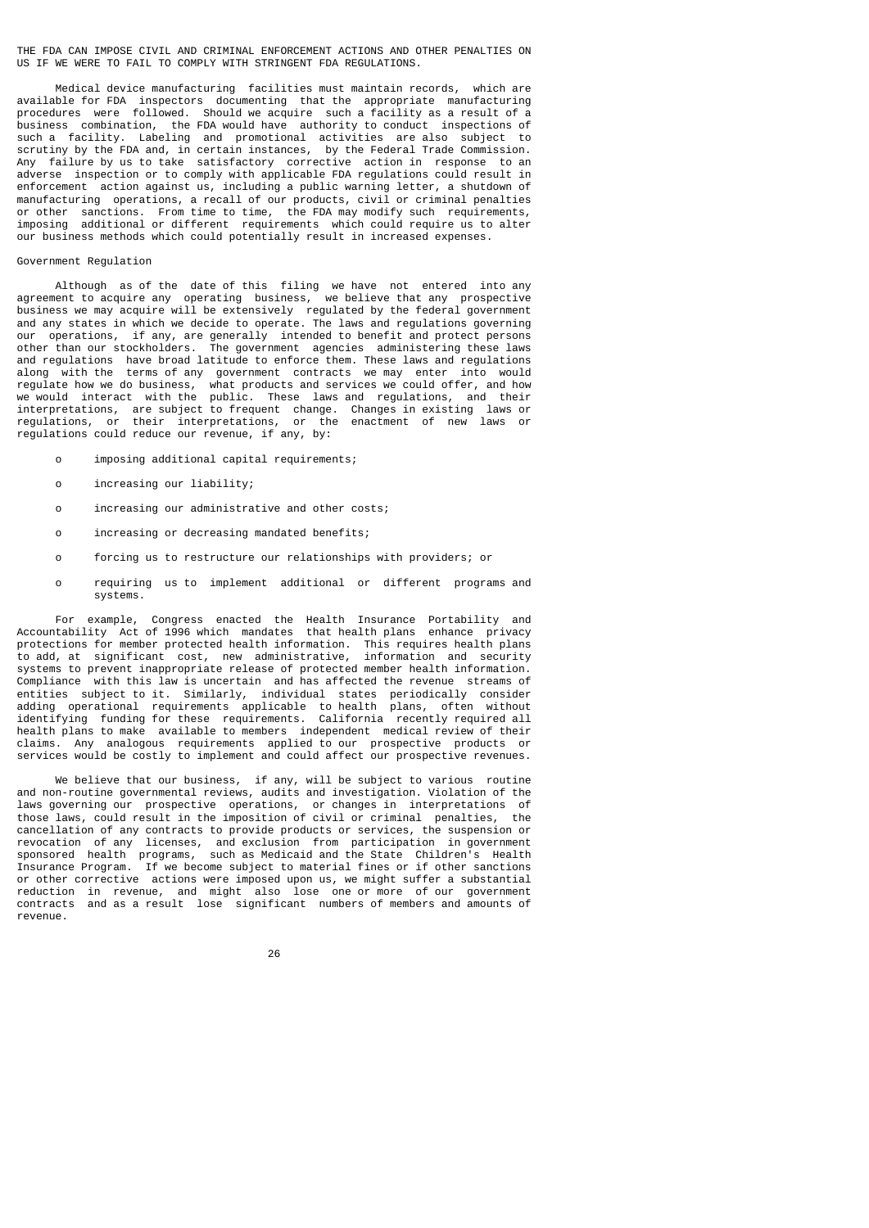## THE FDA CAN IMPOSE CIVIL AND CRIMINAL ENFORCEMENT ACTIONS AND OTHER PENALTIES ON US IF WE WERE TO FAIL TO COMPLY WITH STRINGENT FDA REGULATIONS.

 Medical device manufacturing facilities must maintain records, which are available for FDA inspectors documenting that the appropriate manufacturing procedures were followed. Should we acquire such a facility as a result of a business combination, the FDA would have authority to conduct inspections of such a facility. Labeling and promotional activities are also subject to scrutiny by the FDA and, in certain instances, by the Federal Trade Commission. Any failure by us to take satisfactory corrective action in response to an adverse inspection or to comply with applicable FDA regulations could result in enforcement action against us, including a public warning letter, a shutdown of manufacturing operations, a recall of our products, civil or criminal penalties or other sanctions. From time to time, the FDA may modify such requirements, imposing additional or different requirements which could require us to alter our business methods which could potentially result in increased expenses.

## Government Regulation

 Although as of the date of this filing we have not entered into any agreement to acquire any operating business, we believe that any prospective business we may acquire will be extensively regulated by the federal government and any states in which we decide to operate. The laws and regulations governing our operations, if any, are generally intended to benefit and protect persons other than our stockholders. The government agencies administering these laws and regulations have broad latitude to enforce them. These laws and regulations along with the terms of any government contracts we may enter into would regulate how we do business, what products and services we could offer, and how we would interact with the public. These laws and regulations, and their interpretations, are subject to frequent change. Changes in existing laws or regulations, or their interpretations, or the enactment of new laws or regulations could reduce our revenue, if any, by:

- o imposing additional capital requirements;
- o increasing our liability;
- o increasing our administrative and other costs;
- o increasing or decreasing mandated benefits;
- o forcing us to restructure our relationships with providers; or
- o requiring us to implement additional or different programs and systems.

 For example, Congress enacted the Health Insurance Portability and Accountability Act of 1996 which mandates that health plans enhance privacy protections for member protected health information. This requires health plans to add, at significant cost, new administrative, information and security systems to prevent inappropriate release of protected member health information. Compliance with this law is uncertain and has affected the revenue streams of entities subject to it. Similarly, individual states periodically consider adding operational requirements applicable to health plans, often without identifying funding for these requirements. California recently required all health plans to make available to members independent medical review of their claims. Any analogous requirements applied to our prospective products or services would be costly to implement and could affect our prospective revenues.

 We believe that our business, if any, will be subject to various routine and non-routine governmental reviews, audits and investigation. Violation of the laws governing our prospective operations, or changes in interpretations of those laws, could result in the imposition of civil or criminal penalties, the cancellation of any contracts to provide products or services, the suspension or revocation of any licenses, and exclusion from participation in government sponsored health programs, such as Medicaid and the State Children's Health Insurance Program. If we become subject to material fines or if other sanctions or other corrective actions were imposed upon us, we might suffer a substantial reduction in revenue, and might also lose one or more of our government contracts and as a result lose significant numbers of members and amounts of revenue.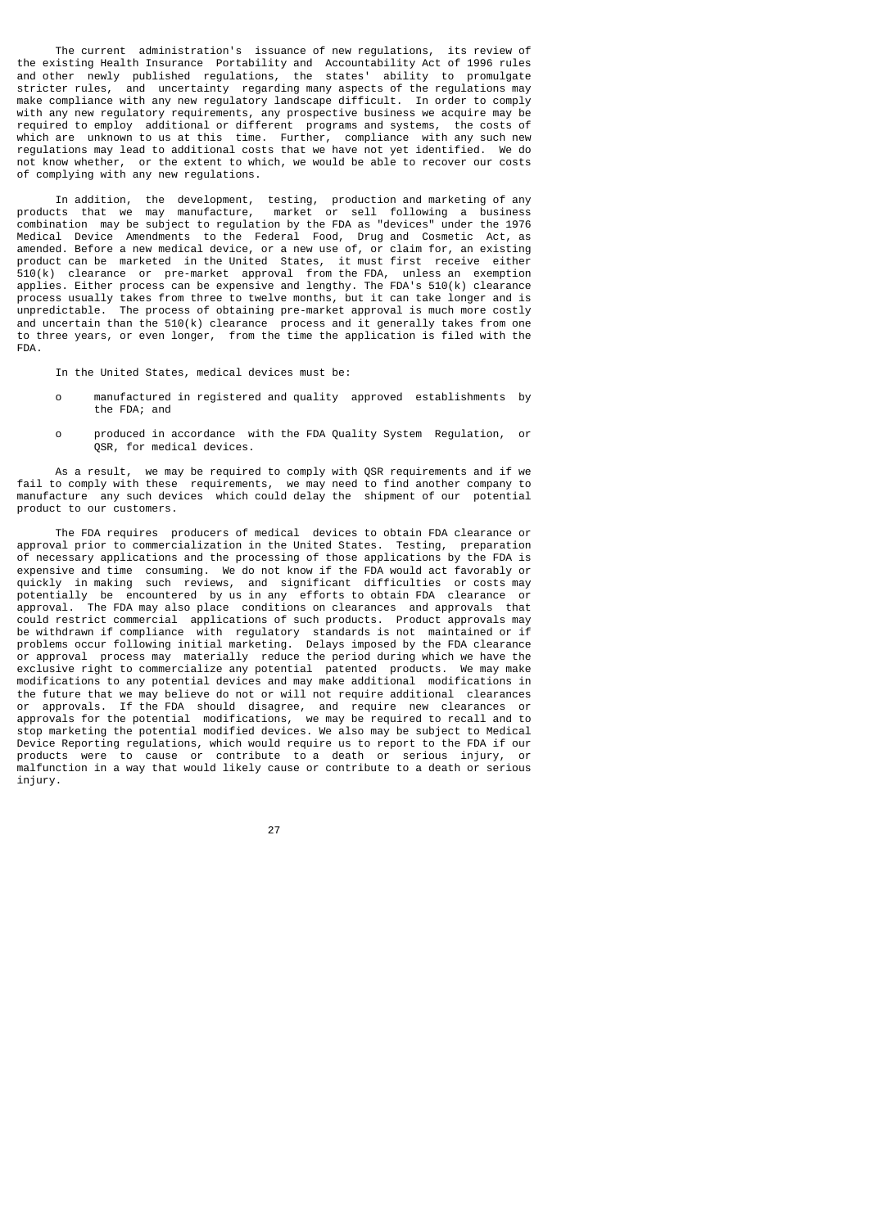The current administration's issuance of new regulations, its review of the existing Health Insurance Portability and Accountability Act of 1996 rules and other newly published regulations, the states' ability to promulgate stricter rules, and uncertainty regarding many aspects of the regulations may make compliance with any new regulatory landscape difficult. In order to comply with any new regulatory requirements, any prospective business we acquire may be required to employ additional or different programs and systems, the costs of which are unknown to us at this time. Further, compliance with any such new regulations may lead to additional costs that we have not yet identified. We do not know whether, or the extent to which, we would be able to recover our costs of complying with any new regulations.

 In addition, the development, testing, production and marketing of any products that we may manufacture, market or sell following a business combination may be subject to regulation by the FDA as "devices" under the 1976 Medical Device Amendments to the Federal Food, Drug and Cosmetic Act, as amended. Before a new medical device, or a new use of, or claim for, an existing product can be marketed in the United States, it must first receive either 510(k) clearance or pre-market approval from the FDA, unless an exemption applies. Either process can be expensive and lengthy. The FDA's 510(k) clearance process usually takes from three to twelve months, but it can take longer and is unpredictable. The process of obtaining pre-market approval is much more costly and uncertain than the 510(k) clearance process and it generally takes from one to three years, or even longer, from the time the application is filed with the FDA.

In the United States, medical devices must be:

- o manufactured in registered and quality approved establishments by the FDA; and
- o produced in accordance with the FDA Quality System Regulation, or QSR, for medical devices.

 As a result, we may be required to comply with QSR requirements and if we fail to comply with these requirements, we may need to find another company to manufacture any such devices which could delay the shipment of our potential product to our customers.

 The FDA requires producers of medical devices to obtain FDA clearance or approval prior to commercialization in the United States. Testing, preparation of necessary applications and the processing of those applications by the FDA is expensive and time consuming. We do not know if the FDA would act favorably or quickly in making such reviews, and significant difficulties or costs may potentially be encountered by us in any efforts to obtain FDA clearance or approval. The FDA may also place conditions on clearances and approvals that could restrict commercial applications of such products. Product approvals may be withdrawn if compliance with regulatory standards is not maintained or if problems occur following initial marketing. Delays imposed by the FDA clearance or approval process may materially reduce the period during which we have the exclusive right to commercialize any potential patented products. We may make modifications to any potential devices and may make additional modifications in the future that we may believe do not or will not require additional clearances or approvals. If the FDA should disagree, and require new clearances or approvals for the potential modifications, we may be required to recall and to stop marketing the potential modified devices. We also may be subject to Medical Device Reporting regulations, which would require us to report to the FDA if our products were to cause or contribute to a death or serious injury, or malfunction in a way that would likely cause or contribute to a death or serious injury.

<u>27 деновни представљен по стандарт и прва податника по стандарт и представљен по стандарт и применен по станда</u>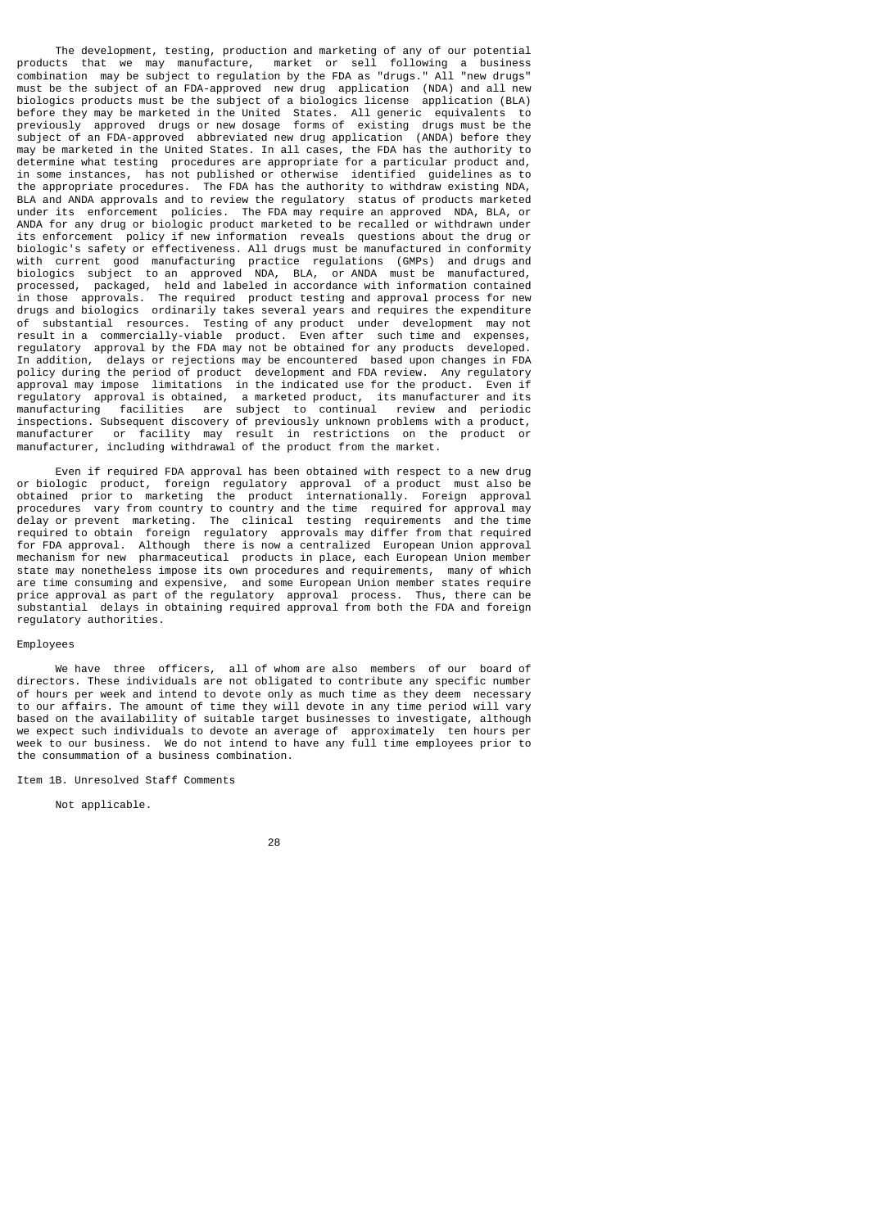The development, testing, production and marketing of any of our potential products that we may manufacture, market or sell following a business combination may be subject to regulation by the FDA as "drugs." All "new drugs" must be the subject of an FDA-approved new drug application (NDA) and all new biologics products must be the subject of a biologics license application (BLA) before they may be marketed in the United States. All generic equivalents to previously approved drugs or new dosage forms of existing drugs must be the subject of an FDA-approved abbreviated new drug application (ANDA) before they may be marketed in the United States. In all cases, the FDA has the authority to determine what testing procedures are appropriate for a particular product and, in some instances, has not published or otherwise identified guidelines as to the appropriate procedures. The FDA has the authority to withdraw existing NDA, BLA and ANDA approvals and to review the regulatory status of products marketed under its enforcement policies. The FDA may require an approved NDA, BLA, or ANDA for any drug or biologic product marketed to be recalled or withdrawn under its enforcement policy if new information reveals questions about the drug or biologic's safety or effectiveness. All drugs must be manufactured in conformity with current good manufacturing practice regulations (GMPs) and drugs and biologics subject to an approved NDA, BLA, or ANDA must be manufactured, processed, packaged, held and labeled in accordance with information contained in those approvals. The required product testing and approval process for new drugs and biologics ordinarily takes several years and requires the expenditure of substantial resources. Testing of any product under development may not result in a commercially-viable product. Even after such time and expenses, regulatory approval by the FDA may not be obtained for any products developed. In addition, delays or rejections may be encountered based upon changes in FDA policy during the period of product development and FDA review. Any regulatory approval may impose limitations in the indicated use for the product. Even if regulatory approval is obtained, a marketed product, its manufacturer and its manufacturing facilities are subject to continual review and periodic inspections. Subsequent discovery of previously unknown problems with a product, manufacturer or facility may result in restrictions on the product or manufacturer, including withdrawal of the product from the market.

 Even if required FDA approval has been obtained with respect to a new drug or biologic product, foreign regulatory approval of a product must also be obtained prior to marketing the product internationally. Foreign approval procedures vary from country to country and the time required for approval may delay or prevent marketing. The clinical testing requirements and the time required to obtain foreign regulatory approvals may differ from that required for FDA approval. Although there is now a centralized European Union approval mechanism for new pharmaceutical products in place, each European Union member state may nonetheless impose its own procedures and requirements, many of which are time consuming and expensive, and some European Union member states require price approval as part of the regulatory approval process. Thus, there can be substantial delays in obtaining required approval from both the FDA and foreign regulatory authorities.

### Employees

 We have three officers, all of whom are also members of our board of directors. These individuals are not obligated to contribute any specific number of hours per week and intend to devote only as much time as they deem necessary to our affairs. The amount of time they will devote in any time period will vary based on the availability of suitable target businesses to investigate, although we expect such individuals to devote an average of approximately ten hours per week to our business. We do not intend to have any full time employees prior to the consummation of a business combination.

Item 1B. Unresolved Staff Comments

Not applicable.

<u>28 and 28 and 28 and 28 and 28 and 28 and 28 and 28 and 28 and 28 and 28 and 28 and 28 and 28 and 28 and 28 and 28 and 28 and 28 and 28 and 28 and 28 and 28 and 28 and 28 and 28 and 28 and 28 and 28 and 28 and 28 and 28 a</u>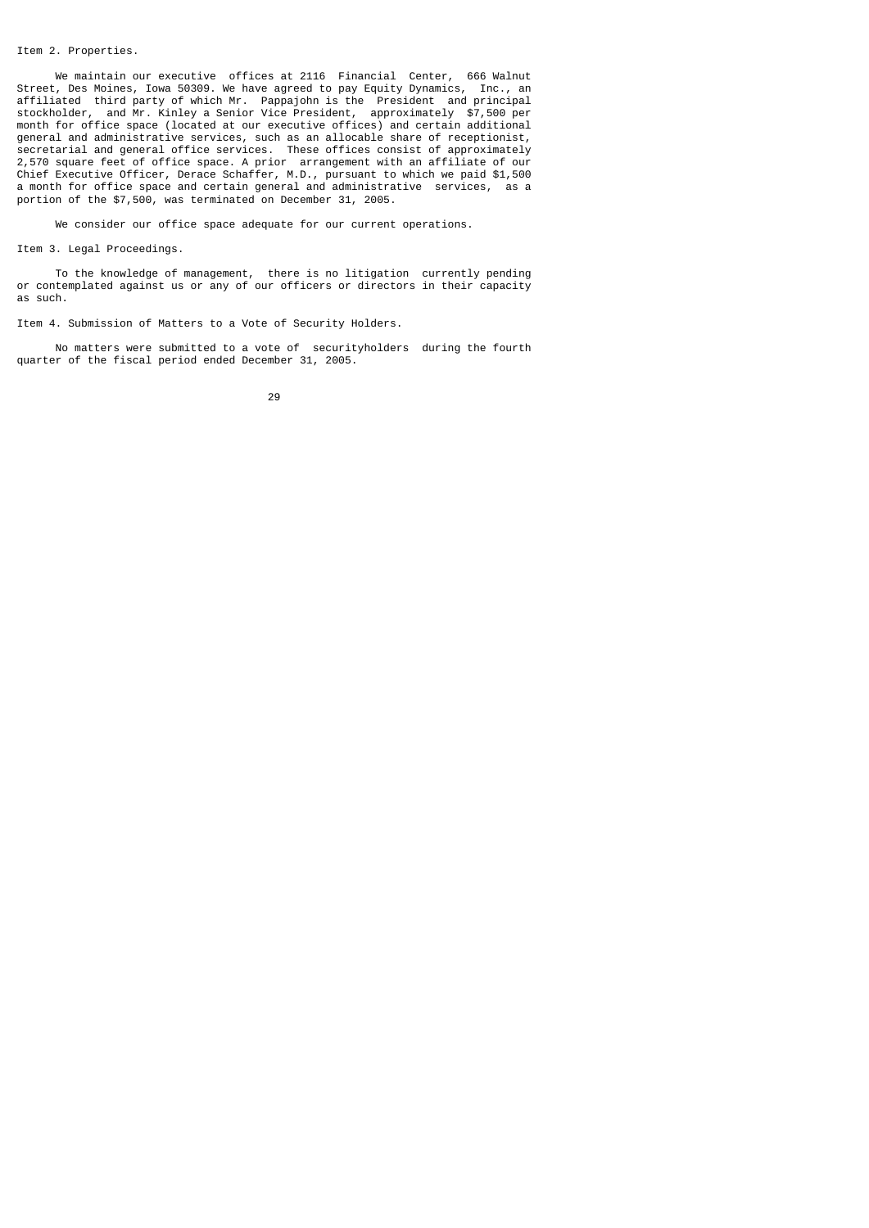### Item 2. Properties.

 We maintain our executive offices at 2116 Financial Center, 666 Walnut Street, Des Moines, Iowa 50309. We have agreed to pay Equity Dynamics, Inc., an affiliated third party of which Mr. Pappajohn is the President and principal stockholder, and Mr. Kinley a Senior Vice President, approximately \$7,500 per month for office space (located at our executive offices) and certain additional general and administrative services, such as an allocable share of receptionist, secretarial and general office services. These offices consist of approximately 2,570 square feet of office space. A prior arrangement with an affiliate of our Chief Executive Officer, Derace Schaffer, M.D., pursuant to which we paid \$1,500 a month for office space and certain general and administrative services, as a portion of the \$7,500, was terminated on December 31, 2005.

We consider our office space adequate for our current operations.

Item 3. Legal Proceedings.

 To the knowledge of management, there is no litigation currently pending or contemplated against us or any of our officers or directors in their capacity as such.

Item 4. Submission of Matters to a Vote of Security Holders.

 No matters were submitted to a vote of securityholders during the fourth quarter of the fiscal period ended December 31, 2005.

<u>29 and 29 and 29 and 29 and 29 and 29 and 29 and 29 and 29 and 29 and 29 and 29 and 29 and 29 and 29 and 2012</u>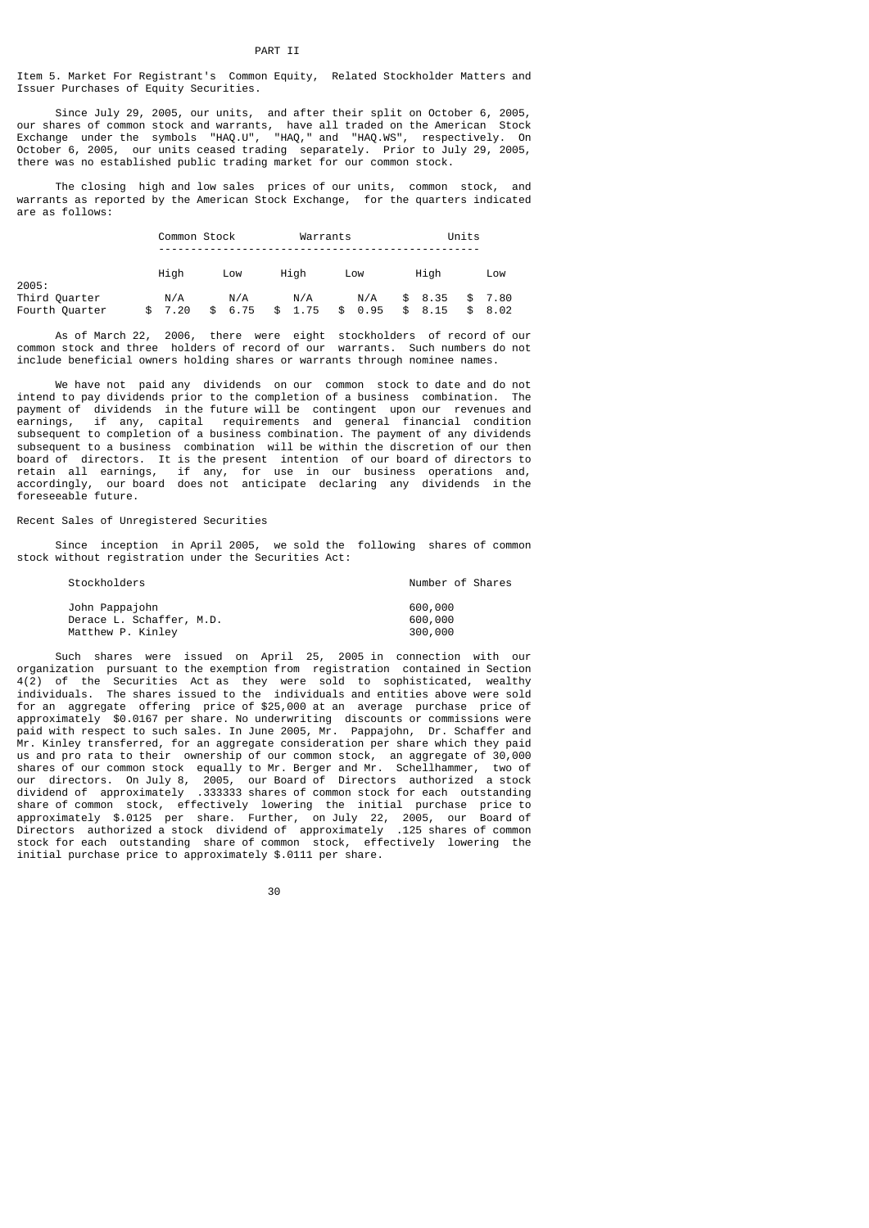Item 5. Market For Registrant's Common Equity, Related Stockholder Matters and Issuer Purchases of Equity Securities.

 Since July 29, 2005, our units, and after their split on October 6, 2005, our shares of common stock and warrants, have all traded on the American Stock Exchange under the symbols "HAQ.U", "HAQ," and "HAQ.WS", respectively. On October 6, 2005, our units ceased trading separately. Prior to July 29, 2005, there was no established public trading market for our common stock.

 The closing high and low sales prices of our units, common stock, and warrants as reported by the American Stock Exchange, for the quarters indicated are as follows:

|                                          | Common Stock |             |     | Warrants    |    |             | Units |             |    |                |    |                |
|------------------------------------------|--------------|-------------|-----|-------------|----|-------------|-------|-------------|----|----------------|----|----------------|
|                                          |              | Hiah        |     | Low         |    | Hiah        |       | Low         |    | Hiah           |    | Low            |
| 2005:<br>Third Quarter<br>Fourth Quarter |              | N/A<br>7.20 | \$. | N/A<br>6.75 | \$ | N/A<br>1.75 | \$    | N/A<br>0.95 | \$ | \$8.35<br>8.15 | \$ | \$7.80<br>8.02 |

 As of March 22, 2006, there were eight stockholders of record of our common stock and three holders of record of our warrants. Such numbers do not include beneficial owners holding shares or warrants through nominee names.

 We have not paid any dividends on our common stock to date and do not intend to pay dividends prior to the completion of a business combination. The payment of dividends in the future will be contingent upon our revenues and earnings, if any, capital requirements and general financial condition subsequent to completion of a business combination. The payment of any dividends subsequent to a business combination will be within the discretion of our then board of directors. It is the present intention of our board of directors to retain all earnings, if any, for use in our business operations and, accordingly, our board does not anticipate declaring any dividends in the foreseeable future.

# Recent Sales of Unregistered Securities

 Since inception in April 2005, we sold the following shares of common stock without registration under the Securities Act:

| Stockholders             | Number of Shares |
|--------------------------|------------------|
| John Pappajohn           | 600,000          |
| Derace L. Schaffer, M.D. | 600,000          |
| Matthew P. Kinley        | 300,000          |

 Such shares were issued on April 25, 2005 in connection with our organization pursuant to the exemption from registration contained in Section 4(2) of the Securities Act as they were sold to sophisticated, wealthy individuals. The shares issued to the individuals and entities above were sold for an aggregate offering price of \$25,000 at an average purchase price of approximately \$0.0167 per share. No underwriting discounts or commissions were paid with respect to such sales. In June 2005, Mr. Pappajohn, Dr. Schaffer and Mr. Kinley transferred, for an aggregate consideration per share which they paid us and pro rata to their ownership of our common stock, an aggregate of 30,000 shares of our common stock equally to Mr. Berger and Mr. Schellhammer, two of our directors. On July 8, 2005, our Board of Directors authorized a stock dividend of approximately .333333 shares of common stock for each outstanding share of common stock, effectively lowering the initial purchase price to approximately \$.0125 per share. Further, on July 22, 2005, our Board of Directors authorized a stock dividend of approximately .125 shares of common stock for each outstanding share of common stock, effectively lowering the initial purchase price to approximately \$.0111 per share.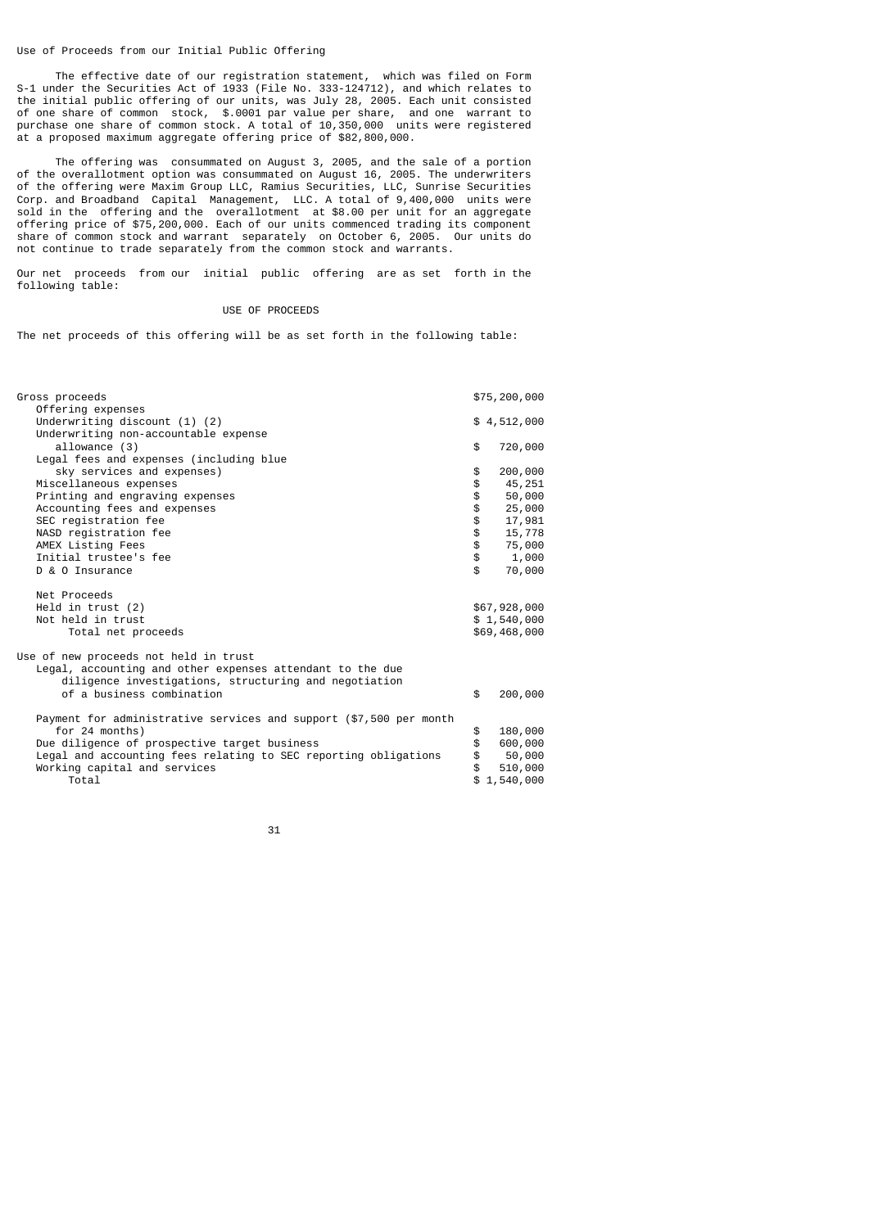### Use of Proceeds from our Initial Public Offering

 The effective date of our registration statement, which was filed on Form S-1 under the Securities Act of 1933 (File No. 333-124712), and which relates to the initial public offering of our units, was July 28, 2005. Each unit consisted of one share of common stock, \$.0001 par value per share, and one warrant to purchase one share of common stock. A total of 10,350,000 units were registered at a proposed maximum aggregate offering price of \$82,800,000.

 The offering was consummated on August 3, 2005, and the sale of a portion of the overallotment option was consummated on August 16, 2005. The underwriters of the offering were Maxim Group LLC, Ramius Securities, LLC, Sunrise Securities Corp. and Broadband Capital Management, LLC. A total of 9,400,000 units were sold in the offering and the overallotment at \$8.00 per unit for an aggregate offering price of \$75,200,000. Each of our units commenced trading its component share of common stock and warrant separately on October 6, 2005. Our units do not continue to trade separately from the common stock and warrants.

Our net proceeds from our initial public offering are as set forth in the following table:

# USE OF PROCEEDS

The net proceeds of this offering will be as set forth in the following table:

| Gross proceeds                                                     | \$75,200,000                  |  |
|--------------------------------------------------------------------|-------------------------------|--|
| Offering expenses                                                  |                               |  |
| Underwriting discount $(1)$ $(2)$                                  | \$4,512,000                   |  |
| Underwriting non-accountable expense<br>allowance (3)              | \$                            |  |
| Legal fees and expenses (including blue                            | 720,000                       |  |
| sky services and expenses)                                         | 200,000                       |  |
| Miscellaneous expenses                                             | \$<br>45, 251                 |  |
| Printing and engraving expenses                                    | 50,000                        |  |
| Accounting fees and expenses                                       | 25,000                        |  |
| SEC registration fee                                               | 17,981                        |  |
| NASD registration fee                                              | 15,778                        |  |
| AMEX Listing Fees                                                  | <b>\$\$\$\$\$\$</b><br>75,000 |  |
| Initial trustee's fee                                              | 1,000                         |  |
| D & O Insurance                                                    | \$<br>70,000                  |  |
|                                                                    |                               |  |
| Net Proceeds                                                       |                               |  |
| Held in trust $(2)$                                                | \$67,928,000                  |  |
| Not held in trust                                                  | \$1,540,000                   |  |
| Total net proceeds                                                 | \$69,468,000                  |  |
|                                                                    |                               |  |
| Use of new proceeds not held in trust                              |                               |  |
| Legal, accounting and other expenses attendant to the due          |                               |  |
| diligence investigations, structuring and negotiation              |                               |  |
| of a business combination                                          | \$<br>200,000                 |  |
|                                                                    |                               |  |
| Payment for administrative services and support (\$7,500 per month |                               |  |
| for 24 months)                                                     | 180,000<br>\$                 |  |
| Due diligence of prospective target business                       | \$<br>\$<br>600,000           |  |
| Legal and accounting fees relating to SEC reporting obligations    | 50,000                        |  |
| Working capital and services                                       | \$<br>510,000                 |  |
| Total                                                              | 1,540,000                     |  |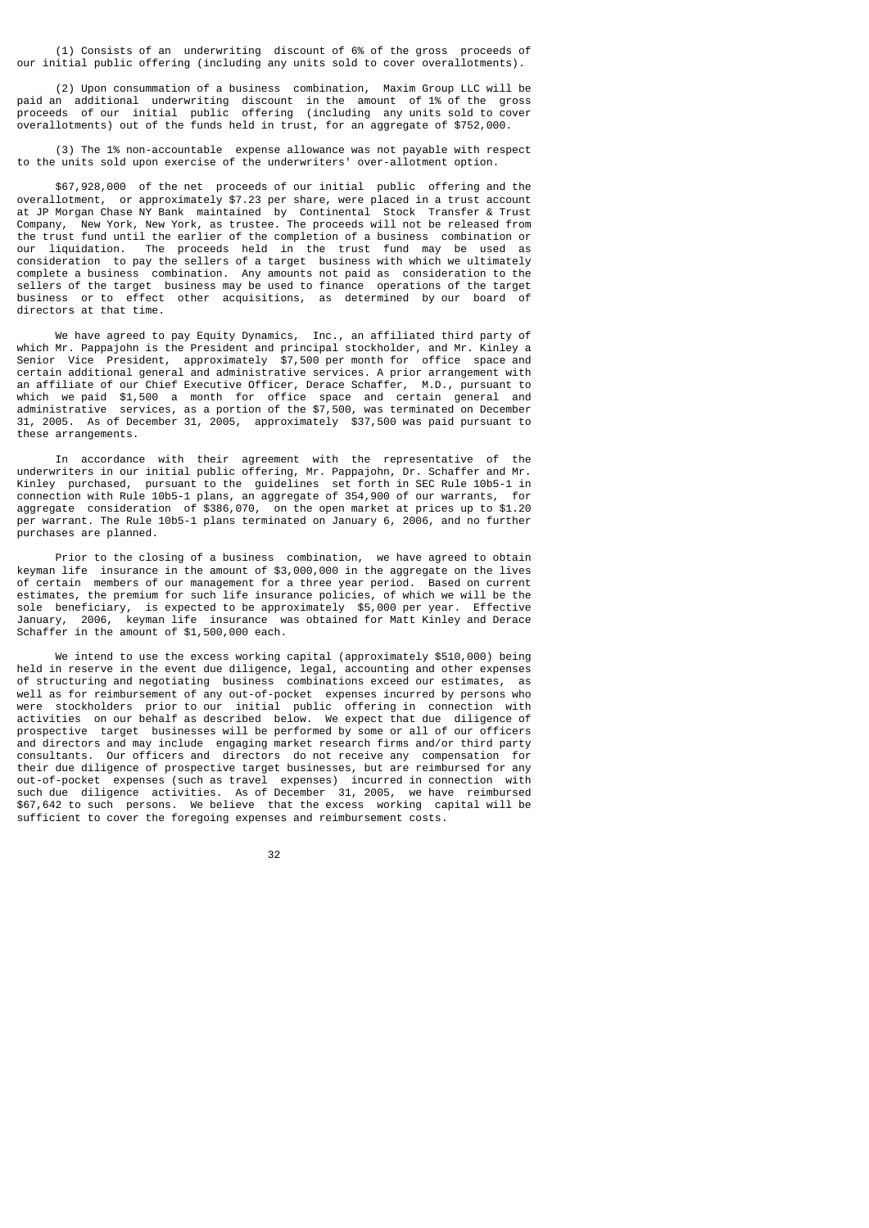(1) Consists of an underwriting discount of 6% of the gross proceeds of our initial public offering (including any units sold to cover overallotments).

 (2) Upon consummation of a business combination, Maxim Group LLC will be paid an additional underwriting discount in the amount of 1% of the gross proceeds of our initial public offering (including any units sold to cover overallotments) out of the funds held in trust, for an aggregate of \$752,000.

 (3) The 1% non-accountable expense allowance was not payable with respect to the units sold upon exercise of the underwriters' over-allotment option.

 \$67,928,000 of the net proceeds of our initial public offering and the overallotment, or approximately \$7.23 per share, were placed in a trust account at JP Morgan Chase NY Bank maintained by Continental Stock Transfer & Trust Company, New York, New York, as trustee. The proceeds will not be released from the trust fund until the earlier of the completion of a business combination or our liquidation. The proceeds held in the trust fund may be used as consideration to pay the sellers of a target business with which we ultimately complete a business combination. Any amounts not paid as consideration to the sellers of the target business may be used to finance operations of the target business or to effect other acquisitions, as determined by our board of directors at that time.

 We have agreed to pay Equity Dynamics, Inc., an affiliated third party of which Mr. Pappajohn is the President and principal stockholder, and Mr. Kinley a Senior Vice President, approximately \$7,500 per month for office space and certain additional general and administrative services. A prior arrangement with an affiliate of our Chief Executive Officer, Derace Schaffer, M.D., pursuant to which we paid \$1,500 a month for office space and certain general and administrative services, as a portion of the \$7,500, was terminated on December 31, 2005. As of December 31, 2005, approximately \$37,500 was paid pursuant to these arrangements.

 In accordance with their agreement with the representative of the underwriters in our initial public offering, Mr. Pappajohn, Dr. Schaffer and Mr. Kinley purchased, pursuant to the guidelines set forth in SEC Rule 10b5-1 in connection with Rule 10b5-1 plans, an aggregate of 354,900 of our warrants, for aggregate consideration of \$386,070, on the open market at prices up to \$1.20 per warrant. The Rule 10b5-1 plans terminated on January 6, 2006, and no further purchases are planned.

 Prior to the closing of a business combination, we have agreed to obtain keyman life insurance in the amount of \$3,000,000 in the aggregate on the lives of certain members of our management for a three year period. Based on current estimates, the premium for such life insurance policies, of which we will be the sole beneficiary, is expected to be approximately \$5,000 per year. Effective January, 2006, keyman life insurance was obtained for Matt Kinley and Derace Schaffer in the amount of \$1,500,000 each.

 We intend to use the excess working capital (approximately \$510,000) being held in reserve in the event due diligence, legal, accounting and other expenses of structuring and negotiating business combinations exceed our estimates, as well as for reimbursement of any out-of-pocket expenses incurred by persons who were stockholders prior to our initial public offering in connection with activities on our behalf as described below. We expect that due diligence of prospective target businesses will be performed by some or all of our officers and directors and may include engaging market research firms and/or third party consultants. Our officers and directors do not receive any compensation for their due diligence of prospective target businesses, but are reimbursed for any out-of-pocket expenses (such as travel expenses) incurred in connection with such due diligence activities. As of December 31, 2005, we have reimbursed \$67,642 to such persons. We believe that the excess working capital will be sufficient to cover the foregoing expenses and reimbursement costs.

а в село во село во село во село во 1920 година, во 1920 година, во 1920 година, во 1920 година, во 1920 годин<br>Во 1920 година, во 1920 година, во 1920 година, во 1920 година, во 1920 година, во 1920 година, во 1920 година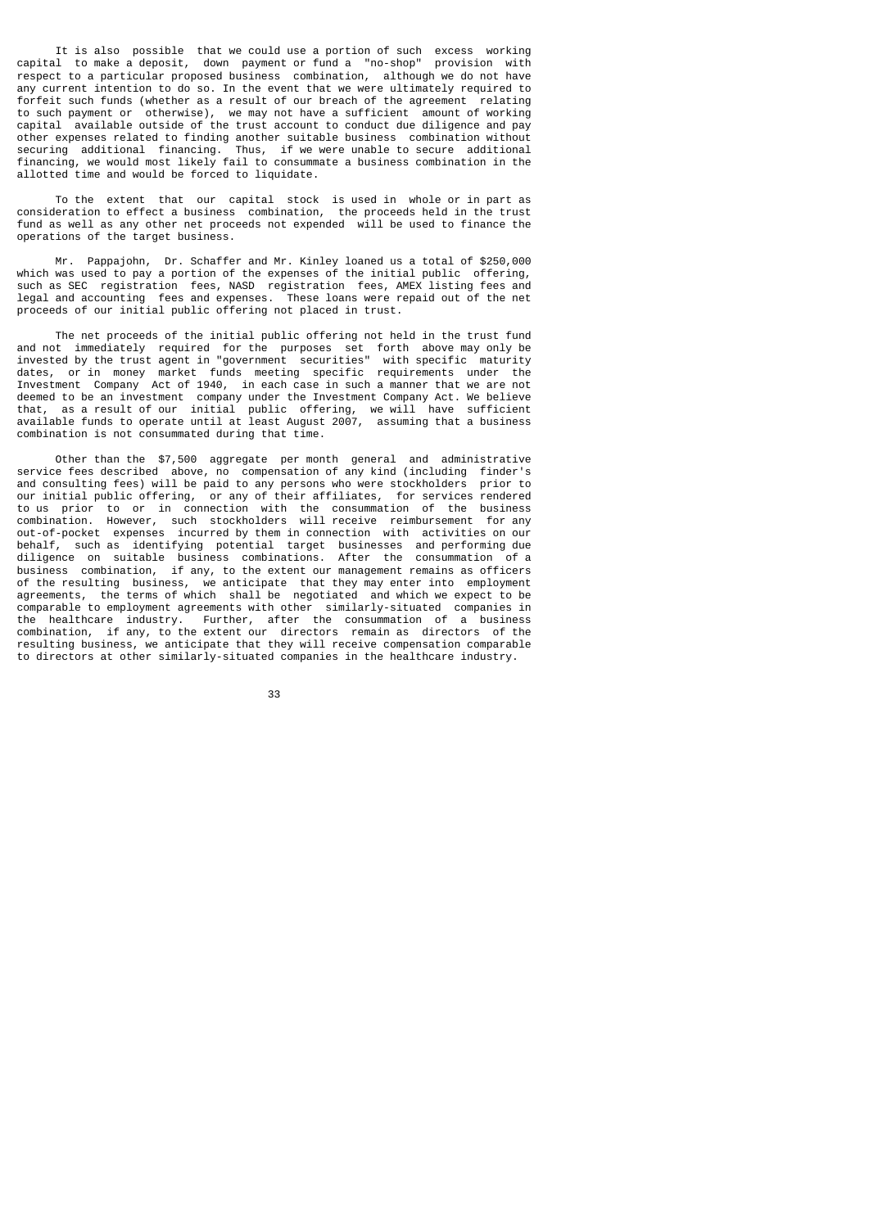It is also possible that we could use a portion of such excess working capital to make a deposit, down payment or fund a "no-shop" provision with respect to a particular proposed business combination, although we do not have any current intention to do so. In the event that we were ultimately required to forfeit such funds (whether as a result of our breach of the agreement relating to such payment or otherwise), we may not have a sufficient amount of working capital available outside of the trust account to conduct due diligence and pay other expenses related to finding another suitable business combination without securing additional financing. Thus, if we were unable to secure additional financing, we would most likely fail to consummate a business combination in the allotted time and would be forced to liquidate.

 To the extent that our capital stock is used in whole or in part as consideration to effect a business combination, the proceeds held in the trust fund as well as any other net proceeds not expended will be used to finance the operations of the target business.

 Mr. Pappajohn, Dr. Schaffer and Mr. Kinley loaned us a total of \$250,000 which was used to pay a portion of the expenses of the initial public offering, such as SEC registration fees, NASD registration fees, AMEX listing fees and legal and accounting fees and expenses. These loans were repaid out of the net proceeds of our initial public offering not placed in trust.

 The net proceeds of the initial public offering not held in the trust fund and not immediately required for the purposes set forth above may only be invested by the trust agent in "government securities" with specific maturity dates, or in money market funds meeting specific requirements under the Investment Company Act of 1940, in each case in such a manner that we are not deemed to be an investment company under the Investment Company Act. We believe that, as a result of our initial public offering, we will have sufficient available funds to operate until at least August 2007, assuming that a business combination is not consummated during that time.

 Other than the \$7,500 aggregate per month general and administrative service fees described above, no compensation of any kind (including finder's and consulting fees) will be paid to any persons who were stockholders prior to our initial public offering, or any of their affiliates, for services rendered to us prior to or in connection with the consummation of the business combination. However, such stockholders will receive reimbursement for any out-of-pocket expenses incurred by them in connection with activities on our behalf, such as identifying potential target businesses and performing due diligence on suitable business combinations. After the consummation of a business combination, if any, to the extent our management remains as officers of the resulting business, we anticipate that they may enter into employment agreements, the terms of which shall be negotiated and which we expect to be comparable to employment agreements with other similarly-situated companies in the healthcare industry. Further, after the consummation of a business combination, if any, to the extent our directors remain as directors of the resulting business, we anticipate that they will receive compensation comparable to directors at other similarly-situated companies in the healthcare industry.

33 and 2012 and 2013 and 2013 and 2014 and 2014 and 2014 and 2014 and 2014 and 2014 and 2014 and 2014 and 2014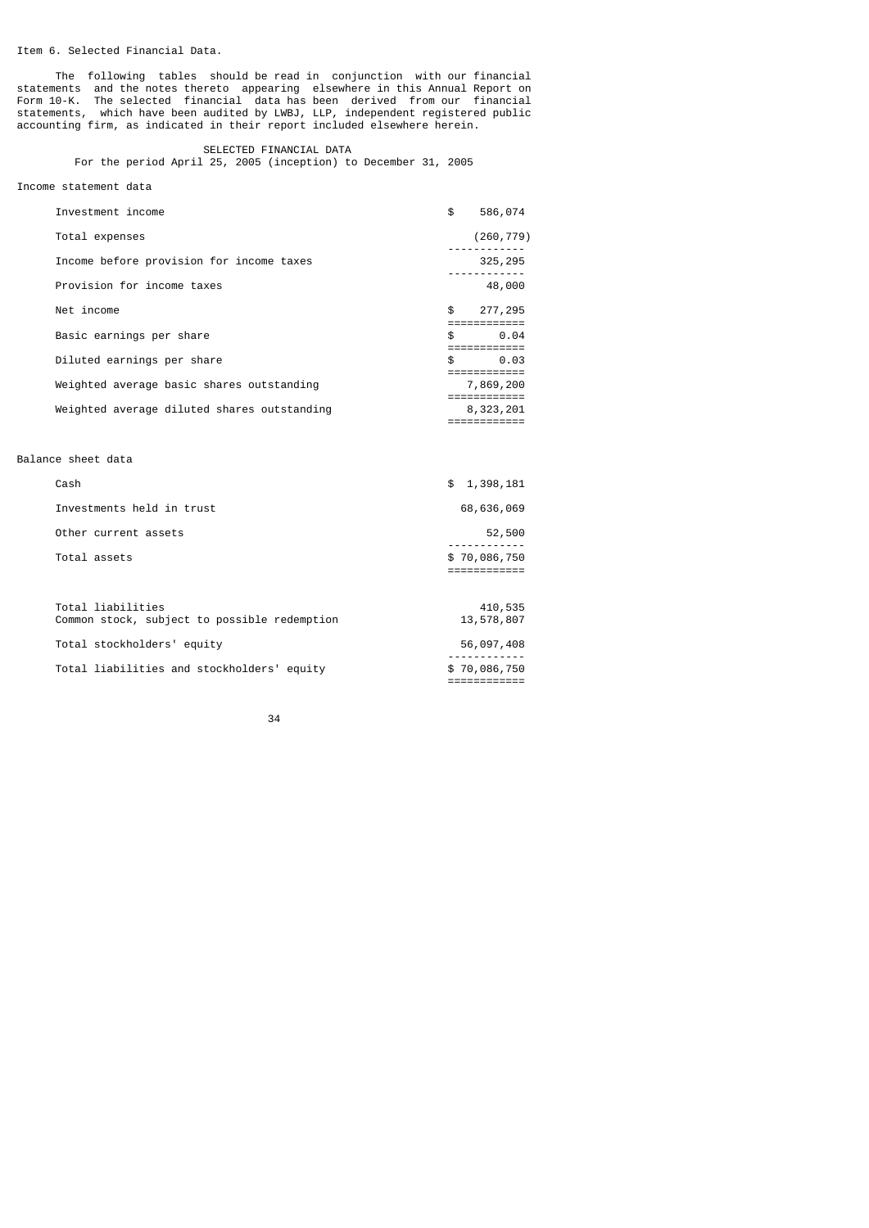The following tables should be read in conjunction with our financial statements and the notes thereto appearing elsewhere in this Annual Report on Form 10-K. The selected financial data has been derived from our financial statements, which have been audited by LWBJ, LLP, independent registered public accounting firm, as indicated in their report included elsewhere herein.

# SELECTED FINANCIAL DATA

For the period April 25, 2005 (inception) to December 31, 2005

# Income statement data

| Investment income                           | \$<br>586,074    |
|---------------------------------------------|------------------|
| Total expenses                              | (260, 779)       |
| Income before provision for income taxes    | 325, 295         |
| Provision for income taxes                  | ------<br>48,000 |
| Net income                                  | \$<br>277,295    |
| Basic earnings per share                    | \$<br>0.04       |
| Diluted earnings per share                  | \$<br>0.03       |
| Weighted average basic shares outstanding   | 7,869,200        |
| Weighted average diluted shares outstanding | 8,323,201        |

## Balance sheet data

| Cash                                                              | \$<br>1,398,181                        |
|-------------------------------------------------------------------|----------------------------------------|
| Investments held in trust                                         | 68,636,069                             |
| Other current assets                                              | 52,500<br>- - - - - - - - - - <b>-</b> |
| Total assets                                                      | \$70,086,750                           |
|                                                                   |                                        |
| Total liabilities<br>Common stock, subject to possible redemption | 410,535<br>13,578,807                  |
| Total stockholders' equity                                        | 56,097,408                             |
| Total liabilities and stockholders' equity                        | \$70,086,750                           |

<u>34 and 2012</u>

============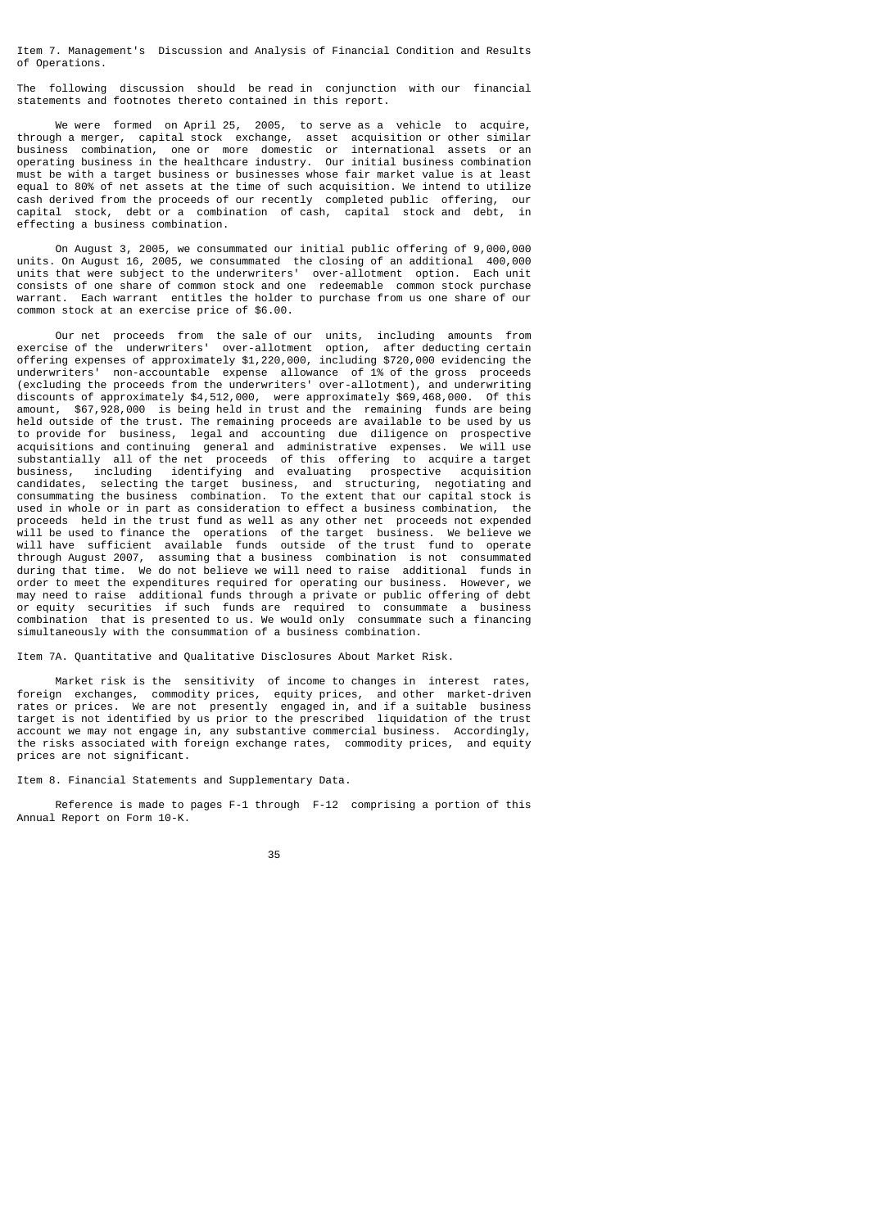Item 7. Management's Discussion and Analysis of Financial Condition and Results of Operations.

The following discussion should be read in conjunction with our financial statements and footnotes thereto contained in this report.

 We were formed on April 25, 2005, to serve as a vehicle to acquire, through a merger, capital stock exchange, asset acquisition or other similar business combination, one or more domestic or international assets or an operating business in the healthcare industry. Our initial business combination must be with a target business or businesses whose fair market value is at least equal to 80% of net assets at the time of such acquisition. We intend to utilize cash derived from the proceeds of our recently completed public offering, our capital stock, debt or a combination of cash, capital stock and debt, in effecting a business combination.

 On August 3, 2005, we consummated our initial public offering of 9,000,000 units. On August 16, 2005, we consummated the closing of an additional 400,000 units that were subject to the underwriters' over-allotment option. Each unit consists of one share of common stock and one redeemable common stock purchase warrant. Each warrant entitles the holder to purchase from us one share of our common stock at an exercise price of \$6.00.

 Our net proceeds from the sale of our units, including amounts from exercise of the underwriters' over-allotment option, after deducting certain offering expenses of approximately \$1,220,000, including \$720,000 evidencing the underwriters' non-accountable expense allowance of 1% of the gross proceeds (excluding the proceeds from the underwriters' over-allotment), and underwriting discounts of approximately \$4,512,000, were approximately \$69,468,000. Of this amount, \$67,928,000 is being held in trust and the remaining funds are being held outside of the trust. The remaining proceeds are available to be used by us to provide for business, legal and accounting due diligence on prospective acquisitions and continuing general and administrative expenses. We will use substantially all of the net proceeds of this offering to acquire a target business, including identifying and evaluating prospective acquisition candidates, selecting the target business, and structuring, negotiating and consummating the business combination. To the extent that our capital stock is used in whole or in part as consideration to effect a business combination, the proceeds held in the trust fund as well as any other net proceeds not expended will be used to finance the operations of the target business. We believe we will have sufficient available funds outside of the trust fund to operate through August 2007, assuming that a business combination is not consummated during that time. We do not believe we will need to raise additional funds in order to meet the expenditures required for operating our business. However, we may need to raise additional funds through a private or public offering of debt or equity securities if such funds are required to consummate a business combination that is presented to us. We would only consummate such a financing simultaneously with the consummation of a business combination.

Item 7A. Quantitative and Qualitative Disclosures About Market Risk.

 Market risk is the sensitivity of income to changes in interest rates, foreign exchanges, commodity prices, equity prices, and other market-driven rates or prices. We are not presently engaged in, and if a suitable business target is not identified by us prior to the prescribed liquidation of the trust account we may not engage in, any substantive commercial business. Accordingly, the risks associated with foreign exchange rates, commodity prices, and equity prices are not significant.

Item 8. Financial Statements and Supplementary Data.

 Reference is made to pages F-1 through F-12 comprising a portion of this Annual Report on Form 10-K.

<u>35 and 200 and 200 and 200 and 200 and 200 and 200 and 200 and 200 and 200 and 200 and 200 and 200 and 200 and 200 and 200 and 200 and 200 and 200 and 200 and 200 and 200 and 200 and 200 and 200 and 200 and 200 and 200 an</u>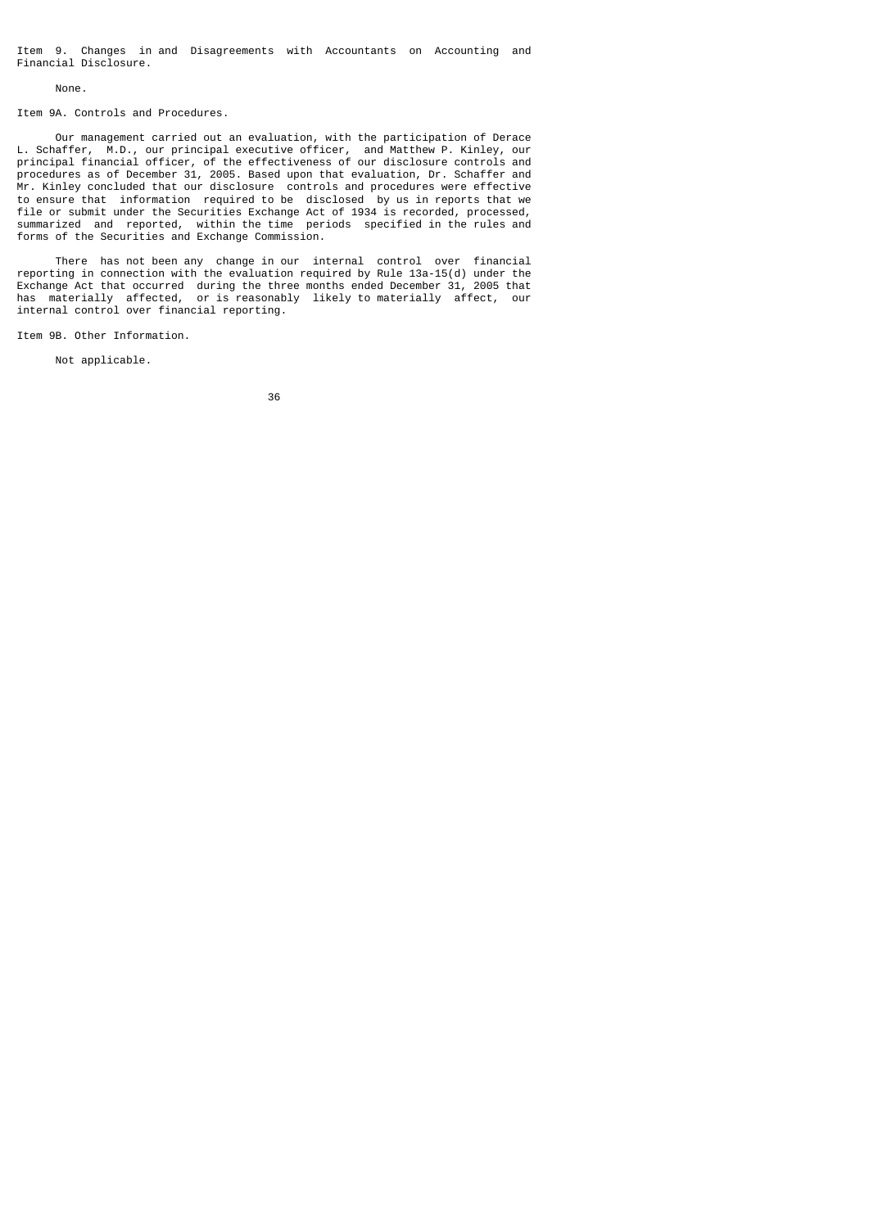Item 9. Changes in and Disagreements with Accountants on Accounting and Financial Disclosure.

None.

Item 9A. Controls and Procedures.

 Our management carried out an evaluation, with the participation of Derace L. Schaffer, M.D., our principal executive officer, and Matthew P. Kinley, our principal financial officer, of the effectiveness of our disclosure controls and procedures as of December 31, 2005. Based upon that evaluation, Dr. Schaffer and Mr. Kinley concluded that our disclosure controls and procedures were effective to ensure that information required to be disclosed by us in reports that we file or submit under the Securities Exchange Act of 1934 is recorded, processed, summarized and reported, within the time periods specified in the rules and forms of the Securities and Exchange Commission.

 There has not been any change in our internal control over financial reporting in connection with the evaluation required by Rule 13a-15(d) under the Exchange Act that occurred during the three months ended December 31, 2005 that has materially affected, or is reasonably likely to materially affect, our internal control over financial reporting.

Item 9B. Other Information.

Not applicable.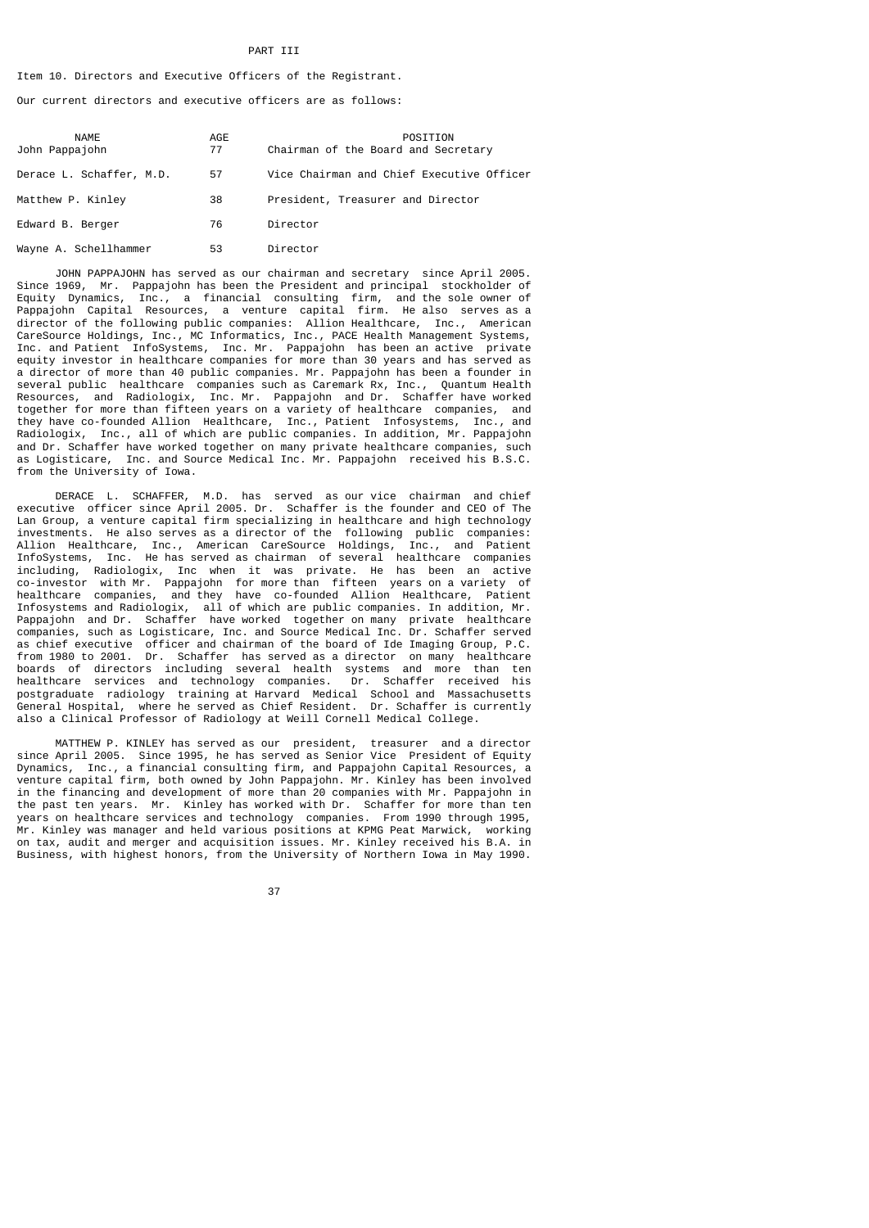### PART TTT

## Item 10. Directors and Executive Officers of the Registrant.

Our current directors and executive officers are as follows:

| NAME<br>John Pappajohn   | <b>AGE</b><br>77 | POSITION<br>Chairman of the Board and Secretary |
|--------------------------|------------------|-------------------------------------------------|
| Derace L. Schaffer, M.D. | 57               | Vice Chairman and Chief Executive Officer       |
| Matthew P. Kinley        | 38               | President, Treasurer and Director               |
| Edward B. Berger         | 76               | Director                                        |
| Wayne A. Schellhammer    | 53               | Director                                        |

 JOHN PAPPAJOHN has served as our chairman and secretary since April 2005. Since 1969, Mr. Pappajohn has been the President and principal stockholder of Equity Dynamics, Inc., a financial consulting firm, and the sole owner of Pappajohn Capital Resources, a venture capital firm. He also serves as a director of the following public companies: Allion Healthcare, Inc., American CareSource Holdings, Inc., MC Informatics, Inc., PACE Health Management Systems, Inc. and Patient InfoSystems, Inc. Mr. Pappajohn has been an active private equity investor in healthcare companies for more than 30 years and has served as a director of more than 40 public companies. Mr. Pappajohn has been a founder in several public healthcare companies such as Caremark Rx, Inc., Quantum Health Resources, and Radiologix, Inc. Mr. Pappajohn and Dr. Schaffer have worked together for more than fifteen years on a variety of healthcare companies, and they have co-founded Allion Healthcare, Inc., Patient Infosystems, Inc., and Radiologix, Inc., all of which are public companies. In addition, Mr. Pappajohn and Dr. Schaffer have worked together on many private healthcare companies, such as Logisticare, Inc. and Source Medical Inc. Mr. Pappajohn received his B.S.C. from the University of Iowa.

 DERACE L. SCHAFFER, M.D. has served as our vice chairman and chief executive officer since April 2005. Dr. Schaffer is the founder and CEO of The Lan Group, a venture capital firm specializing in healthcare and high technology investments. He also serves as a director of the following public companies: Allion Healthcare, Inc., American CareSource Holdings, Inc., and Patient InfoSystems, Inc. He has served as chairman of several healthcare companies including, Radiologix, Inc when it was private. He has been an active co-investor with Mr. Pappajohn for more than fifteen years on a variety of healthcare companies, and they have co-founded Allion Healthcare, Patient Infosystems and Radiologix, all of which are public companies. In addition, Mr. Pappajohn and Dr. Schaffer have worked together on many private healthcare companies, such as Logisticare, Inc. and Source Medical Inc. Dr. Schaffer served as chief executive officer and chairman of the board of Ide Imaging Group, P.C. from 1980 to 2001. Dr. Schaffer has served as a director on many healthcare boards of directors including several health systems and more than ten healthcare services and technology companies. Dr. Schaffer received his postgraduate radiology training at Harvard Medical School and Massachusetts General Hospital, where he served as Chief Resident. Dr. Schaffer is currently also a Clinical Professor of Radiology at Weill Cornell Medical College.

 MATTHEW P. KINLEY has served as our president, treasurer and a director since April 2005. Since 1995, he has served as Senior Vice President of Equity Dynamics, Inc., a financial consulting firm, and Pappajohn Capital Resources, a venture capital firm, both owned by John Pappajohn. Mr. Kinley has been involved in the financing and development of more than 20 companies with Mr. Pappajohn in the past ten years. Mr. Kinley has worked with Dr. Schaffer for more than ten years on healthcare services and technology companies. From 1990 through 1995, Mr. Kinley was manager and held various positions at KPMG Peat Marwick, working on tax, audit and merger and acquisition issues. Mr. Kinley received his B.A. in Business, with highest honors, from the University of Northern Iowa in May 1990.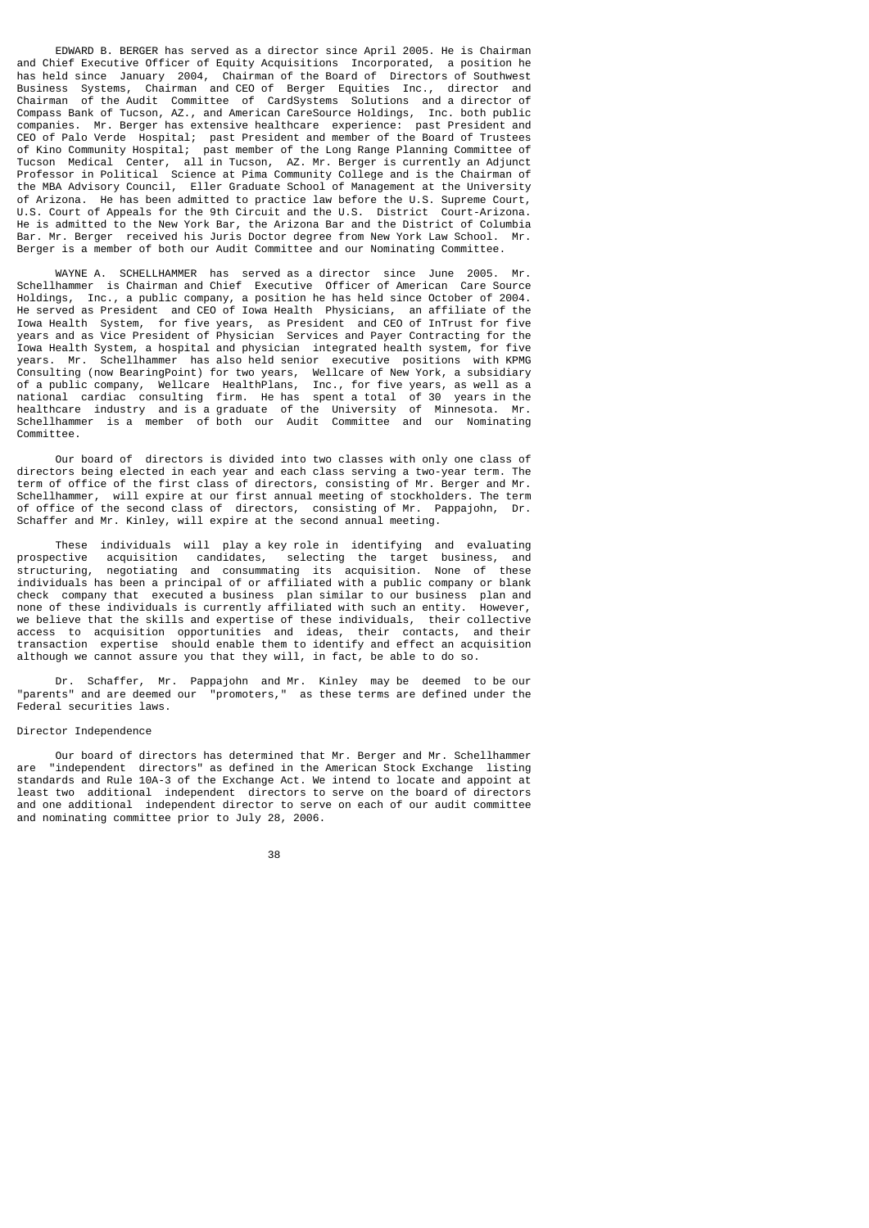EDWARD B. BERGER has served as a director since April 2005. He is Chairman and Chief Executive Officer of Equity Acquisitions Incorporated, a position he has held since January 2004, Chairman of the Board of Directors of Southwest Business Systems, Chairman and CEO of Berger Equities Inc., director and Chairman of the Audit Committee of CardSystems Solutions and a director of Compass Bank of Tucson, AZ., and American CareSource Holdings, Inc. both public companies. Mr. Berger has extensive healthcare experience: past President and CEO of Palo Verde Hospital; past President and member of the Board of Trustees of Kino Community Hospital; past member of the Long Range Planning Committee of Tucson Medical Center, all in Tucson, AZ. Mr. Berger is currently an Adjunct Professor in Political Science at Pima Community College and is the Chairman of the MBA Advisory Council, Eller Graduate School of Management at the University of Arizona. He has been admitted to practice law before the U.S. Supreme Court, U.S. Court of Appeals for the 9th Circuit and the U.S. District Court-Arizona. He is admitted to the New York Bar, the Arizona Bar and the District of Columbia Bar. Mr. Berger received his Juris Doctor degree from New York Law School. Mr. Berger is a member of both our Audit Committee and our Nominating Committee.

WAYNE A. SCHELLHAMMER has served as a director since June 2005. Schellhammer is Chairman and Chief Executive Officer of American Care Source Holdings, Inc., a public company, a position he has held since October of 2004. He served as President and CEO of Iowa Health Physicians, an affiliate of the Iowa Health System, for five years, as President and CEO of InTrust for five years and as Vice President of Physician Services and Payer Contracting for the Iowa Health System, a hospital and physician integrated health system, for five years. Mr. Schellhammer has also held senior executive positions with KPMG Consulting (now BearingPoint) for two years, Wellcare of New York, a subsidiary of a public company, Wellcare HealthPlans, Inc., for five years, as well as a national cardiac consulting firm. He has spent a total of 30 years in the healthcare industry and is a graduate of the University of Minnesota. Mr. Schellhammer is a member of both our Audit Committee and our Nominating Committee.

 Our board of directors is divided into two classes with only one class of directors being elected in each year and each class serving a two-year term. The term of office of the first class of directors, consisting of Mr. Berger and Mr. Schellhammer, will expire at our first annual meeting of stockholders. The term of office of the second class of directors, consisting of Mr. Pappajohn, Dr. Schaffer and Mr. Kinley, will expire at the second annual meeting.

 These individuals will play a key role in identifying and evaluating prospective acquisition candidates, selecting the target business, and structuring, negotiating and consummating its acquisition. None of these individuals has been a principal of or affiliated with a public company or blank check company that executed a business plan similar to our business plan and none of these individuals is currently affiliated with such an entity. However, we believe that the skills and expertise of these individuals, their collective access to acquisition opportunities and ideas, their contacts, and their transaction expertise should enable them to identify and effect an acquisition although we cannot assure you that they will, in fact, be able to do so.

 Dr. Schaffer, Mr. Pappajohn and Mr. Kinley may be deemed to be our "parents" and are deemed our "promoters," as these terms are defined under the Federal securities laws.

### Director Independence

 Our board of directors has determined that Mr. Berger and Mr. Schellhammer are "independent directors" as defined in the American Stock Exchange listing standards and Rule 10A-3 of the Exchange Act. We intend to locate and appoint at least two additional independent directors to serve on the board of directors and one additional independent director to serve on each of our audit committee and nominating committee prior to July 28, 2006.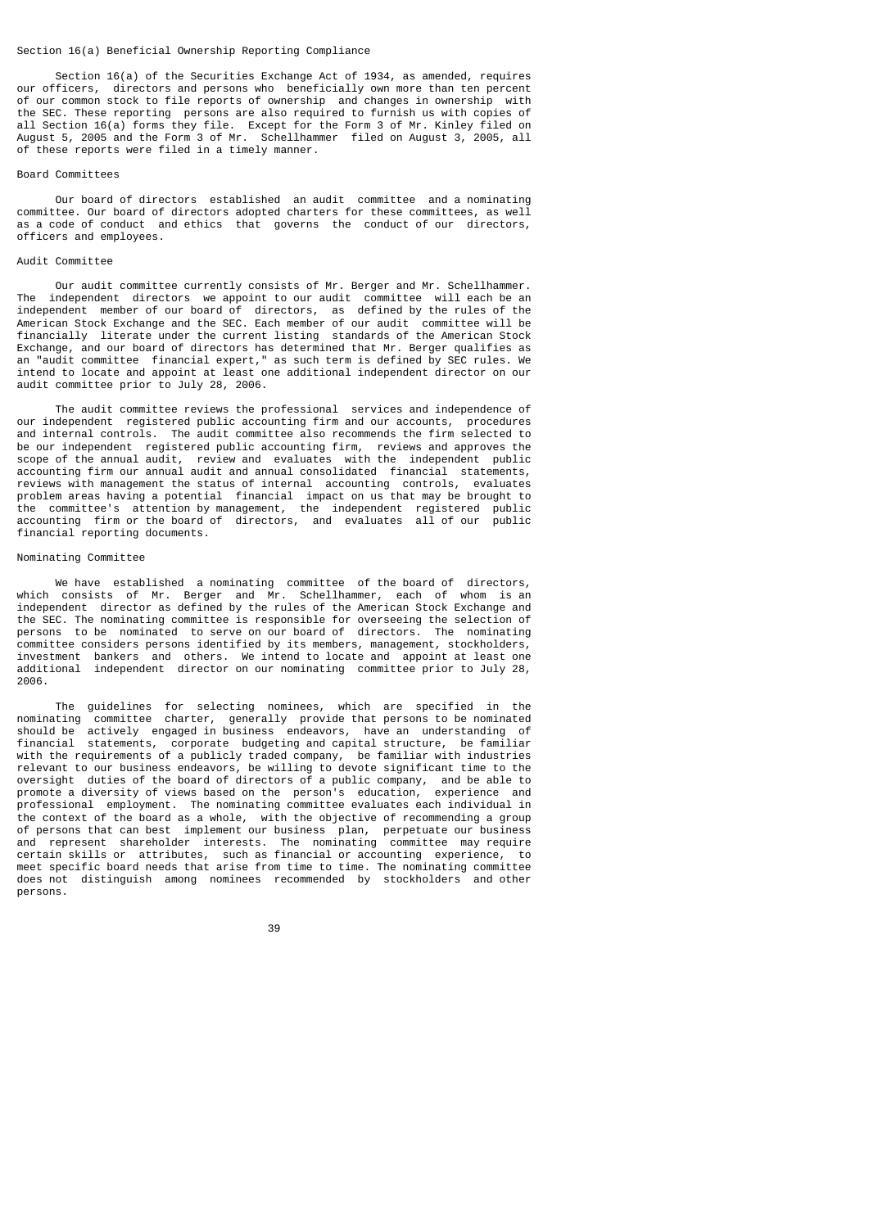### Section 16(a) Beneficial Ownership Reporting Compliance

 Section 16(a) of the Securities Exchange Act of 1934, as amended, requires our officers, directors and persons who beneficially own more than ten percent of our common stock to file reports of ownership and changes in ownership with the SEC. These reporting persons are also required to furnish us with copies of all Section 16(a) forms they file. Except for the Form 3 of Mr. Kinley filed on August 5, 2005 and the Form 3 of Mr. Schellhammer filed on August 3, 2005, all of these reports were filed in a timely manner.

### Board Committees

 Our board of directors established an audit committee and a nominating committee. Our board of directors adopted charters for these committees, as well as a code of conduct and ethics that governs the conduct of our directors, officers and employees.

# Audit Committee

 Our audit committee currently consists of Mr. Berger and Mr. Schellhammer. The independent directors we appoint to our audit committee will each be an independent member of our board of directors, as defined by the rules of the American Stock Exchange and the SEC. Each member of our audit committee will be financially literate under the current listing standards of the American Stock Exchange, and our board of directors has determined that Mr. Berger qualifies as an "audit committee financial expert," as such term is defined by SEC rules. We intend to locate and appoint at least one additional independent director on our audit committee prior to July 28, 2006.

 The audit committee reviews the professional services and independence of our independent registered public accounting firm and our accounts, procedures and internal controls. The audit committee also recommends the firm selected to be our independent registered public accounting firm, reviews and approves the scope of the annual audit, review and evaluates with the independent public accounting firm our annual audit and annual consolidated financial statements, reviews with management the status of internal accounting controls, evaluates problem areas having a potential financial impact on us that may be brought to the committee's attention by management, the independent registered public accounting firm or the board of directors, and evaluates all of our public financial reporting documents.

### Nominating Committee

 We have established a nominating committee of the board of directors, which consists of Mr. Berger and Mr. Schellhammer, each of whom is an independent director as defined by the rules of the American Stock Exchange and the SEC. The nominating committee is responsible for overseeing the selection of persons to be nominated to serve on our board of directors. The nominating persons to be nominated to serve on our board of directors. committee considers persons identified by its members, management, stockholders, investment bankers and others. We intend to locate and appoint at least one additional independent director on our nominating committee prior to July 28, 2006.

 The guidelines for selecting nominees, which are specified in the nominating committee charter, generally provide that persons to be nominated should be actively engaged in business endeavors, have an understanding of financial statements, corporate budgeting and capital structure, be familiar with the requirements of a publicly traded company, be familiar with industries relevant to our business endeavors, be willing to devote significant time to the oversight duties of the board of directors of a public company, and be able to promote a diversity of views based on the person's education, experience and professional employment. The nominating committee evaluates each individual in the context of the board as a whole, with the objective of recommending a group of persons that can best implement our business plan, perpetuate our business and represent shareholder interests. The nominating committee may require certain skills or attributes, such as financial or accounting experience, to meet specific board needs that arise from time to time. The nominating committee does not distinguish among nominees recommended by stockholders and other persons.

39 and 2012 and 2013 and 2014 and 2014 and 2014 and 2014 and 2014 and 2014 and 2014 and 2014 and 2014 and 2014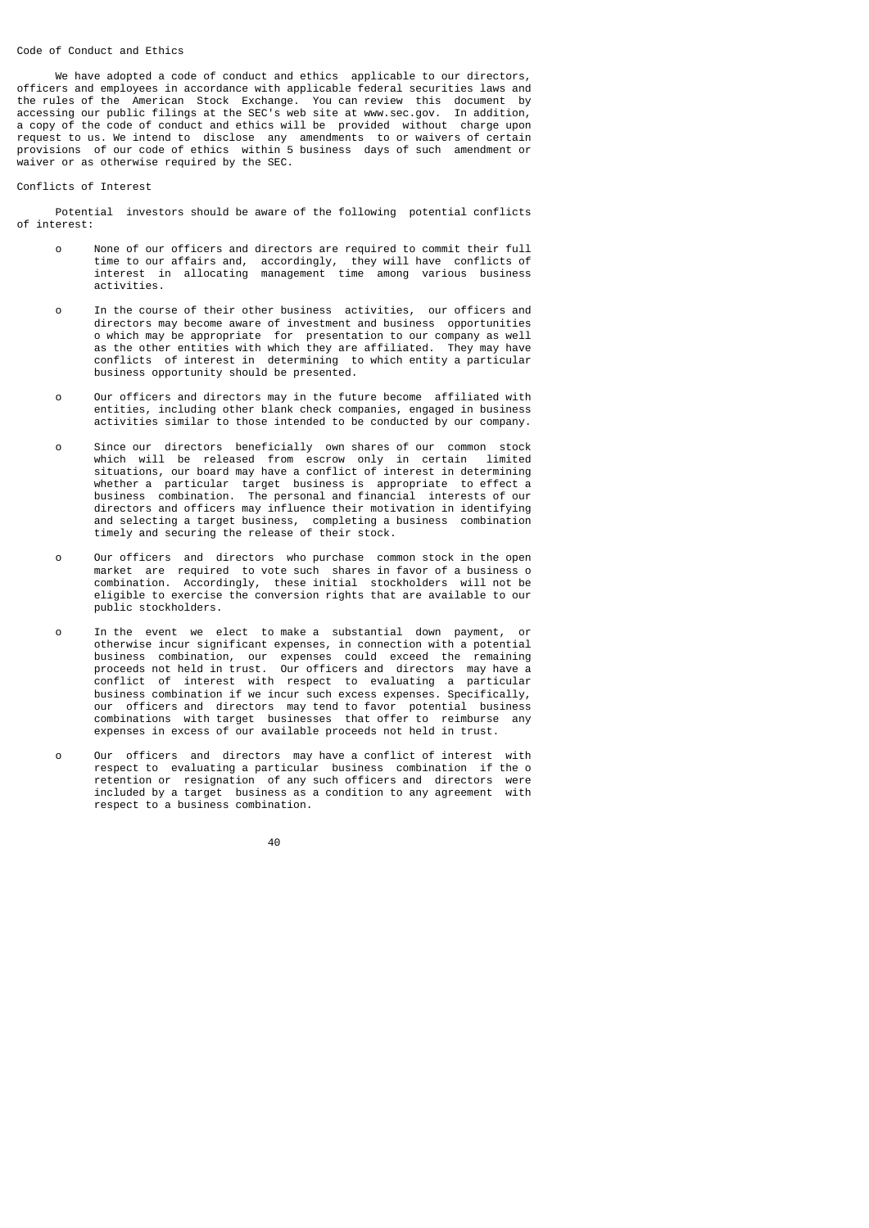### Code of Conduct and Ethics

 We have adopted a code of conduct and ethics applicable to our directors, officers and employees in accordance with applicable federal securities laws and the rules of the American Stock Exchange. You can review this document by accessing our public filings at the SEC's web site at www.sec.gov. In addition, a copy of the code of conduct and ethics will be provided without charge upon request to us. We intend to disclose any amendments to or waivers of certain provisions of our code of ethics within 5 business days of such amendment or waiver or as otherwise required by the SEC.

## Conflicts of Interest

 Potential investors should be aware of the following potential conflicts of interest:

- o None of our officers and directors are required to commit their full time to our affairs and, accordingly, they will have conflicts of interest in allocating management time among various business activities.
- o In the course of their other business activities, our officers and directors may become aware of investment and business opportunities o which may be appropriate for presentation to our company as well as the other entities with which they are affiliated. They may have conflicts of interest in determining to which entity a particular business opportunity should be presented.
	- o Our officers and directors may in the future become affiliated with entities, including other blank check companies, engaged in business activities similar to those intended to be conducted by our company.
- o Since our directors beneficially own shares of our common stock<br>which will be released from escrow only in certain limited which will be released from escrow only in certain situations, our board may have a conflict of interest in determining whether a particular target business is appropriate to effect a business combination. The personal and financial interests of our directors and officers may influence their motivation in identifying and selecting a target business, completing a business combination timely and securing the release of their stock.
- o Our officers and directors who purchase common stock in the open market are required to vote such shares in favor of a business o combination. Accordingly, these initial stockholders will not be eligible to exercise the conversion rights that are available to our public stockholders.
- o In the event we elect to make a substantial down payment, or otherwise incur significant expenses, in connection with a potential business combination, our expenses could exceed the remaining proceeds not held in trust. Our officers and directors may have a conflict of interest with respect to evaluating a particular business combination if we incur such excess expenses. Specifically, our officers and directors may tend to favor potential business combinations with target businesses that offer to reimburse any expenses in excess of our available proceeds not held in trust.
	- o Our officers and directors may have a conflict of interest with respect to evaluating a particular business combination if the o retention or resignation of any such officers and directors were included by a target business as a condition to any agreement with respect to a business combination.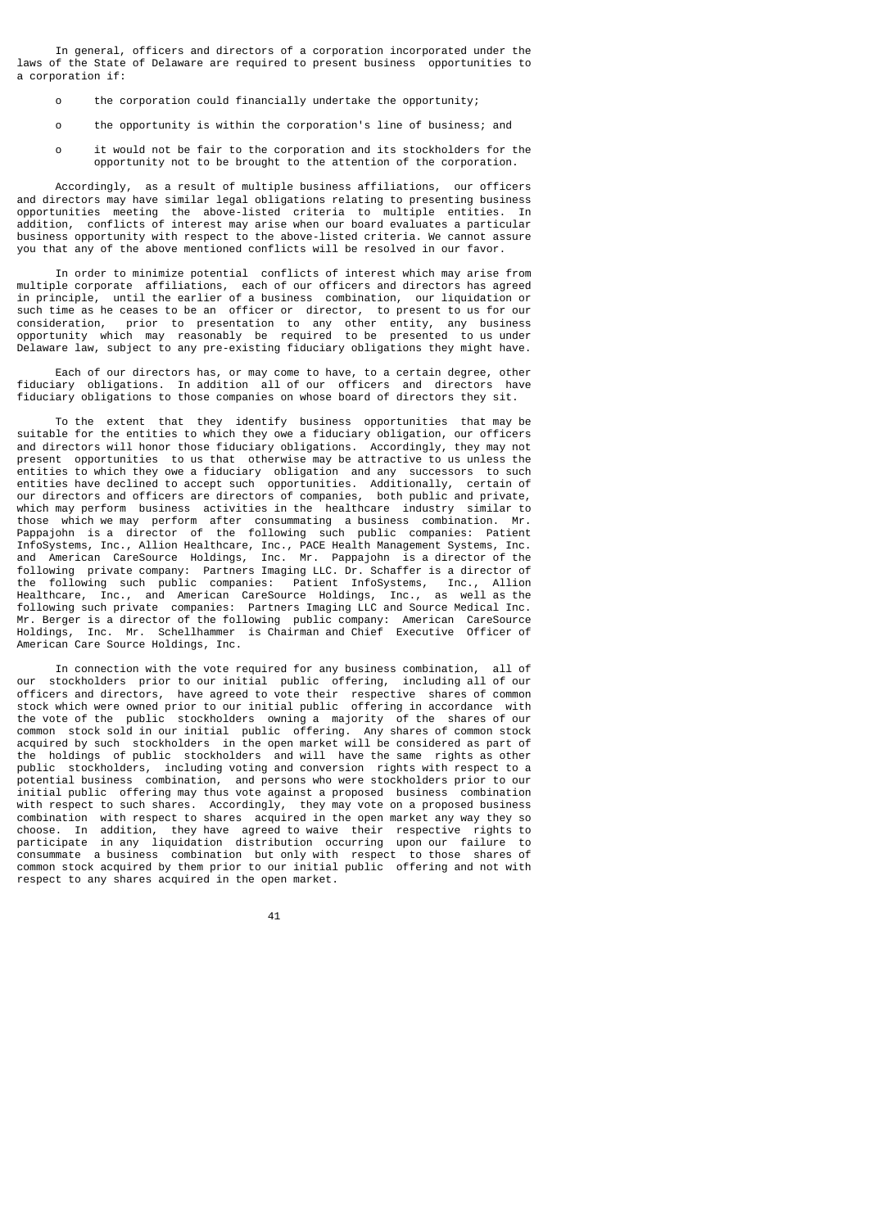In general, officers and directors of a corporation incorporated under the laws of the State of Delaware are required to present business opportunities to a corporation if:

- o the corporation could financially undertake the opportunity;
- o the opportunity is within the corporation's line of business; and
- o it would not be fair to the corporation and its stockholders for the opportunity not to be brought to the attention of the corporation.

 Accordingly, as a result of multiple business affiliations, our officers and directors may have similar legal obligations relating to presenting business opportunities meeting the above-listed criteria to multiple entities. In addition, conflicts of interest may arise when our board evaluates a particular business opportunity with respect to the above-listed criteria. We cannot assure you that any of the above mentioned conflicts will be resolved in our favor.

 In order to minimize potential conflicts of interest which may arise from multiple corporate affiliations, each of our officers and directors has agreed in principle, until the earlier of a business combination, our liquidation or such time as he ceases to be an officer or director, to present to us for our consideration, prior to presentation to any other entity, any business opportunity which may reasonably be required to be presented to us under Delaware law, subject to any pre-existing fiduciary obligations they might have.

 Each of our directors has, or may come to have, to a certain degree, other fiduciary obligations. In addition all of our officers and directors have fiduciary obligations to those companies on whose board of directors they sit.

 To the extent that they identify business opportunities that may be suitable for the entities to which they owe a fiduciary obligation, our officers and directors will honor those fiduciary obligations. Accordingly, they may not present opportunities to us that otherwise may be attractive to us unless the present opportunities to us that otherwise may be attractive to us unless the entities to which they owe a fiduciary obligation and any successors to such entities have declined to accept such opportunities. Additionally, certain of our directors and officers are directors of companies, both public and private, which may perform business activities in the healthcare industry similar to those which we may perform after consummating a business combination. Mr. Pappajohn is a director of the following such public companies: Patient InfoSystems, Inc., Allion Healthcare, Inc., PACE Health Management Systems, Inc. and American CareSource Holdings, Inc. Mr. Pappajohn is a director of the following private company: Partners Imaging LLC. Dr. Schaffer is a director of the following such public companies: Patient InfoSystems, Inc., Allion Healthcare, Inc., and American CareSource Holdings, Inc., as well as the following such private companies: Partners Imaging LLC and Source Medical Inc. Mr. Berger is a director of the following public company: American CareSource Holdings, Inc. Mr. Schellhammer is Chairman and Chief Executive Officer of American Care Source Holdings, Inc.

 In connection with the vote required for any business combination, all of our stockholders prior to our initial public offering, including all of our officers and directors, have agreed to vote their respective shares of common stock which were owned prior to our initial public offering in accordance with the vote of the public stockholders owning a majority of the shares of our common stock sold in our initial public offering. Any shares of common stock acquired by such stockholders in the open market will be considered as part of the holdings of public stockholders and will have the same rights as other public stockholders, including voting and conversion rights with respect to a potential business combination, and persons who were stockholders prior to our initial public offering may thus vote against a proposed business combination with respect to such shares. Accordingly, they may vote on a proposed business combination with respect to shares acquired in the open market any way they so choose. In addition, they have agreed to waive their respective rights to participate in any liquidation distribution occurring upon our failure to consummate a business combination but only with respect to those shares of common stock acquired by them prior to our initial public offering and not with respect to any shares acquired in the open market.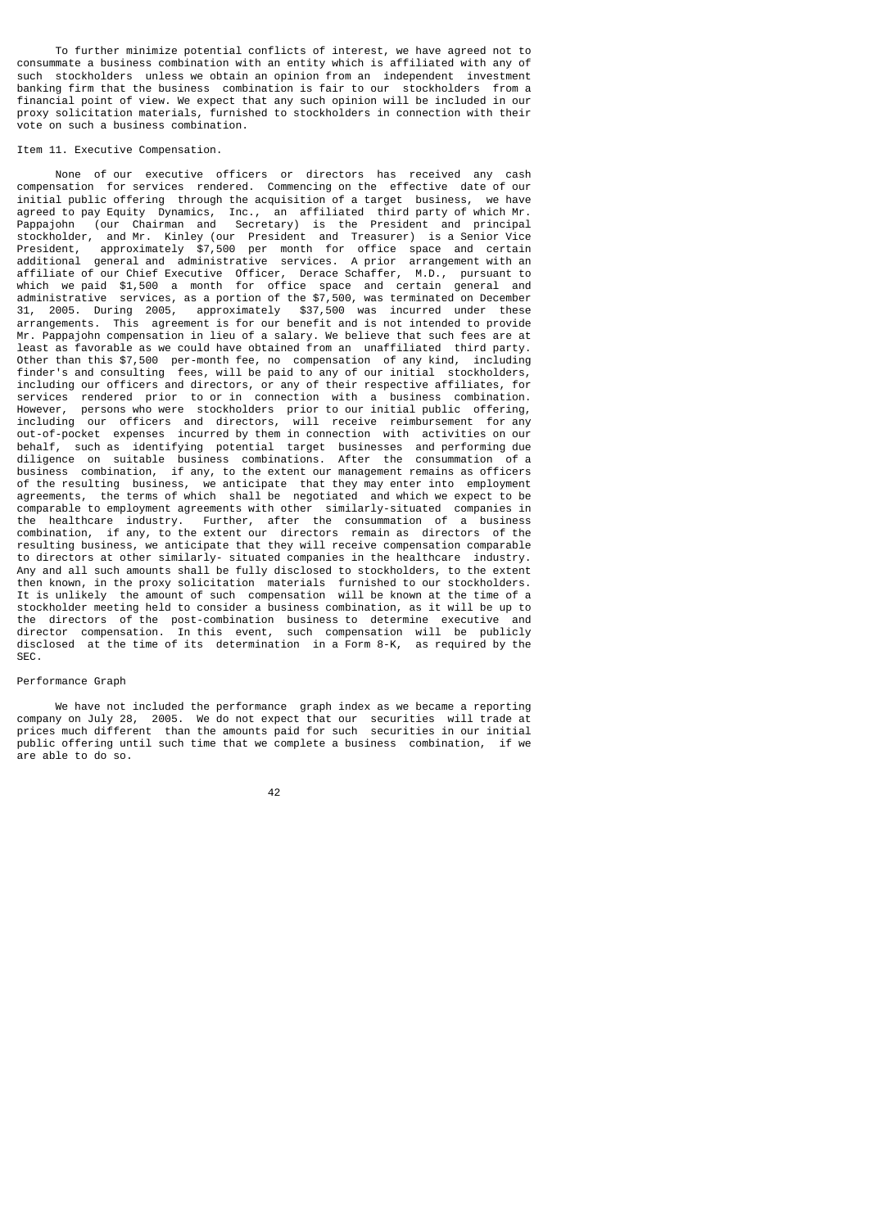To further minimize potential conflicts of interest, we have agreed not to consummate a business combination with an entity which is affiliated with any of such stockholders unless we obtain an opinion from an independent investment banking firm that the business combination is fair to our stockholders from a financial point of view. We expect that any such opinion will be included in our proxy solicitation materials, furnished to stockholders in connection with their vote on such a business combination.

## Item 11. Executive Compensation.

 None of our executive officers or directors has received any cash compensation for services rendered. Commencing on the effective date of our initial public offering through the acquisition of a target business, we have agreed to pay Equity Dynamics, Inc., an affiliated third party of which Mr. Pappajohn (our Chairman and Secretary) is the President and principal stockholder, and Mr. Kinley (our President and Treasurer) is a Senior Vice President, approximately \$7,500 per month for office space and certain additional general and administrative services. A prior arrangement with an affiliate of our Chief Executive Officer, Derace Schaffer, M.D., pursuant to which we paid \$1,500 a month for office space and certain general and administrative services, as a portion of the \$7,500, was terminated on December 31, 2005. During 2005, approximately \$37,500 was incurred under these arrangements. This agreement is for our benefit and is not intended to provide Mr. Pappajohn compensation in lieu of a salary. We believe that such fees are at least as favorable as we could have obtained from an unaffiliated third party. Other than this \$7,500 per-month fee, no compensation of any kind, including finder's and consulting fees, will be paid to any of our initial stockholders, including our officers and directors, or any of their respective affiliates, for services rendered prior to or in connection with a business combination. However, persons who were stockholders prior to our initial public offering, including our officers and directors, will receive reimbursement for any out-of-pocket expenses incurred by them in connection with activities on our behalf, such as identifying potential target businesses and performing due diligence on suitable business combinations. After the consummation of a business combination, if any, to the extent our management remains as officers of the resulting business, we anticipate that they may enter into employment agreements, the terms of which shall be negotiated and which we expect to be comparable to employment agreements with other similarly-situated companies in the healthcare industry. Further, after the consummation of a business combination, if any, to the extent our directors remain as directors of the resulting business, we anticipate that they will receive compensation comparable to directors at other similarly- situated companies in the healthcare industry. Any and all such amounts shall be fully disclosed to stockholders, to the extent then known, in the proxy solicitation materials furnished to our stockholders. It is unlikely the amount of such compensation will be known at the time of a stockholder meeting held to consider a business combination, as it will be up to the directors of the post-combination business to determine executive and director compensation. In this event, such compensation will be publicly disclosed at the time of its determination in a Form 8-K, as required by the SEC.

## Performance Graph

 We have not included the performance graph index as we became a reporting company on July 28, 2005. We do not expect that our securities will trade at prices much different than the amounts paid for such securities in our initial public offering until such time that we complete a business combination, if we are able to do so.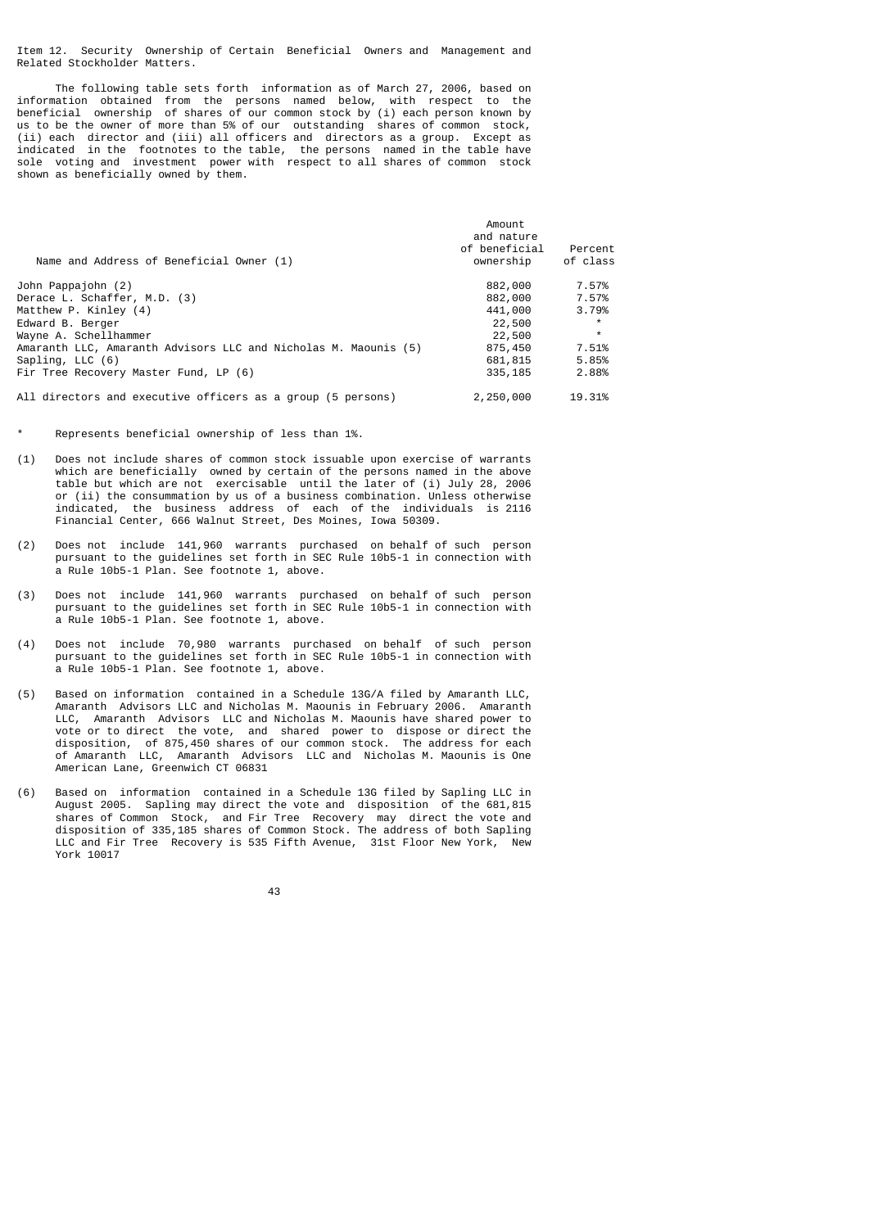Item 12. Security Ownership of Certain Beneficial Owners and Management and Related Stockholder Matters.

 The following table sets forth information as of March 27, 2006, based on information obtained from the persons named below, with respect to the beneficial ownership of shares of our common stock by (i) each person known by us to be the owner of more than 5% of our outstanding shares of common stock, (ii) each director and (iii) all officers and directors as a group. Except as indicated in the footnotes to the table, the persons named in the table have sole voting and investment power with respect to all shares of common stock shown as beneficially owned by them.

| Name and Address of Beneficial Owner (1)                        | Amount<br>and nature<br>of beneficial<br>ownership | Percent<br>of class |
|-----------------------------------------------------------------|----------------------------------------------------|---------------------|
| John Pappajohn (2)                                              | 882,000                                            | 7.57%               |
| Derace L. Schaffer, M.D. (3)                                    | 882,000                                            | 7.57%               |
| Matthew P. Kinley (4)                                           | 441,000                                            | 3.79%               |
| Edward B. Berger                                                | 22,500                                             | $\star$             |
| Wavne A. Schellhammer                                           | 22,500                                             | $\star$             |
| Amaranth LLC, Amaranth Advisors LLC and Nicholas M. Maounis (5) | 875,450                                            | 7.51%               |
| Sapling, LLC (6)                                                | 681,815                                            | 5.85%               |
| Fir Tree Recovery Master Fund, LP (6)                           | 335, 185                                           | 2.88%               |
| All directors and executive officers as a group (5 persons)     | 2,250,000                                          | 19.31%              |

- Represents beneficial ownership of less than 1%.
- (1) Does not include shares of common stock issuable upon exercise of warrants which are beneficially owned by certain of the persons named in the above table but which are not exercisable until the later of (i) July 28, 2006 or (ii) the consummation by us of a business combination. Unless otherwise indicated, the business address of each of the individuals is 2116 Financial Center, 666 Walnut Street, Des Moines, Iowa 50309.
- (2) Does not include 141,960 warrants purchased on behalf of such person pursuant to the guidelines set forth in SEC Rule 10b5-1 in connection with a Rule 10b5-1 Plan. See footnote 1, above.
- (3) Does not include 141,960 warrants purchased on behalf of such person pursuant to the guidelines set forth in SEC Rule 10b5-1 in connection with a Rule 10b5-1 Plan. See footnote 1, above.
- (4) Does not include 70,980 warrants purchased on behalf of such person pursuant to the guidelines set forth in SEC Rule 10b5-1 in connection with a Rule 10b5-1 Plan. See footnote 1, above.
- (5) Based on information contained in a Schedule 13G/A filed by Amaranth LLC, Amaranth Advisors LLC and Nicholas M. Maounis in February 2006. Amaranth LLC, Amaranth Advisors LLC and Nicholas M. Maounis have shared power to vote or to direct the vote, and shared power to dispose or direct the disposition, of 875,450 shares of our common stock. The address for each of Amaranth LLC, Amaranth Advisors LLC and Nicholas M. Maounis is One American Lane, Greenwich CT 06831
- (6) Based on information contained in a Schedule 13G filed by Sapling LLC in August 2005. Sapling may direct the vote and disposition of the 681,815 shares of Common Stock, and Fir Tree Recovery may direct the vote and disposition of 335,185 shares of Common Stock. The address of both Sapling LLC and Fir Tree Recovery is 535 Fifth Avenue, 31st Floor New York, New York 10017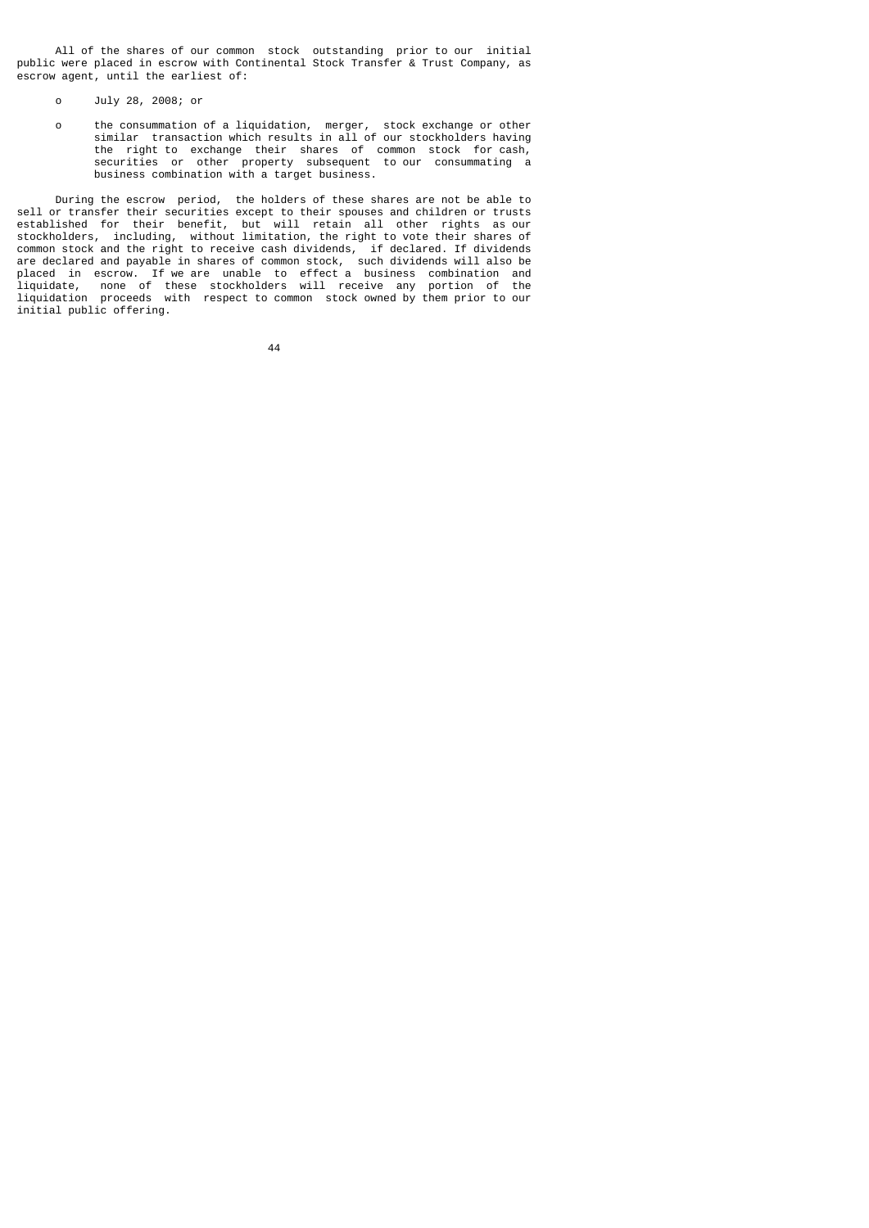All of the shares of our common stock outstanding prior to our initial public were placed in escrow with Continental Stock Transfer & Trust Company, as escrow agent, until the earliest of:

- o July 28, 2008; or
- o the consummation of a liquidation, merger, stock exchange or other similar transaction which results in all of our stockholders having the right to exchange their shares of common stock for cash, securities or other property subsequent to our consummating a business combination with a target business.

 During the escrow period, the holders of these shares are not be able to sell or transfer their securities except to their spouses and children or trusts established for their benefit, but will retain all other rights as our stockholders, including, without limitation, the right to vote their shares of common stock and the right to receive cash dividends, if declared. If dividends are declared and payable in shares of common stock, such dividends will also be placed in escrow. If we are unable to effect a business combination and liquidate, none of these stockholders will receive any portion of the liquidation proceeds with respect to common stock owned by them prior to our initial public offering.

44 and 2012 and 2014 and 2014 and 2014 and 2014 and 2014 and 2014 and 2014 and 2014 and 2014 and 2014 and 201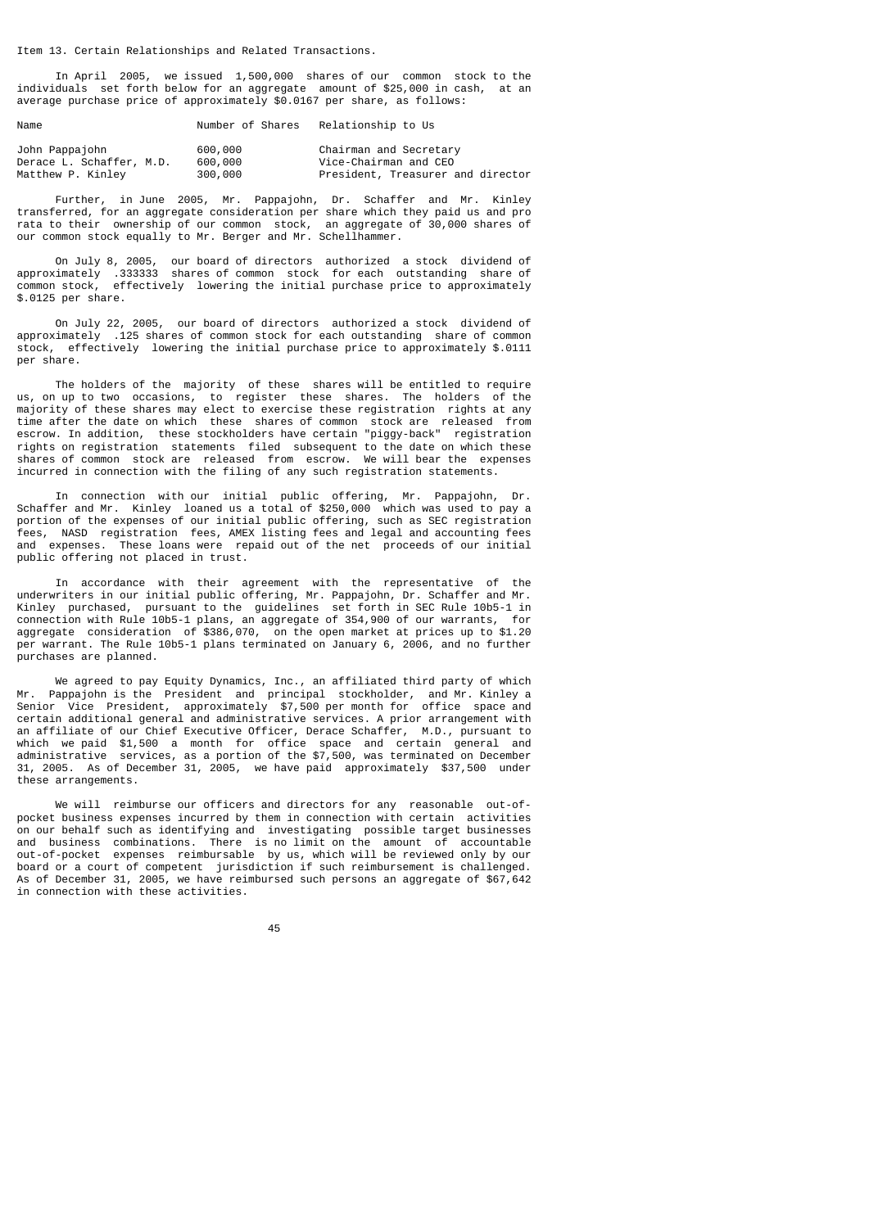Item 13. Certain Relationships and Related Transactions.

 In April 2005, we issued 1,500,000 shares of our common stock to the individuals set forth below for an aggregate amount of \$25,000 in cash, at an average purchase price of approximately \$0.0167 per share, as follows:

| Name                                       | Number of Shares   | Relationship to Us                              |
|--------------------------------------------|--------------------|-------------------------------------------------|
| John Pappaiohn<br>Derace L. Schaffer, M.D. | 600,000<br>600,000 | Chairman and Secretary<br>Vice-Chairman and CEO |
| Matthew P. Kinley                          | 300,000            | President, Treasurer and director               |

 Further, in June 2005, Mr. Pappajohn, Dr. Schaffer and Mr. Kinley transferred, for an aggregate consideration per share which they paid us and pro rata to their ownership of our common stock, an aggregate of 30,000 shares of our common stock equally to Mr. Berger and Mr. Schellhammer.

 On July 8, 2005, our board of directors authorized a stock dividend of approximately .333333 shares of common stock for each outstanding share of common stock, effectively lowering the initial purchase price to approximately \$.0125 per share.

 On July 22, 2005, our board of directors authorized a stock dividend of approximately .125 shares of common stock for each outstanding share of common stock, effectively lowering the initial purchase price to approximately \$.0111 per share.

 The holders of the majority of these shares will be entitled to require us, on up to two occasions, to register these shares. The holders of the majority of these shares may elect to exercise these registration rights at any time after the date on which these shares of common stock are released from escrow. In addition, these stockholders have certain "piggy-back" registration rights on registration statements filed subsequent to the date on which these shares of common stock are released from escrow. We will bear the expenses incurred in connection with the filing of any such registration statements.

 In connection with our initial public offering, Mr. Pappajohn, Dr. Schaffer and Mr. Kinley loaned us a total of \$250,000 which was used to pay a portion of the expenses of our initial public offering, such as SEC registration fees, NASD registration fees, AMEX listing fees and legal and accounting fees and expenses. These loans were repaid out of the net proceeds of our initial public offering not placed in trust.

 In accordance with their agreement with the representative of the underwriters in our initial public offering, Mr. Pappajohn, Dr. Schaffer and Mr. Kinley purchased, pursuant to the guidelines set forth in SEC Rule 10b5-1 in connection with Rule 10b5-1 plans, an aggregate of 354,900 of our warrants, for aggregate consideration of \$386,070, on the open market at prices up to \$1.20 per warrant. The Rule 10b5-1 plans terminated on January 6, 2006, and no further purchases are planned.

 We agreed to pay Equity Dynamics, Inc., an affiliated third party of which Mr. Pappajohn is the President and principal stockholder, and Mr. Kinley a Senior Vice President, approximately \$7,500 per month for office space and certain additional general and administrative services. A prior arrangement with an affiliate of our Chief Executive Officer, Derace Schaffer, M.D., pursuant to which we paid \$1,500 a month for office space and certain general and administrative services, as a portion of the \$7,500, was terminated on December 31, 2005. As of December 31, 2005, we have paid approximately \$37,500 under these arrangements.

 We will reimburse our officers and directors for any reasonable out-ofpocket business expenses incurred by them in connection with certain activities on our behalf such as identifying and investigating possible target businesses and business combinations. There is no limit on the amount of accountable out-of-pocket expenses reimbursable by us, which will be reviewed only by our board or a court of competent jurisdiction if such reimbursement is challenged. As of December 31, 2005, we have reimbursed such persons an aggregate of \$67,642 in connection with these activities.

<u>45 and 2012 and 2013</u>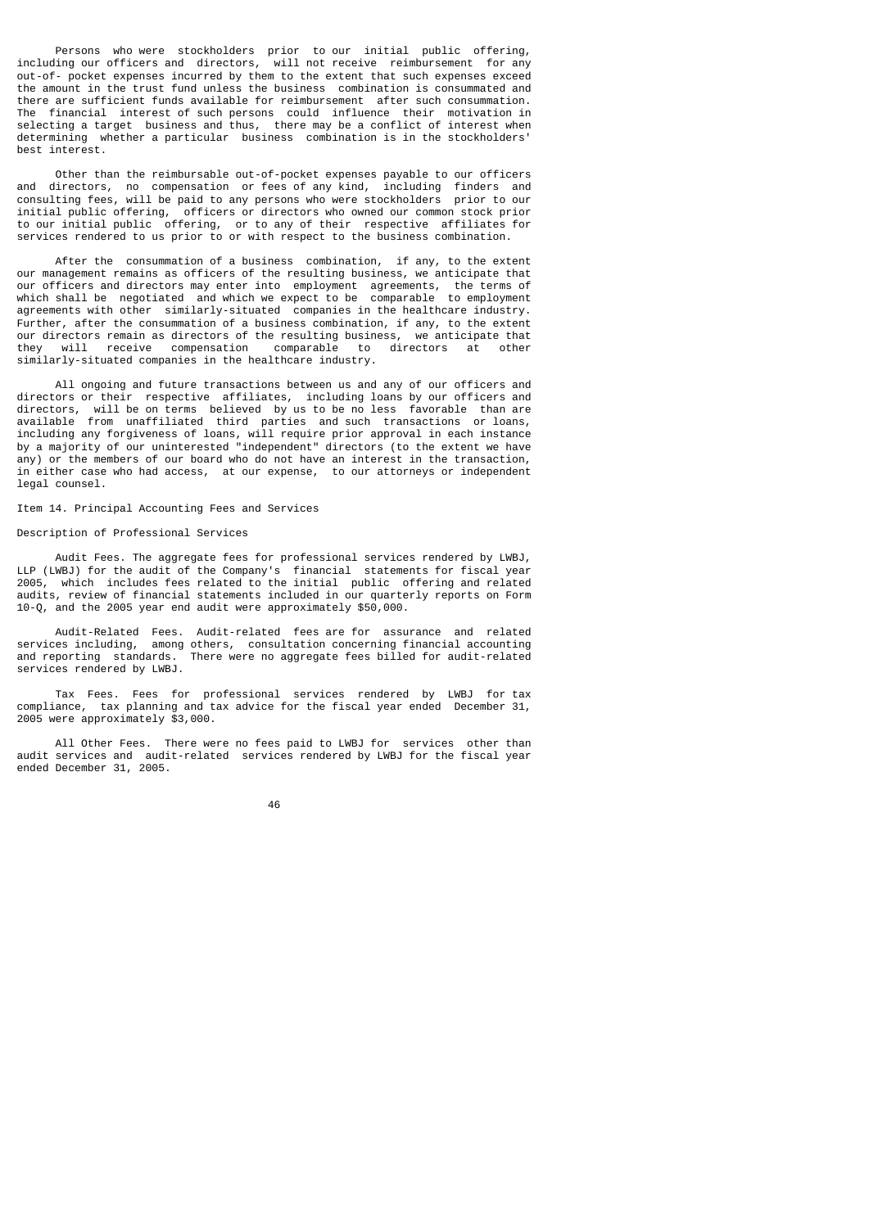Persons who were stockholders prior to our initial public offering, including our officers and directors, will not receive reimbursement for any out-of- pocket expenses incurred by them to the extent that such expenses exceed the amount in the trust fund unless the business combination is consummated and there are sufficient funds available for reimbursement after such consummation. The financial interest of such persons could influence their motivation in selecting a target business and thus, there may be a conflict of interest when determining whether a particular business combination is in the stockholders' best interest.

 Other than the reimbursable out-of-pocket expenses payable to our officers and directors, no compensation or fees of any kind, including finders and consulting fees, will be paid to any persons who were stockholders prior to our initial public offering, officers or directors who owned our common stock prior to our initial public offering, or to any of their respective affiliates for services rendered to us prior to or with respect to the business combination.

 After the consummation of a business combination, if any, to the extent our management remains as officers of the resulting business, we anticipate that our officers and directors may enter into employment agreements, the terms of which shall be negotiated and which we expect to be comparable to employment agreements with other similarly-situated companies in the healthcare industry. Further, after the consummation of a business combination, if any, to the extent our directors remain as directors of the resulting business, we anticipate that they will receive compensation comparable to directors at other similarly-situated companies in the healthcare industry.

 All ongoing and future transactions between us and any of our officers and directors or their respective affiliates, including loans by our officers and directors, will be on terms believed by us to be no less favorable than are available from unaffiliated third parties and such transactions or loans, including any forgiveness of loans, will require prior approval in each instance by a majority of our uninterested "independent" directors (to the extent we have any) or the members of our board who do not have an interest in the transaction, in either case who had access, at our expense, to our attorneys or independent legal counsel.

Item 14. Principal Accounting Fees and Services

Description of Professional Services

 Audit Fees. The aggregate fees for professional services rendered by LWBJ, LLP (LWBJ) for the audit of the Company's financial statements for fiscal year 2005, which includes fees related to the initial public offering and related audits, review of financial statements included in our quarterly reports on Form 10-Q, and the 2005 year end audit were approximately \$50,000.

 Audit-Related Fees. Audit-related fees are for assurance and related services including, among others, consultation concerning financial accounting and reporting standards. There were no aggregate fees billed for audit-related services rendered by LWBJ.

 Tax Fees. Fees for professional services rendered by LWBJ for tax compliance, tax planning and tax advice for the fiscal year ended December 31, 2005 were approximately \$3,000.

 All Other Fees. There were no fees paid to LWBJ for services other than audit services and audit-related services rendered by LWBJ for the fiscal year ended December 31, 2005.

<u>46 and 2012</u>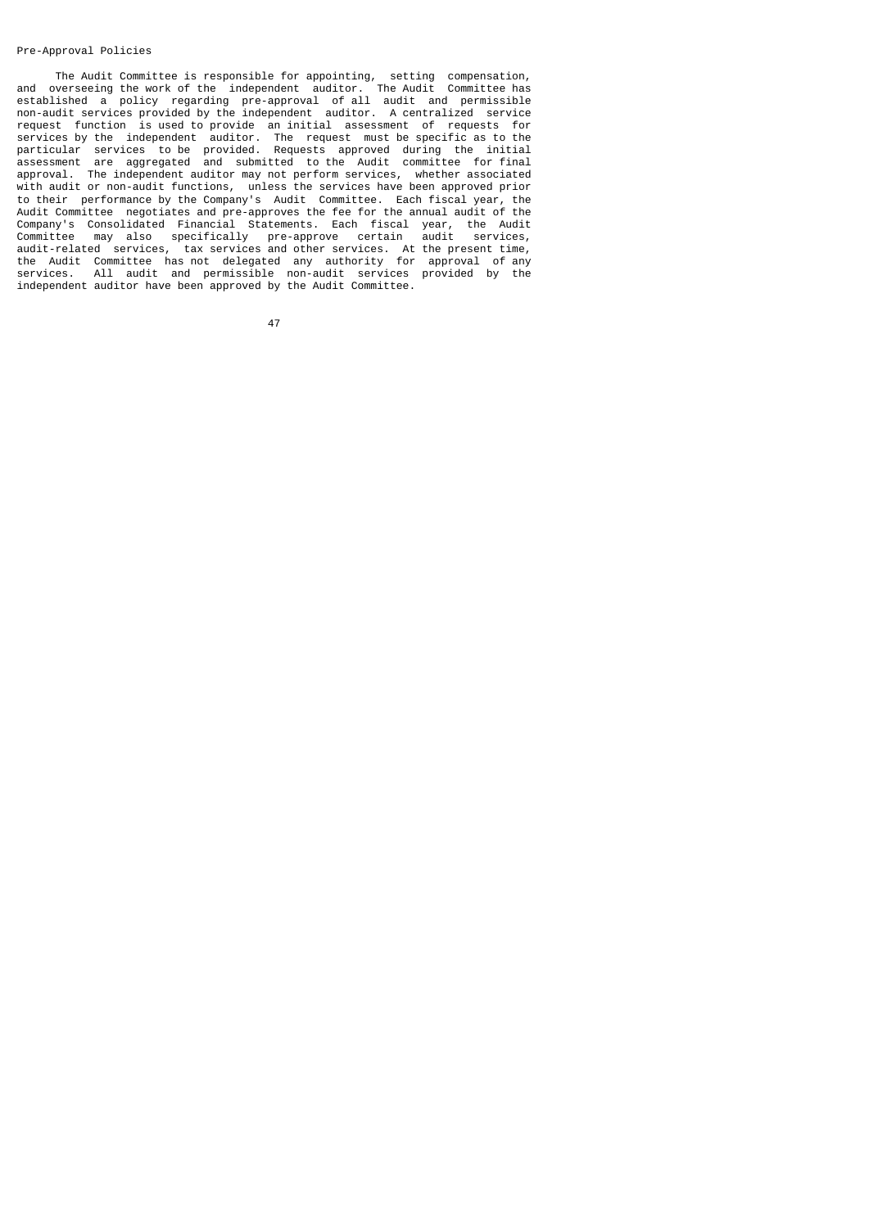### Pre-Approval Policies

 The Audit Committee is responsible for appointing, setting compensation, and overseeing the work of the independent auditor. The Audit Committee has established a policy regarding pre-approval of all audit and permissible non-audit services provided by the independent auditor. A centralized service request function is used to provide an initial assessment of requests for services by the independent auditor. The request must be specific as to the particular services to be provided. Requests approved during the initial assessment are aggregated and submitted to the Audit committee for final approval. The independent auditor may not perform services, whether associated with audit or non-audit functions, unless the services have been approved prior to their performance by the Company's Audit Committee. Each fiscal year, the Audit Committee negotiates and pre-approves the fee for the annual audit of the Company's Consolidated Financial Statements. Each fiscal year, the Audit Committee may also specifically pre-approve certain audit services, Committee may also specifically pre-approve certain audit services, audit-related services, tax services and other services. At the present time, the Audit Committee has not delegated any authority for approval of any services. All audit and permissible non-audit services provided by the independent auditor have been approved by the Audit Committee.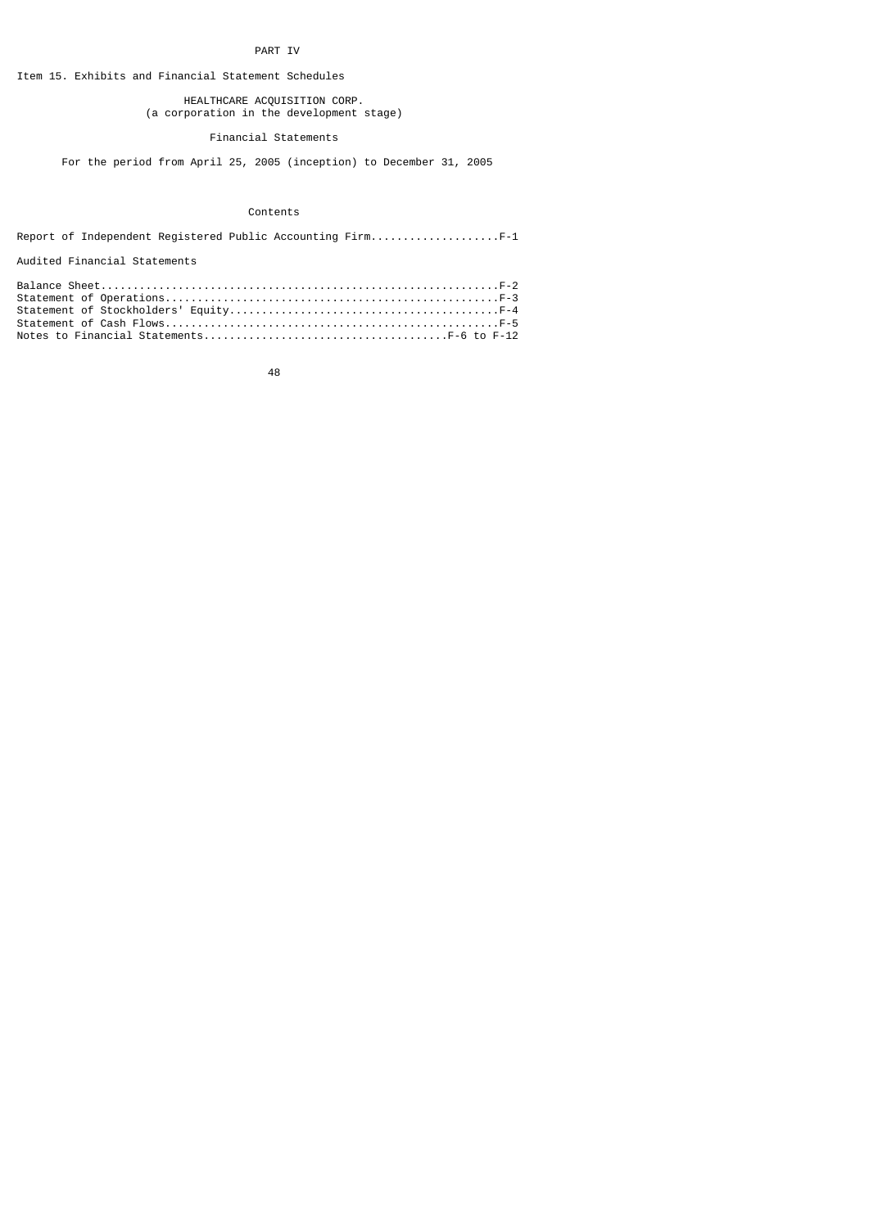# PART IV

Item 15. Exhibits and Financial Statement Schedules

## HEALTHCARE ACQUISITION CORP. (a corporation in the development stage)

# Financial Statements

For the period from April 25, 2005 (inception) to December 31, 2005

# Contents

|  |  |  |  |  |  | Report of Independent Registered Public Accounting FirmF-1 |  |  |
|--|--|--|--|--|--|------------------------------------------------------------|--|--|
|--|--|--|--|--|--|------------------------------------------------------------|--|--|

Audited Financial Statements

48 and 2012 and 2013 and 2014 and 2014 and 2014 and 2014 and 2014 and 2014 and 2014 and 2014 and 2014 and 201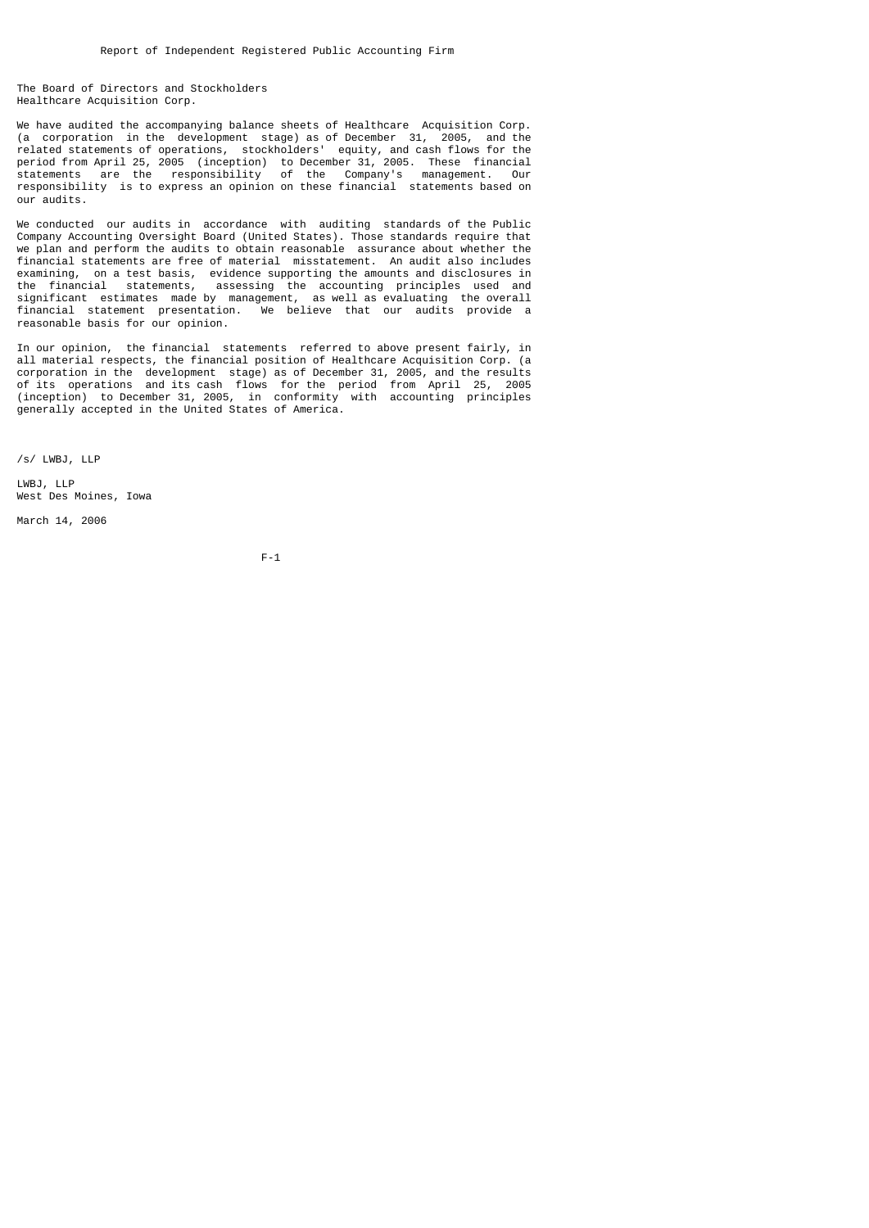The Board of Directors and Stockholders Healthcare Acquisition Corp.

We have audited the accompanying balance sheets of Healthcare Acquisition Corp. (a corporation in the development stage) as of December 31, 2005, and the related statements of operations, stockholders' equity, and cash flows for the period from April 25, 2005 (inception) to December 31, 2005. These financial statements are the responsibility of the Company's management. Our responsibility is to express an opinion on these financial statements based on our audits.

We conducted our audits in accordance with auditing standards of the Public Company Accounting Oversight Board (United States). Those standards require that we plan and perform the audits to obtain reasonable assurance about whether the financial statements are free of material misstatement. An audit also includes examining, on a test basis, evidence supporting the amounts and disclosures in the financial statements, assessing the accounting principles used and significant estimates made by management, as well as evaluating the overall financial statement presentation. We believe that our audits provide a reasonable basis for our opinion.

In our opinion, the financial statements referred to above present fairly, in all material respects, the financial position of Healthcare Acquisition Corp. (a corporation in the development stage) as of December 31, 2005, and the results of its operations and its cash flows for the period from April 25, 2005 (inception) to December 31, 2005, in conformity with accounting principles generally accepted in the United States of America.

/s/ LWBJ, LLP

LWBJ, LLP West Des Moines, Iowa

March 14, 2006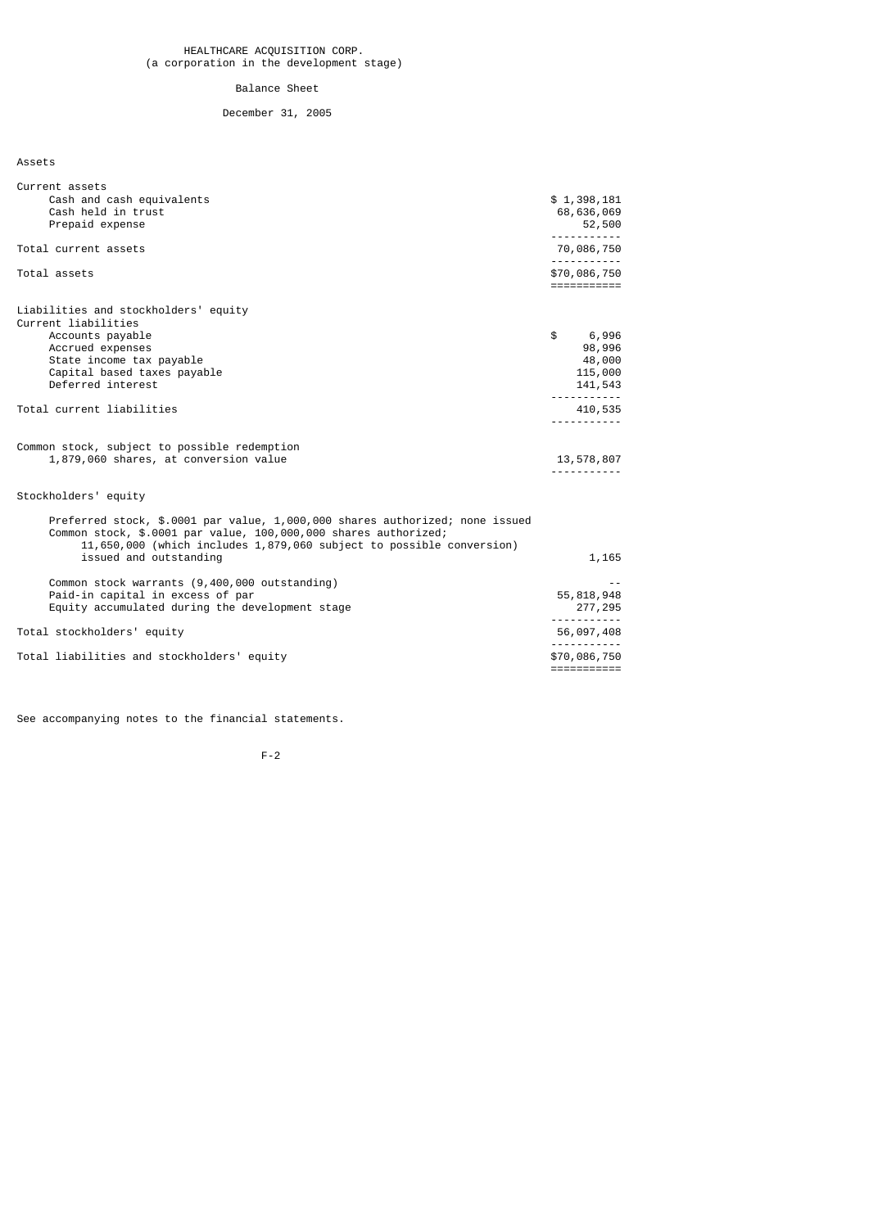# Balance Sheet

# December 31, 2005

Assets

| Current assets<br>Cash and cash equivalents<br>Cash held in trust<br>Prepaid expense                                                                                                                                                              | \$1,398,181<br>68,636,069<br>52,500                   |
|---------------------------------------------------------------------------------------------------------------------------------------------------------------------------------------------------------------------------------------------------|-------------------------------------------------------|
| Total current assets                                                                                                                                                                                                                              | 70,086,750                                            |
| Total assets                                                                                                                                                                                                                                      | \$70,086,750<br>===========                           |
| Liabilities and stockholders' equity<br>Current liabilities<br>Accounts payable<br>Accrued expenses<br>State income tax payable<br>Capital based taxes payable<br>Deferred interest                                                               | \$<br>6,996<br>98,996<br>48,000<br>115,000<br>141,543 |
| Total current liabilities                                                                                                                                                                                                                         | 410,535                                               |
| Common stock, subject to possible redemption<br>1,879,060 shares, at conversion value                                                                                                                                                             | 13,578,807                                            |
| Stockholders' equity                                                                                                                                                                                                                              |                                                       |
| Preferred stock, \$.0001 par value, 1,000,000 shares authorized; none issued<br>Common stock, \$.0001 par value, 100,000,000 shares authorized;<br>11,650,000 (which includes 1,879,060 subject to possible conversion)<br>issued and outstanding | 1,165                                                 |
| Common stock warrants (9,400,000 outstanding)<br>Paid-in capital in excess of par<br>Equity accumulated during the development stage                                                                                                              | 55,818,948<br>277,295<br>----------                   |
| .                                                                                                                                                                                                                                                 |                                                       |

 $$70,086,750$ <br>============

Total stockholders' equity 56,097,408

 ----------- Total liabilities and stockholders' equity  $\frac{1}{2}$  and  $\frac{1}{2}$  s70,086,750

See accompanying notes to the financial statements.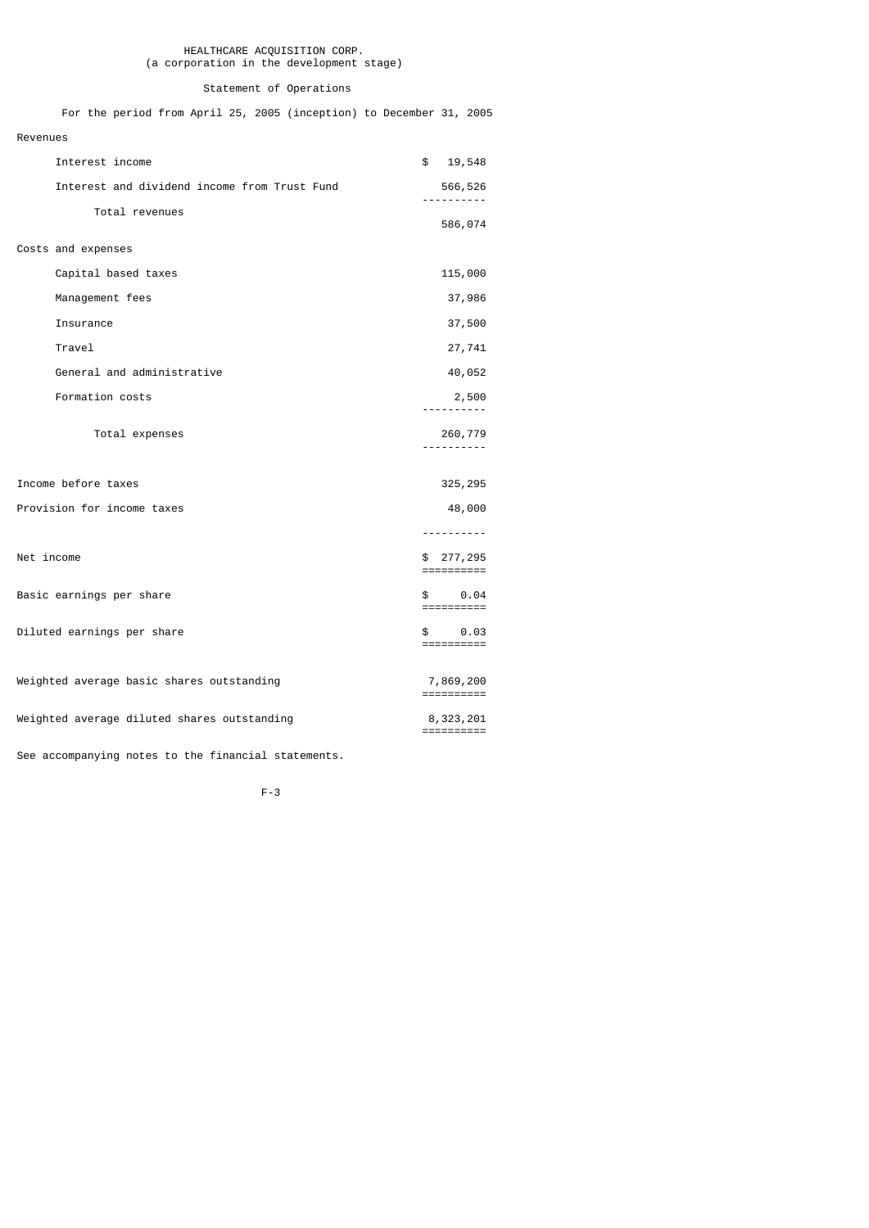# Statement of Operations

For the period from April 25, 2005 (inception) to December 31, 2005

| Revenues |
|----------|
|----------|

| Interest income                              | \$<br>19,548                |  |
|----------------------------------------------|-----------------------------|--|
| Interest and dividend income from Trust Fund | 566,526                     |  |
| Total revenues                               | 586,074                     |  |
| Costs and expenses                           |                             |  |
| Capital based taxes                          | 115,000                     |  |
| Management fees                              | 37,986                      |  |
| Insurance                                    | 37,500                      |  |
| Travel                                       | 27,741                      |  |
| General and administrative                   | 40,052                      |  |
| Formation costs                              | 2,500<br>------             |  |
| Total expenses                               | 260,779                     |  |
| Income before taxes                          | 325,295                     |  |
| Provision for income taxes                   | 48,000                      |  |
|                                              | - - - - - - - - - -         |  |
| Net income                                   | 277,295<br>\$<br>========== |  |
| Basic earnings per share                     | 0.04<br>S.<br>==========    |  |
| Diluted earnings per share                   | 0.03<br>\$<br>==========    |  |
| Weighted average basic shares outstanding    | 7,869,200<br>==========     |  |
| Weighted average diluted shares outstanding  | 8,323,201<br>==========     |  |
|                                              |                             |  |

See accompanying notes to the financial statements.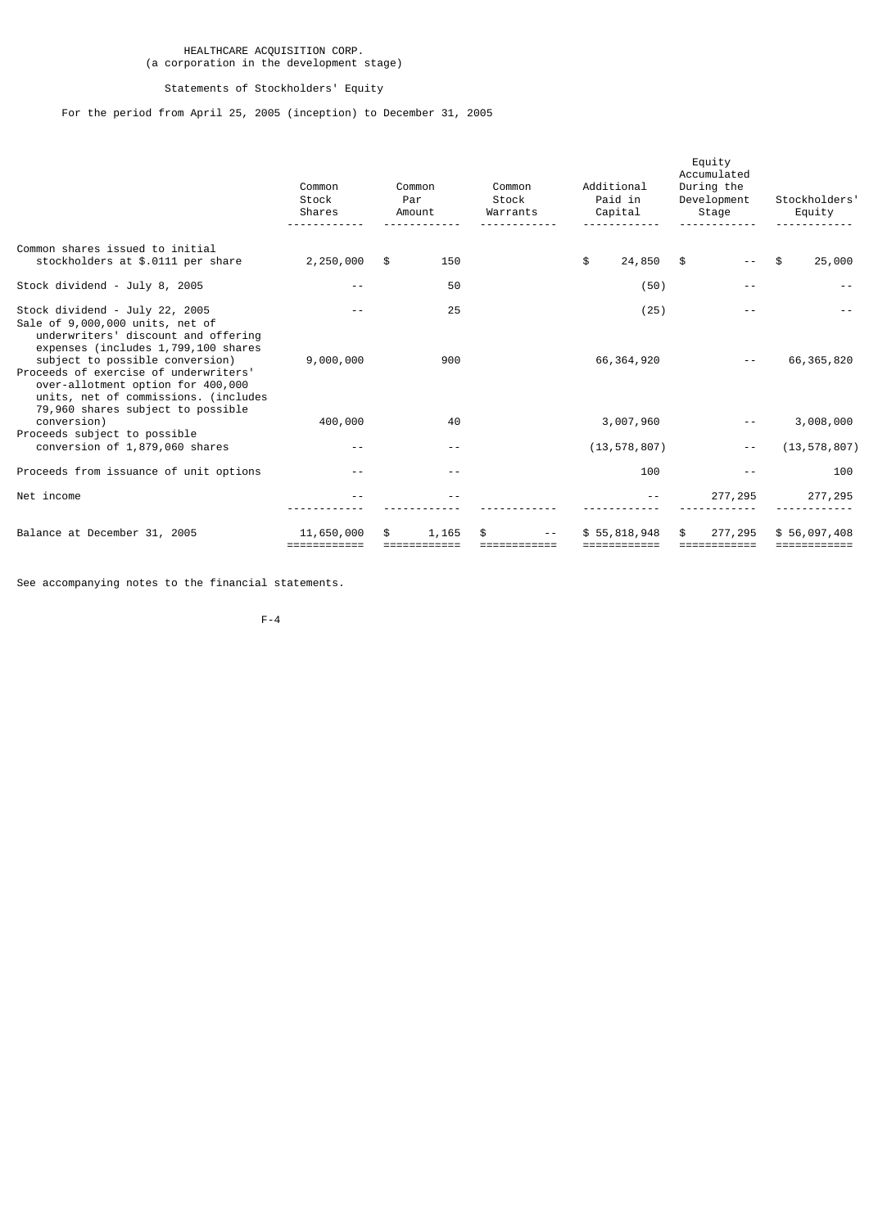# Statements of Stockholders' Equity

For the period from April 25, 2005 (inception) to December 31, 2005

|                                                                                                                                                                                                                                   | Common<br>Stock<br>Shares  | Common<br>Par<br>Amount | Common<br>Stock<br>Warrants | Additional<br>Paid in<br>Capital | Equity<br>Accumulated<br>During the<br>Development<br>Stage | Stockholders'<br>Equity      |
|-----------------------------------------------------------------------------------------------------------------------------------------------------------------------------------------------------------------------------------|----------------------------|-------------------------|-----------------------------|----------------------------------|-------------------------------------------------------------|------------------------------|
| Common shares issued to initial<br>stockholders at \$.0111 per share                                                                                                                                                              | 2,250,000                  | \$<br>150               |                             | \$<br>24,850                     | \$                                                          | 25,000<br>\$                 |
| Stock dividend - July 8, 2005                                                                                                                                                                                                     |                            | 50                      |                             | (50)                             |                                                             |                              |
| Stock dividend - July 22, 2005<br>Sale of 9,000,000 units, net of<br>underwriters' discount and offering                                                                                                                          |                            | 25                      |                             | (25)                             |                                                             |                              |
| expenses (includes 1,799,100 shares<br>subject to possible conversion)<br>Proceeds of exercise of underwriters'<br>over-allotment option for 400,000<br>units, net of commissions. (includes<br>79,960 shares subject to possible | 9,000,000                  | 900                     |                             | 66, 364, 920                     |                                                             | 66, 365, 820                 |
| conversion)                                                                                                                                                                                                                       | 400,000                    | 40                      |                             | 3,007,960                        |                                                             | 3,008,000                    |
| Proceeds subject to possible<br>conversion of 1,879,060 shares                                                                                                                                                                    |                            |                         |                             | (13, 578, 807)                   | $- -$                                                       | (13, 578, 807)               |
| Proceeds from issuance of unit options                                                                                                                                                                                            |                            |                         |                             | 100                              |                                                             | 100                          |
| Net income                                                                                                                                                                                                                        |                            | - -                     |                             | $- -$                            | 277,295                                                     | 277,295                      |
| Balance at December 31, 2005                                                                                                                                                                                                      | 11,650,000<br>============ | 1,165                   |                             | \$55,818,948                     | 277,295                                                     | \$56,097,408<br>============ |

See accompanying notes to the financial statements.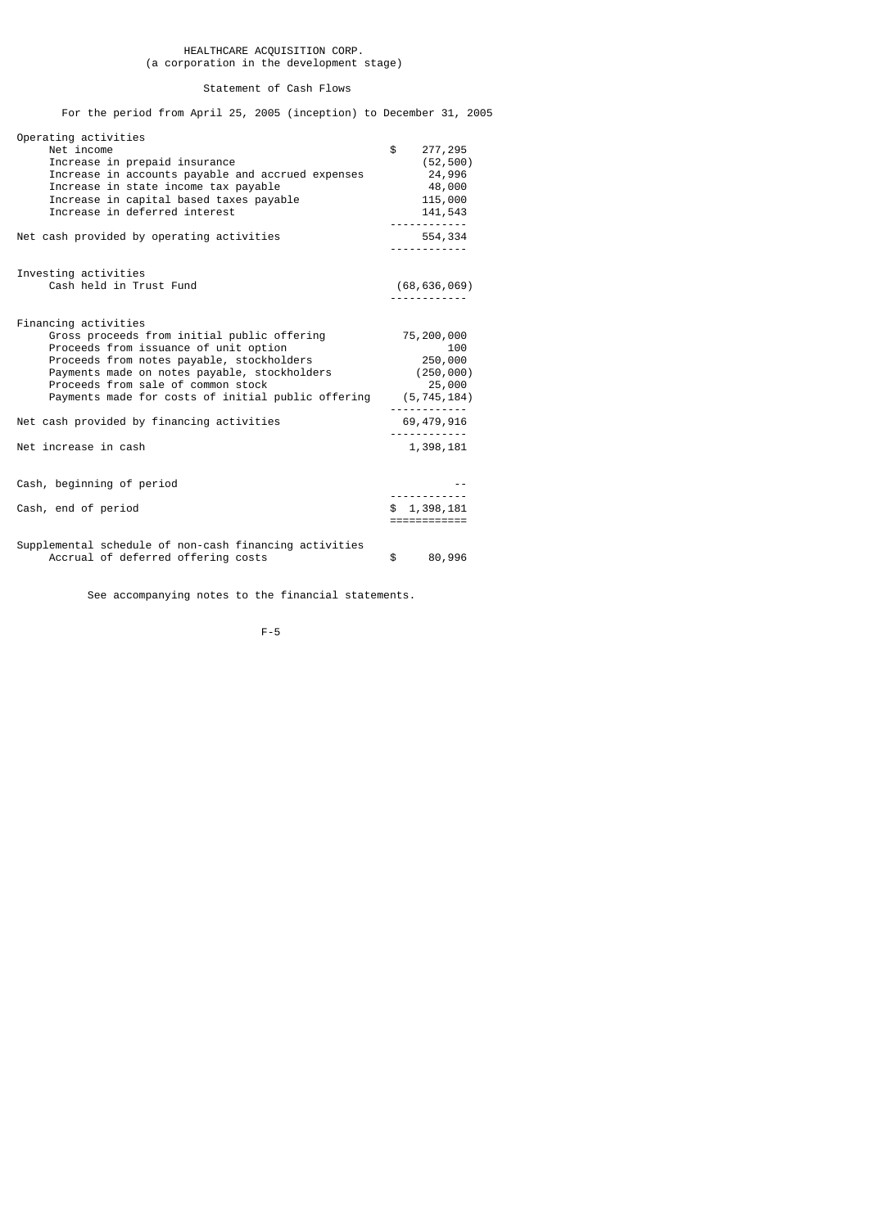# Statement of Cash Flows

For the period from April 25, 2005 (inception) to December 31, 2005

| Operating activities                                                                                                                                                                                                                                                                                              |                                                                                  |
|-------------------------------------------------------------------------------------------------------------------------------------------------------------------------------------------------------------------------------------------------------------------------------------------------------------------|----------------------------------------------------------------------------------|
| Net income<br>Increase in prepaid insurance<br>Increase in accounts payable and accrued expenses<br>Increase in state income tax payable<br>Increase in capital based taxes payable<br>Increase in deferred interest                                                                                              | \$<br>277,295<br>(52, 500)<br>24,996<br>48,000<br>115,000<br>141,543<br><u>.</u> |
| Net cash provided by operating activities                                                                                                                                                                                                                                                                         | 554,334                                                                          |
| Investing activities<br>Cash held in Trust Fund                                                                                                                                                                                                                                                                   | (68, 636, 069)                                                                   |
| Financing activities<br>Gross proceeds from initial public offering<br>Proceeds from issuance of unit option<br>Proceeds from notes payable, stockholders<br>Payments made on notes payable, stockholders<br>Proceeds from sale of common stock<br>Payments made for costs of initial public offering (5,745,184) | 75,200,000<br>100<br>250,000<br>(250,000)<br>25,000                              |
| Net cash provided by financing activities                                                                                                                                                                                                                                                                         | 69,479,916                                                                       |
| Net increase in cash                                                                                                                                                                                                                                                                                              | 1,398,181                                                                        |
| Cash, beginning of period                                                                                                                                                                                                                                                                                         | . <u>.</u> .                                                                     |
| Cash, end of period                                                                                                                                                                                                                                                                                               | \$1,398,181<br>============                                                      |
| Supplemental schedule of non-cash financing activities<br>Accrual of deferred offering costs                                                                                                                                                                                                                      | 80,996<br>\$                                                                     |

See accompanying notes to the financial statements.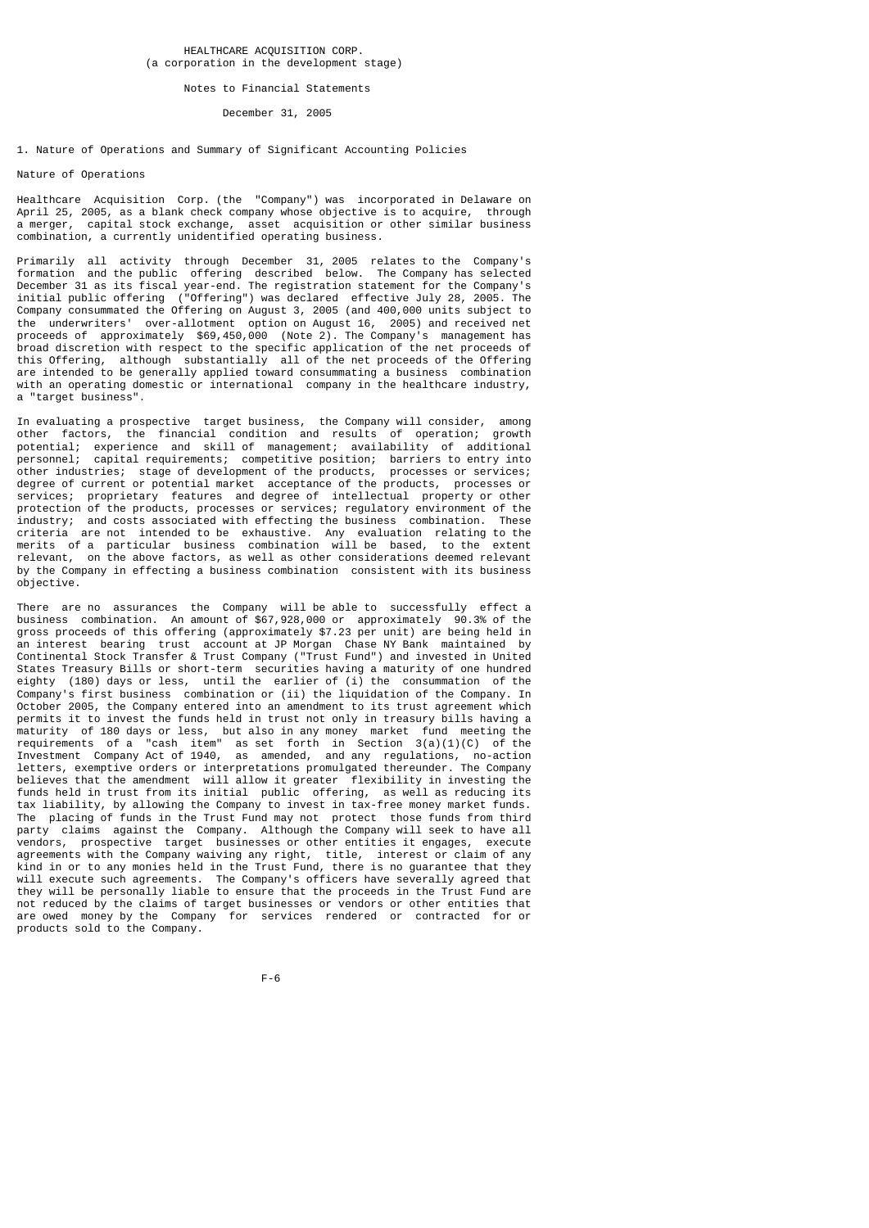## Notes to Financial Statements

December 31, 2005

1. Nature of Operations and Summary of Significant Accounting Policies

Nature of Operations

Healthcare Acquisition Corp. (the "Company") was incorporated in Delaware on April 25, 2005, as a blank check company whose objective is to acquire, through a merger, capital stock exchange, asset acquisition or other similar business combination, a currently unidentified operating business.

Primarily all activity through December 31, 2005 relates to the Company's formation and the public offering described below. The Company has selected December 31 as its fiscal year-end. The registration statement for the Company's initial public offering ("Offering") was declared effective July 28, 2005. The Company consummated the Offering on August 3, 2005 (and 400,000 units subject to the underwriters' over-allotment option on August 16, 2005) and received net proceeds of approximately \$69,450,000 (Note 2). The Company's management has broad discretion with respect to the specific application of the net proceeds of this Offering, although substantially all of the net proceeds of the Offering are intended to be generally applied toward consummating a business combination with an operating domestic or international company in the healthcare industry, a "target business".

In evaluating a prospective target business, the Company will consider, among other factors, the financial condition and results of operation; growth potential; experience and skill of management; availability of additional personnel; capital requirements; competitive position; barriers to entry into other industries; stage of development of the products, processes or services; degree of current or potential market acceptance of the products, processes or services; proprietary features and degree of intellectual property or other protection of the products, processes or services; regulatory environment of the industry; and costs associated with effecting the business combination. These criteria are not intended to be exhaustive. Any evaluation relating to the merits of a particular business combination will be based, to the extent relevant, on the above factors, as well as other considerations deemed relevant by the Company in effecting a business combination consistent with its business objective.

There are no assurances the Company will be able to successfully effect a business combination. An amount of \$67,928,000 or approximately 90.3% of the gross proceeds of this offering (approximately \$7.23 per unit) are being held in an interest bearing trust account at JP Morgan Chase NY Bank maintained by Continental Stock Transfer & Trust Company ("Trust Fund") and invested in United States Treasury Bills or short-term securities having a maturity of one hundred eighty (180) days or less, until the earlier of  $(i)$  the consummation of the Company's first business combination or (ii) the liquidation of the Company. In October 2005, the Company entered into an amendment to its trust agreement which permits it to invest the funds held in trust not only in treasury bills having a maturity of 180 days or less, but also in any money market fund meeting the requirements of a "cash item" as set forth in Section 3(a)(1)(C) of the Investment Company Act of 1940, as amended, and any regulations, no-action letters, exemptive orders or interpretations promulgated thereunder. The Company believes that the amendment will allow it greater flexibility in investing the funds held in trust from its initial public offering, as well as reducing its tax liability, by allowing the Company to invest in tax-free money market funds. The placing of funds in the Trust Fund may not protect those funds from third party claims against the Company. Although the Company will seek to have all vendors, prospective target businesses or other entities it engages, execute agreements with the Company waiving any right, title, interest or claim of any kind in or to any monies held in the Trust Fund, there is no guarantee that they will execute such agreements. The Company's officers have severally agreed that they will be personally liable to ensure that the proceeds in the Trust Fund are not reduced by the claims of target businesses or vendors or other entities that are owed money by the Company for services rendered or contracted for or products sold to the Company.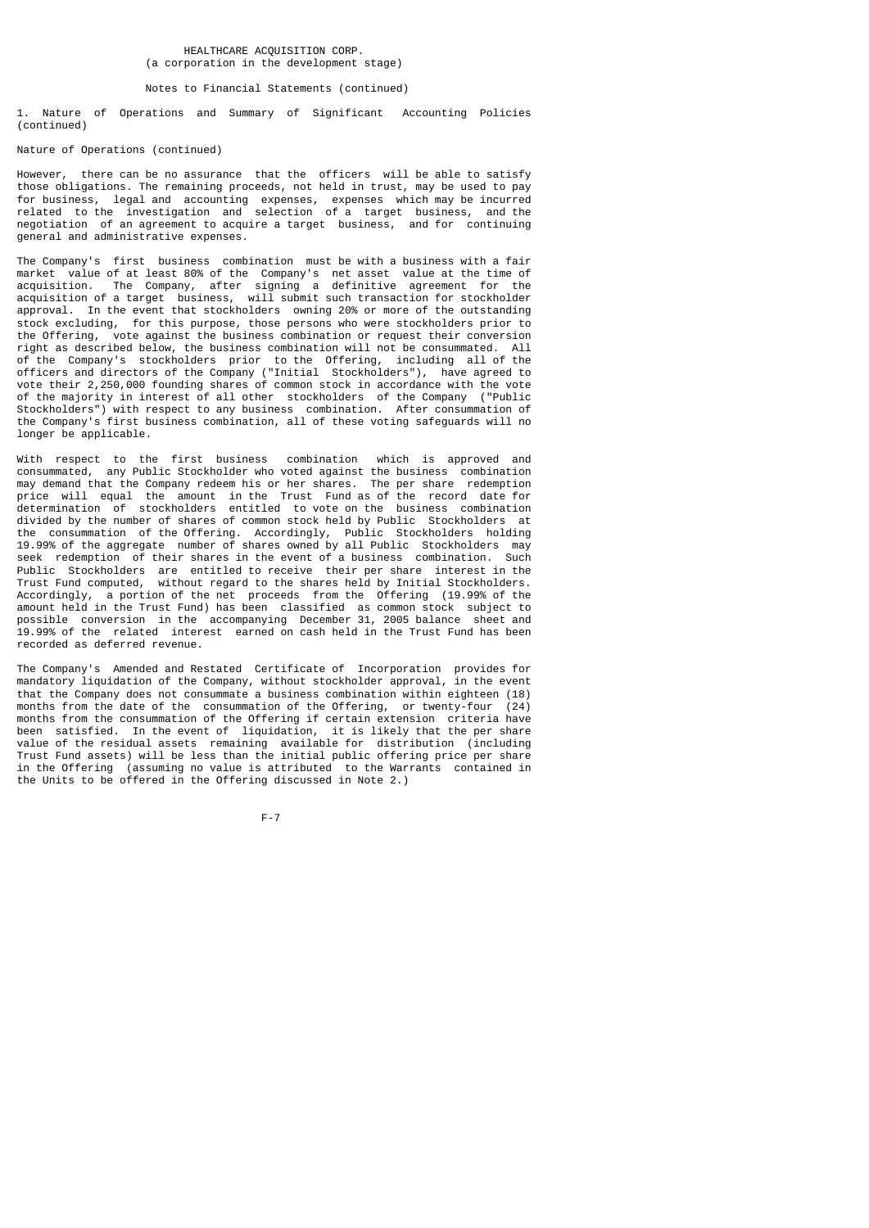## Notes to Financial Statements (continued)

1. Nature of Operations and Summary of Significant Accounting Policies (continued)

### Nature of Operations (continued)

However, there can be no assurance that the officers will be able to satisfy those obligations. The remaining proceeds, not held in trust, may be used to pay for business, legal and accounting expenses, expenses which may be incurred related to the investigation and selection of a target business, and the negotiation of an agreement to acquire a target business, and for continuing general and administrative expenses.

The Company's first business combination must be with a business with a fair market value of at least 80% of the Company's net asset value at the time of acquisition. The Company, after signing a definitive agreement for the acquisition of a target business, will submit such transaction for stockholder approval. In the event that stockholders owning 20% or more of the outstanding stock excluding, for this purpose, those persons who were stockholders prior to<br>the Offering, vote against the business combination or request their conversion vote against the business combination or request their conversion right as described below, the business combination will not be consummated. All of the Company's stockholders prior to the Offering, including all of the officers and directors of the Company ("Initial Stockholders"), have agreed to vote their 2,250,000 founding shares of common stock in accordance with the vote of the majority in interest of all other stockholders of the Company ("Public Stockholders") with respect to any business combination. After consummation of the Company's first business combination, all of these voting safeguards will no longer be applicable.

With respect to the first business combination which is approved and consummated, any Public Stockholder who voted against the business combination may demand that the Company redeem his or her shares. The per share redemption price will equal the amount in the Trust Fund as of the record date for determination of stockholders entitled to vote on the business combination divided by the number of shares of common stock held by Public Stockholders at the consummation of the Offering. Accordingly, Public Stockholders holding 19.99% of the aggregate number of shares owned by all Public Stockholders may seek redemption of their shares in the event of a business combination. Such Public Stockholders are entitled to receive their per share interest in the Trust Fund computed, without regard to the shares held by Initial Stockholders. Accordingly, a portion of the net proceeds from the Offering (19.99% of the amount held in the Trust Fund) has been classified as common stock subject to possible conversion in the accompanying December 31, 2005 balance sheet and 19.99% of the related interest earned on cash held in the Trust Fund has been recorded as deferred revenue.

The Company's Amended and Restated Certificate of Incorporation provides for mandatory liquidation of the Company, without stockholder approval, in the event that the Company does not consummate a business combination within eighteen (18) months from the date of the consummation of the Offering, or twenty-four (24) months from the consummation of the Offering if certain extension criteria have been satisfied. In the event of liquidation, it is likely that the per share value of the residual assets remaining available for distribution (including Trust Fund assets) will be less than the initial public offering price per share in the Offering (assuming no value is attributed to the Warrants contained in the Units to be offered in the Offering discussed in Note 2.)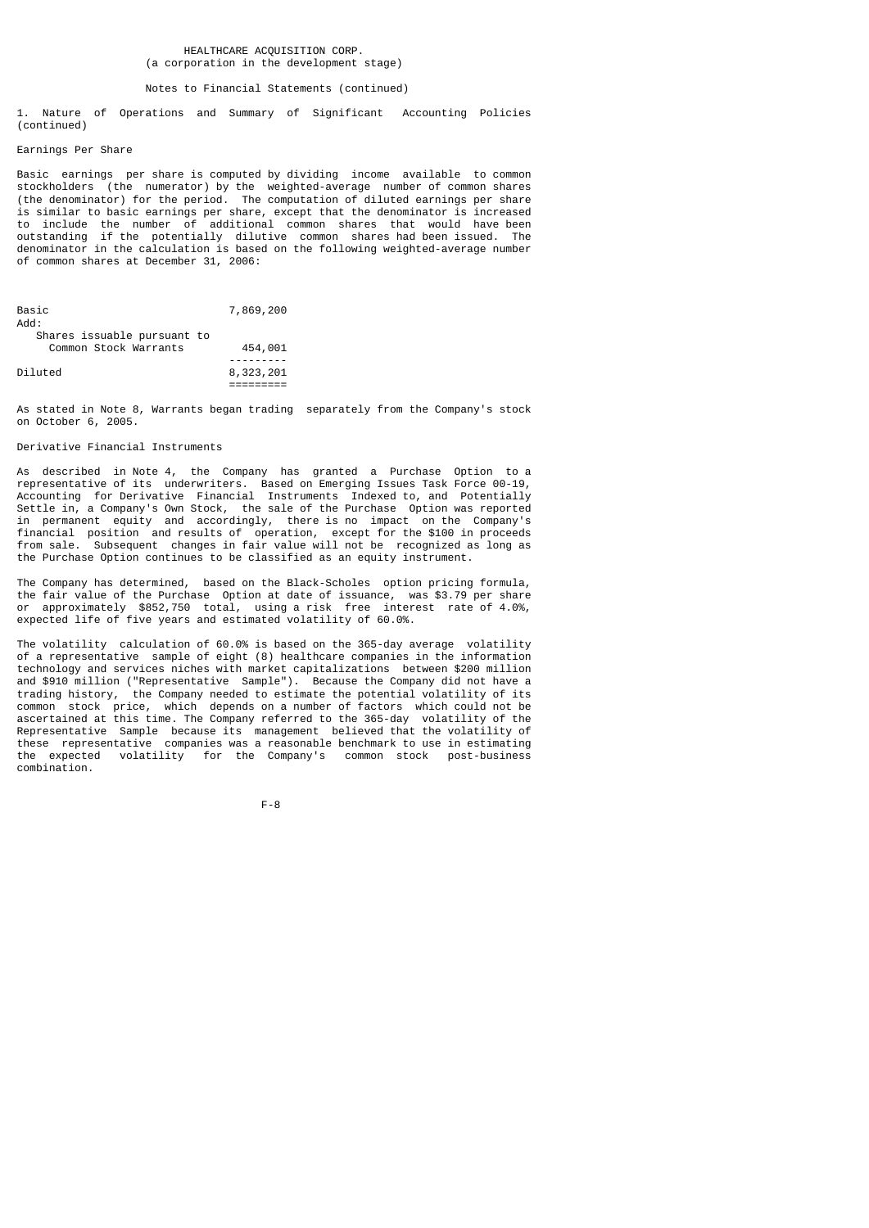## Notes to Financial Statements (continued)

1. Nature of Operations and Summary of Significant Accounting Policies (continued)

## Earnings Per Share

Basic earnings per share is computed by dividing income available to common stockholders (the numerator) by the weighted-average number of common shares (the denominator) for the period. The computation of diluted earnings per share is similar to basic earnings per share, except that the denominator is increased to include the number of additional common shares that would have been outstanding if the potentially dilutive common shares had been issued. The denominator in the calculation is based on the following weighted-average number of common shares at December 31, 2006:

| Basic<br>: Add              | 7,869,200 |
|-----------------------------|-----------|
| Shares issuable pursuant to |           |
| Common Stock Warrants       | 454,001   |
|                             |           |
| Diluted                     | 8,323,201 |
|                             |           |

As stated in Note 8, Warrants began trading separately from the Company's stock on October 6, 2005.

## Derivative Financial Instruments

As described in Note 4, the Company has granted a Purchase Option to a representative of its underwriters. Based on Emerging Issues Task Force 00-19, Accounting for Derivative Financial Instruments Indexed to, and Potentially Settle in, a Company's Own Stock, the sale of the Purchase Option was reported in permanent equity and accordingly, there is no impact on the Company's financial position and results of operation, except for the \$100 in proceeds from sale. Subsequent changes in fair value will not be recognized as long as the Purchase Option continues to be classified as an equity instrument.

The Company has determined, based on the Black-Scholes option pricing formula, the fair value of the Purchase Option at date of issuance, was \$3.79 per share or approximately \$852,750 total, using a risk free interest rate of 4.0%, expected life of five years and estimated volatility of 60.0%.

The volatility calculation of 60.0% is based on the 365-day average volatility of a representative sample of eight (8) healthcare companies in the information technology and services niches with market capitalizations between \$200 million and \$910 million ("Representative Sample"). Because the Company did not have a trading history, the Company needed to estimate the potential volatility of its the Company needed to estimate the potential volatility of its common stock price, which depends on a number of factors which could not be ascertained at this time. The Company referred to the 365-day volatility of the Representative Sample because its management believed that the volatility of these representative companies was a reasonable benchmark to use in estimating the expected volatility for the Company's common stock post-business combination.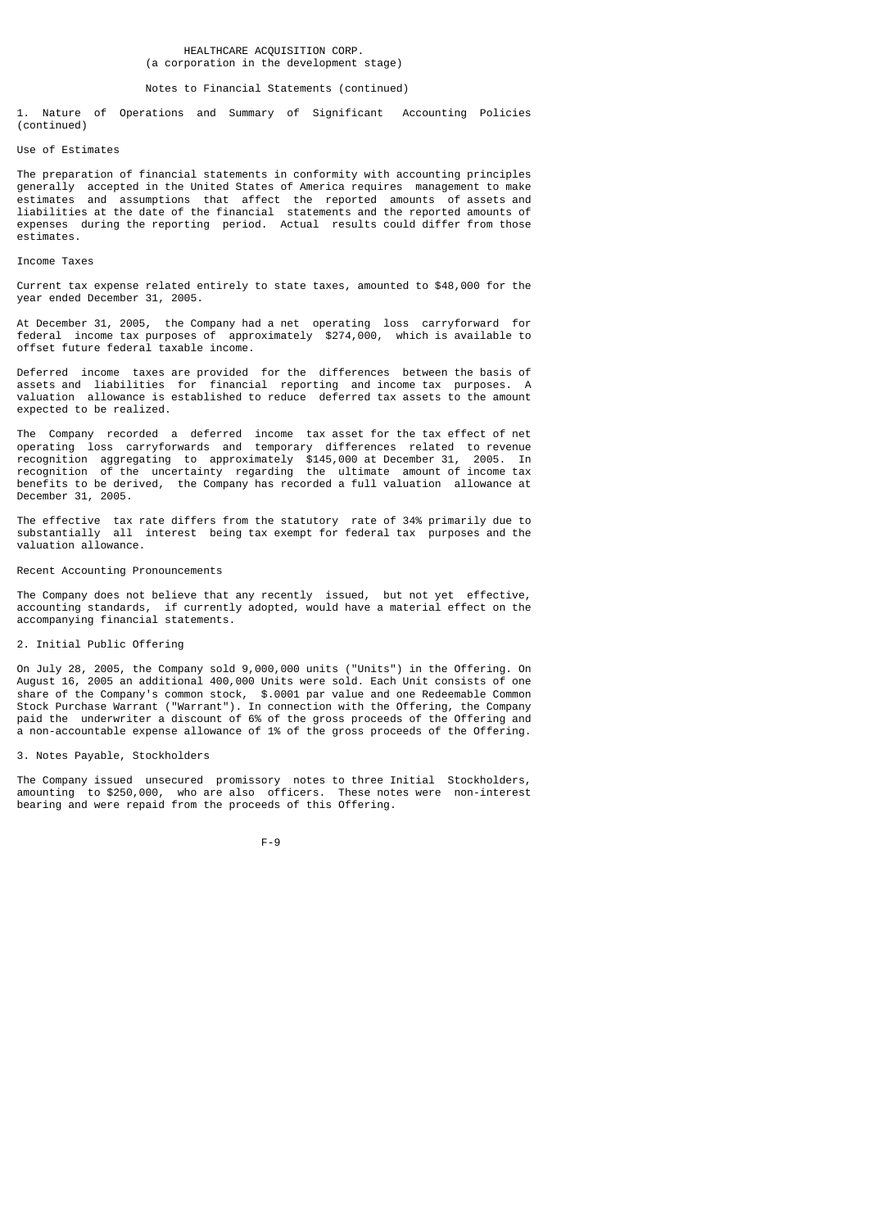## Notes to Financial Statements (continued)

1. Nature of Operations and Summary of Significant Accounting Policies (continued)

## Use of Estimates

The preparation of financial statements in conformity with accounting principles generally accepted in the United States of America requires management to make estimates and assumptions that affect the reported amounts of assets and liabilities at the date of the financial statements and the reported amounts of expenses during the reporting period. Actual results could differ from those estimates.

## Income Taxes

Current tax expense related entirely to state taxes, amounted to \$48,000 for the year ended December 31, 2005.

At December 31, 2005, the Company had a net operating loss carryforward for federal income tax purposes of approximately \$274,000, which is available to offset future federal taxable income.

Deferred income taxes are provided for the differences between the basis of assets and liabilities for financial reporting and income tax purposes. A valuation allowance is established to reduce deferred tax assets to the amount expected to be realized.

The Company recorded a deferred income tax asset for the tax effect of net operating loss carryforwards and temporary differences related to revenue recognition aggregating to approximately \$145,000 at December 31, 2005. In recognition of the uncertainty regarding the ultimate amount of income tax benefits to be derived, the Company has recorded a full valuation allowance at December 31, 2005.

The effective tax rate differs from the statutory rate of 34% primarily due to substantially all interest being tax exempt for federal tax purposes and the valuation allowance.

### Recent Accounting Pronouncements

The Company does not believe that any recently issued, but not yet effective, accounting standards, if currently adopted, would have a material effect on the accompanying financial statements.

# 2. Initial Public Offering

On July 28, 2005, the Company sold 9,000,000 units ("Units") in the Offering. On August 16, 2005 an additional 400,000 Units were sold. Each Unit consists of one share of the Company's common stock, \$.0001 par value and one Redeemable Common Stock Purchase Warrant ("Warrant"). In connection with the Offering, the Company paid the underwriter a discount of 6% of the gross proceeds of the Offering and a non-accountable expense allowance of 1% of the gross proceeds of the Offering.

## 3. Notes Payable, Stockholders

The Company issued unsecured promissory notes to three Initial Stockholders, amounting to \$250,000, who are also officers. These notes were non-interest bearing and were repaid from the proceeds of this Offering.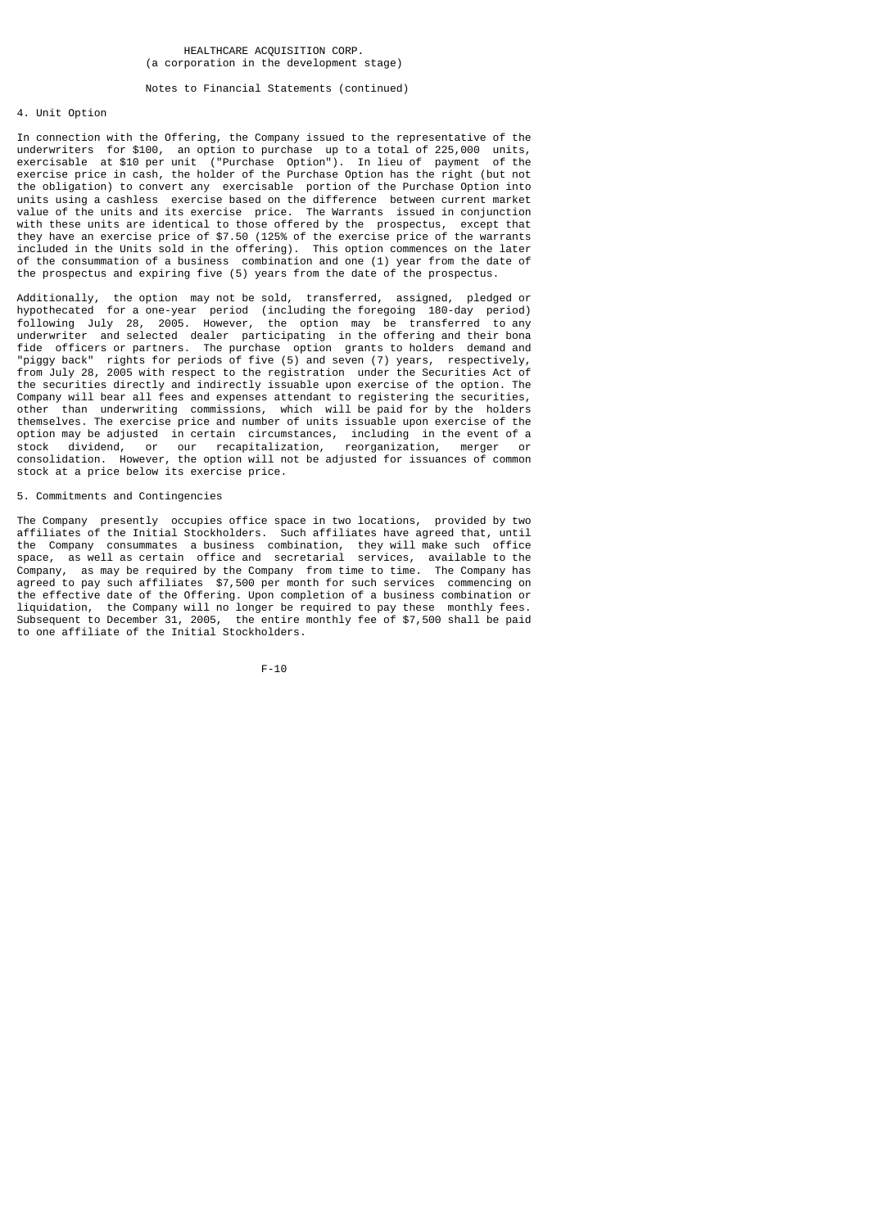## Notes to Financial Statements (continued)

## 4. Unit Option

In connection with the Offering, the Company issued to the representative of the underwriters for \$100, an option to purchase up to a total of 225,000 units, exercisable at \$10 per unit ("Purchase Option"). In lieu of payment of the exercise price in cash, the holder of the Purchase Option has the right (but not the obligation) to convert any exercisable portion of the Purchase Option into units using a cashless exercise based on the difference between current market value of the units and its exercise price. The Warrants issued in conjunction with these units are identical to those offered by the prospectus, except that they have an exercise price of \$7.50 (125% of the exercise price of the warrants included in the Units sold in the offering). This option commences on the later of the consummation of a business combination and one (1) year from the date of the prospectus and expiring five (5) years from the date of the prospectus.

Additionally, the option may not be sold, transferred, assigned, pledged or hypothecated for a one-year period (including the foregoing 180-day period) following July 28, 2005. However, the option may be transferred to any underwriter and selected dealer participating in the offering and their bona fide officers or partners. The purchase option grants to holders demand and "piggy back" rights for periods of five (5) and seven (7) years, respectively, from July 28, 2005 with respect to the registration under the Securities Act of the securities directly and indirectly issuable upon exercise of the option. The Company will bear all fees and expenses attendant to registering the securities,<br>other than underwriting commissions, which will be paid for by the holders than underwriting commissions, which will be paid for by the holders themselves. The exercise price and number of units issuable upon exercise of the option may be adjusted in certain circumstances, including in the event of a stock dividend, or our recapitalization, reorganization, merger or extract may be any set of a necessary increased for issuances of consolidation. However, the option will not be adjusted for issuances of common consolidation. However, the option will not be adjusted for issuances of comm stock at a price below its exercise price.

## 5. Commitments and Contingencies

The Company presently occupies office space in two locations, provided by two affiliates of the Initial Stockholders. Such affiliates have agreed that, until the Company consummates a business combination, they will make such office space, as well as certain office and secretarial services, available to the Company, as may be required by the Company from time to time. The Company has agreed to pay such affiliates \$7,500 per month for such services commencing on the effective date of the Offering. Upon completion of a business combination or liquidation, the Company will no longer be required to pay these monthly fees. Subsequent to December 31, 2005, the entire monthly fee of \$7,500 shall be paid to one affiliate of the Initial Stockholders.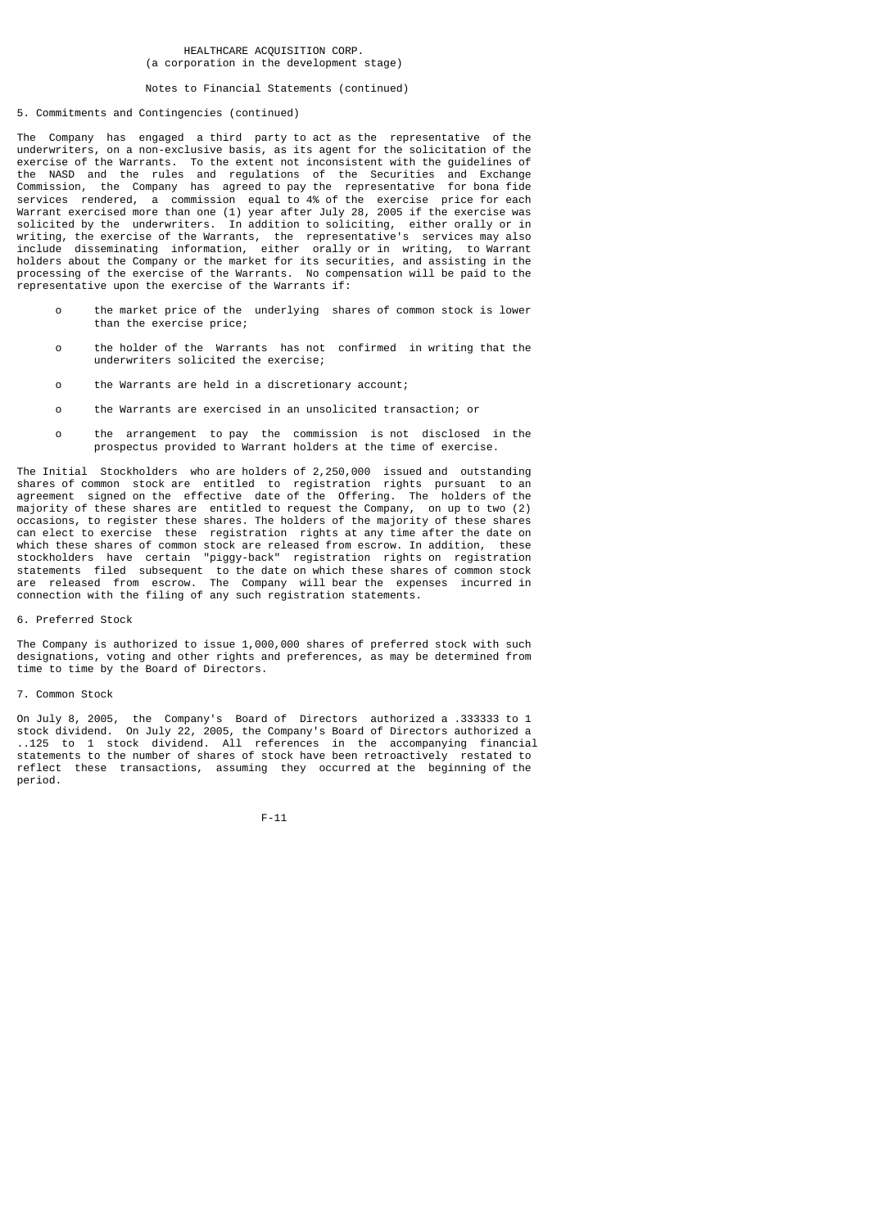## Notes to Financial Statements (continued)

### 5. Commitments and Contingencies (continued)

The Company has engaged a third party to act as the representative of the underwriters, on a non-exclusive basis, as its agent for the solicitation of the exercise of the Warrants. To the extent not inconsistent with the guidelines of the NASD and the rules and regulations of the Securities and Exchange Commission, the Company has agreed to pay the representative for bona fide services rendered, a commission equal to 4% of the exercise price for each Warrant exercised more than one (1) year after July 28, 2005 if the exercise was solicited by the underwriters. In addition to soliciting, either orally or in writing, the exercise of the Warrants, the representative's services may also include disseminating information, either orally or in writing, to Warrant holders about the Company or the market for its securities, and assisting in the processing of the exercise of the Warrants. No compensation will be paid to the representative upon the exercise of the Warrants if:

- o the market price of the underlying shares of common stock is lower than the exercise price;
- o the holder of the Warrants has not confirmed in writing that the underwriters solicited the exercise;
- o the Warrants are held in a discretionary account;
- o the Warrants are exercised in an unsolicited transaction; or
- o the arrangement to pay the commission is not disclosed in the prospectus provided to Warrant holders at the time of exercise.

The Initial Stockholders who are holders of 2,250,000 issued and outstanding shares of common stock are entitled to registration rights pursuant to an agreement signed on the effective date of the Offering. The holders of the majority of these shares are entitled to request the Company, on up to two (2) occasions, to register these shares. The holders of the majority of these shares can elect to exercise these registration rights at any time after the date on which these shares of common stock are released from escrow. In addition, these stockholders have certain "piggy-back" registration rights on registration statements filed subsequent to the date on which these shares of common stock are released from escrow. The Company will bear the expenses incurred in connection with the filing of any such registration statements.

## 6. Preferred Stock

The Company is authorized to issue 1,000,000 shares of preferred stock with such designations, voting and other rights and preferences, as may be determined from time to time by the Board of Directors.

## 7. Common Stock

On July 8, 2005, the Company's Board of Directors authorized a .333333 to 1 stock dividend. On July 22, 2005, the Company's Board of Directors authorized a ..125 to 1 stock dividend. All references in the accompanying financial statements to the number of shares of stock have been retroactively restated to reflect these transactions, assuming they occurred at the beginning of the period.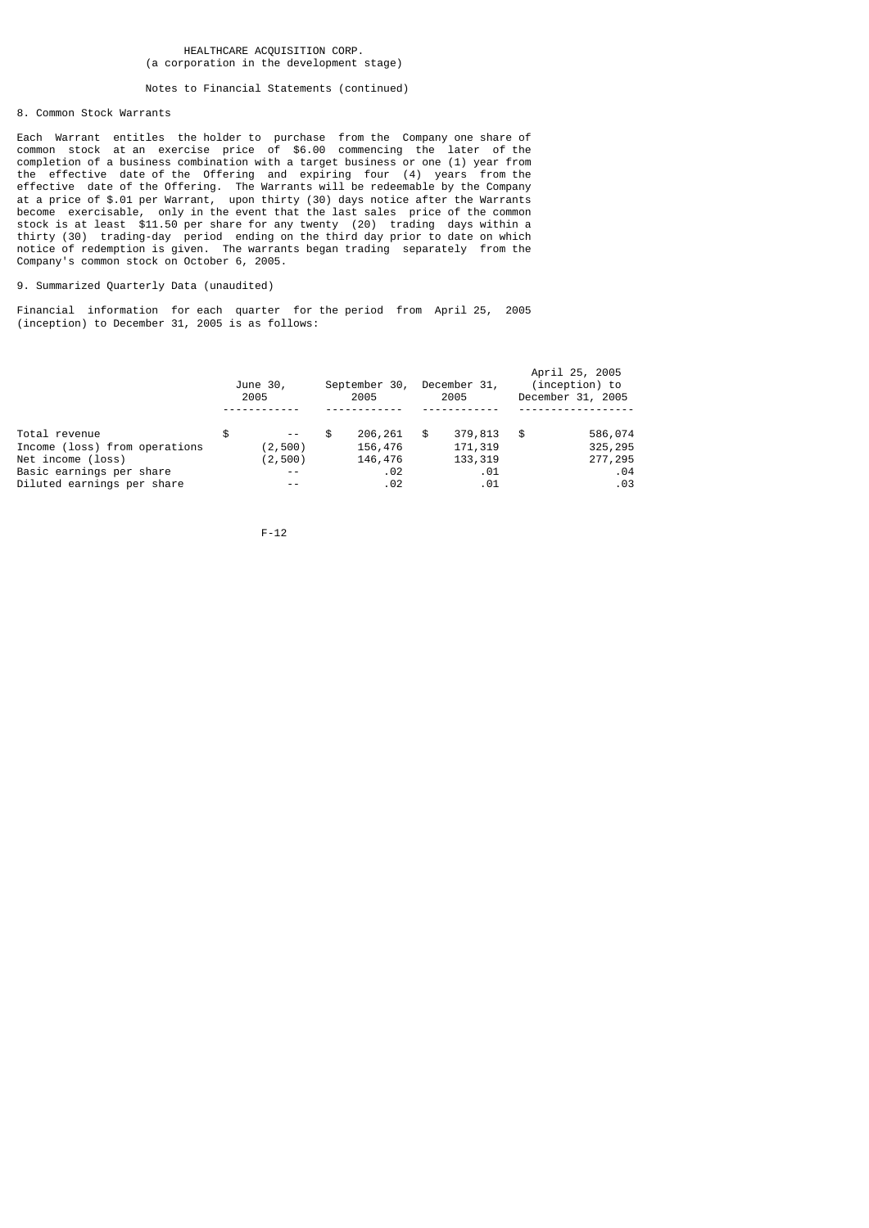# Notes to Financial Statements (continued)

### 8. Common Stock Warrants

Each Warrant entitles the holder to purchase from the Company one share of common stock at an exercise price of \$6.00 commencing the later of the completion of a business combination with a target business or one (1) year from the effective date of the Offering and expiring four (4) years from the effective date of the Offering. The Warrants will be redeemable by the Company at a price of \$.01 per Warrant, upon thirty (30) days notice after the Warrants become exercisable, only in the event that the last sales price of the common stock is at least \$11.50 per share for any twenty (20) trading days within a thirty (30) trading-day period ending on the third day prior to date on which notice of redemption is given. The warrants began trading separately from the Company's common stock on October 6, 2005.

9. Summarized Quarterly Data (unaudited)

Financial information for each quarter for the period from April 25, 2005 (inception) to December 31, 2005 is as follows:

|                                                                                                                               | June 30,<br>2005 |                                    | September 30,<br>2005                       | December 31,<br>2005 |                                             | April 25, 2005<br>(inception) to<br>December 31, 2005 |                                             |
|-------------------------------------------------------------------------------------------------------------------------------|------------------|------------------------------------|---------------------------------------------|----------------------|---------------------------------------------|-------------------------------------------------------|---------------------------------------------|
| Total revenue<br>Income (loss) from operations<br>Net income (loss)<br>Basic earnings per share<br>Diluted earnings per share | S                | $ -$<br>(2,500)<br>(2,500)<br>$ -$ | 206,261<br>156,476<br>146,476<br>.02<br>.02 | \$                   | 379,813<br>171,319<br>133,319<br>.01<br>.01 | \$                                                    | 586,074<br>325,295<br>277,295<br>.04<br>.03 |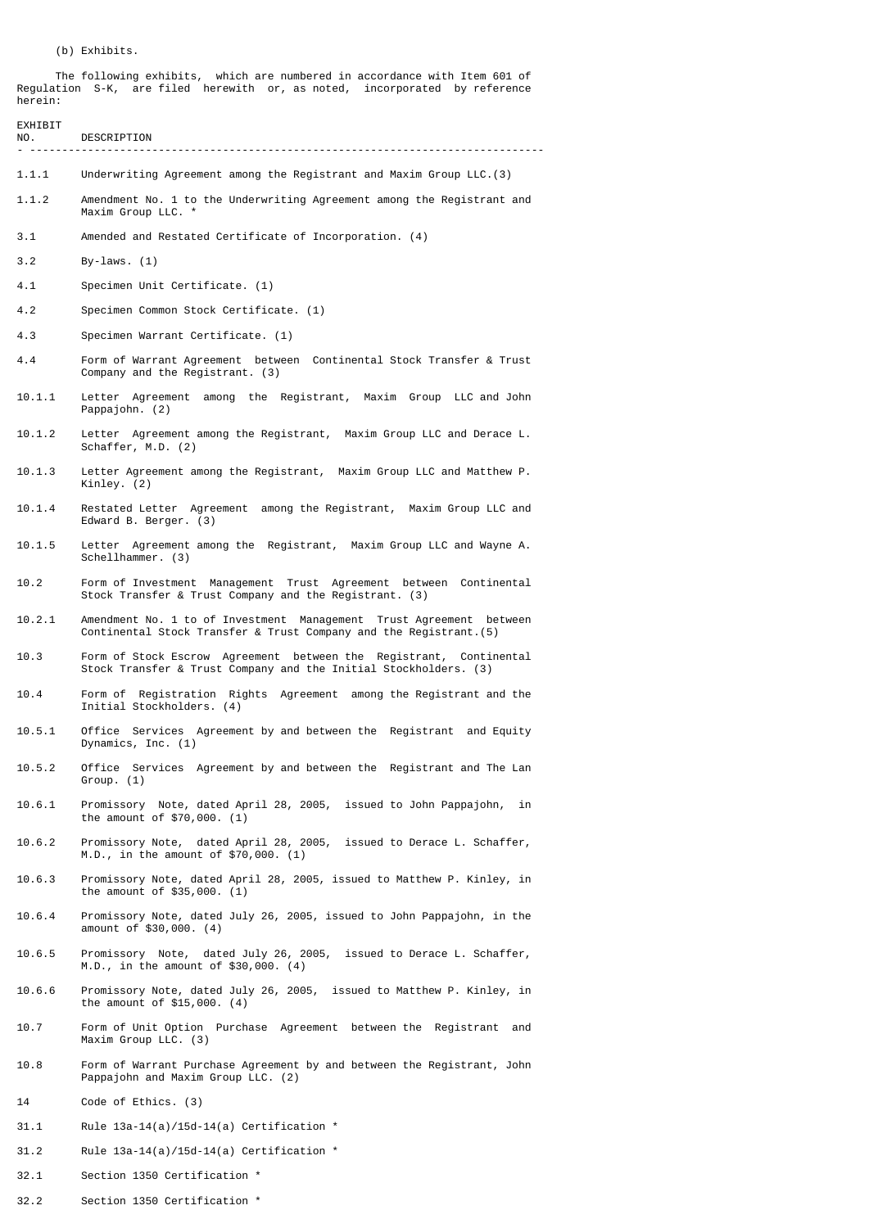The following exhibits, which are numbered in accordance with Item 601 of Regulation S-K, are filed herewith or, as noted, incorporated by reference herein:

E)<br>Ni

| .              |                                                                                                                                           |
|----------------|-------------------------------------------------------------------------------------------------------------------------------------------|
| EXHIBIT<br>NO. | DESCRIPTION                                                                                                                               |
| 1.1.1          | Underwriting Agreement among the Registrant and Maxim Group LLC. (3)                                                                      |
| 1.1.2          | Amendment No. 1 to the Underwriting Agreement among the Registrant and<br>Maxim Group LLC. *                                              |
| 3.1            | Amended and Restated Certificate of Incorporation. (4)                                                                                    |
| 3.2            | By-laws. $(1)$                                                                                                                            |
| 4.1            | Specimen Unit Certificate. (1)                                                                                                            |
| 4.2            | Specimen Common Stock Certificate. (1)                                                                                                    |
| 4.3            | Specimen Warrant Certificate. (1)                                                                                                         |
| 4.4            | Form of Warrant Agreement between Continental Stock Transfer & Trust<br>Company and the Registrant. (3)                                   |
| 10.1.1         | Letter Agreement among the Registrant, Maxim Group LLC and John<br>Pappajohn. (2)                                                         |
| 10.1.2         | Letter Agreement among the Registrant, Maxim Group LLC and Derace L.<br>Schaffer, M.D. (2)                                                |
| 10.1.3         | Letter Agreement among the Registrant, Maxim Group LLC and Matthew P.<br>Kinley. (2)                                                      |
| 10.1.4         | Restated Letter Agreement among the Registrant, Maxim Group LLC and<br>Edward B. Berger. (3)                                              |
| 10.1.5         | Letter Agreement among the Registrant, Maxim Group LLC and Wayne A.<br>Schellhammer. (3)                                                  |
| 10.2           | Form of Investment Management Trust Agreement between Continental<br>Stock Transfer & Trust Company and the Registrant. (3)               |
| 10.2.1         | Amendment No. 1 to of Investment Management Trust Agreement between<br>Continental Stock Transfer & Trust Company and the Registrant. (5) |
| 10.3           | Form of Stock Escrow Agreement between the Registrant, Continental<br>Stock Transfer & Trust Company and the Initial Stockholders. (3)    |
| 10.4           | Registration Rights Agreement among the Registrant and the<br>Form of<br>Initial Stockholders. (4)                                        |
| 10.5.1         | Office Services Agreement by and between the Registrant and Equity<br>Dynamics, Inc. (1)                                                  |
| 10.5.2         | Office Services Agreement by and between the Registrant and The Lan<br>Group. $(1)$                                                       |
| 10.6.1         | Promissory Note, dated April 28, 2005, issued to John Pappajohn,<br>in<br>the amount of $$70,000. (1)$                                    |
| 10.6.2         | Promissory Note, dated April 28, 2005,<br>issued to Derace L. Schaffer,<br>M.D., in the amount of \$70,000. (1)                           |
| 10.6.3         | Promissory Note, dated April 28, 2005, issued to Matthew P. Kinley, in<br>the amount of $$35,000. (1)$                                    |
| 10.6.4         | Promissory Note, dated July 26, 2005, issued to John Pappajohn, in the<br>amount of \$30,000. (4)                                         |
| 10.6.5         | Promissory Note, dated July 26, 2005, issued to Derace L. Schaffer,<br>M.D., in the amount of \$30,000. (4)                               |
| 10.6.6         | Promissory Note, dated July 26, 2005, issued to Matthew P. Kinley, in<br>the amount of $$15,000.$ (4)                                     |
| 10.7           | Form of Unit Option Purchase Agreement between the Registrant and<br>Maxim Group LLC. (3)                                                 |
| 10.8           | Form of Warrant Purchase Agreement by and between the Registrant, John<br>Pappajohn and Maxim Group LLC. (2)                              |
| 14             | Code of Ethics. (3)                                                                                                                       |

- 31.1 Rule 13a-14(a)/15d-14(a) Certification \*
- 31.2 Rule 13a-14(a)/15d-14(a) Certification \*
- 32.1 Section 1350 Certification \*
- 32.2 Section 1350 Certification \*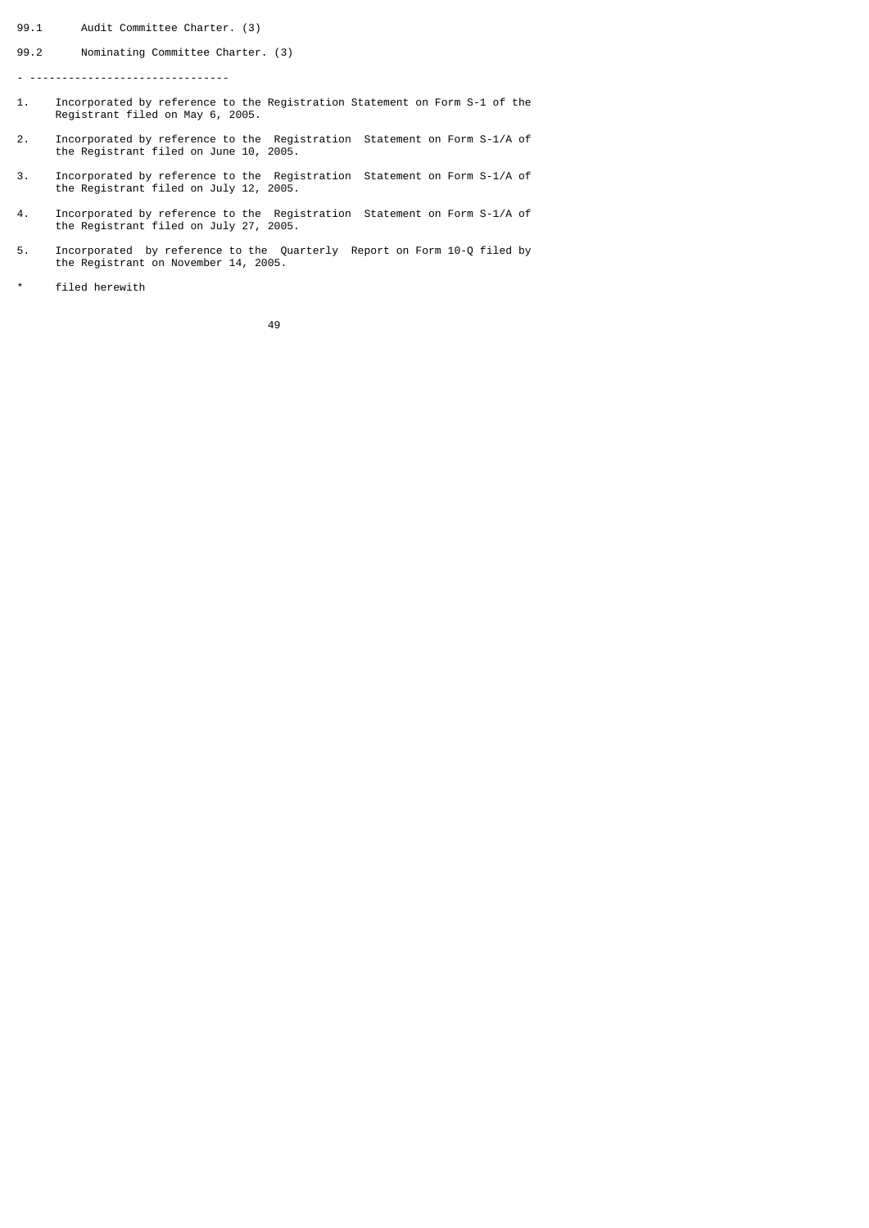# 99.1 Audit Committee Charter. (3)

99.2 Nominating Committee Charter. (3)

- -------------------------------

- 1. Incorporated by reference to the Registration Statement on Form S-1 of the Registrant filed on May 6, 2005.
- 2. Incorporated by reference to the Registration Statement on Form S-1/A of the Registrant filed on June 10, 2005.
- 3. Incorporated by reference to the Registration Statement on Form S-1/A of the Registrant filed on July 12, 2005.
- 4. Incorporated by reference to the Registration Statement on Form S-1/A of the Registrant filed on July 27, 2005.
- 5. Incorporated by reference to the Quarterly Report on Form 10-Q filed by the Registrant on November 14, 2005.
- \* filed herewith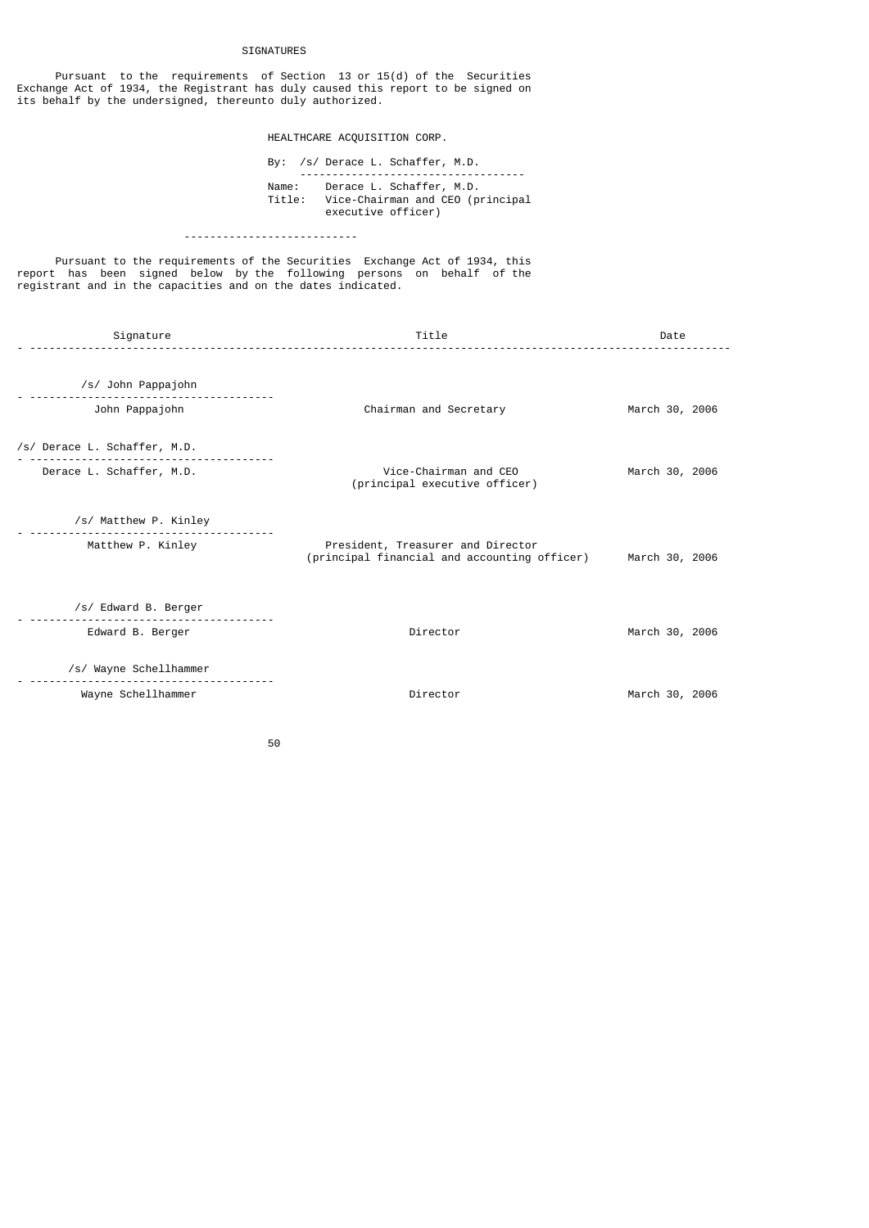## SIGNATURES

 Pursuant to the requirements of Section 13 or 15(d) of the Securities Exchange Act of 1934, the Registrant has duly caused this report to be signed on its behalf by the undersigned, thereunto duly authorized.

HEALTHCARE ACQUISITION CORP.

|        |                    | By: /s/ Derace L. Schaffer, M.D. |                                  |
|--------|--------------------|----------------------------------|----------------------------------|
| Title: | executive officer) | Name: Derace L. Schaffer, M.D.   | Vice-Chairman and CEO (principal |

## ---------------------------

 Pursuant to the requirements of the Securities Exchange Act of 1934, this report has been signed below by the following persons on behalf of the registrant and in the capacities and on the dates indicated.

| Signature                            | Title                                                                             | Date           |
|--------------------------------------|-----------------------------------------------------------------------------------|----------------|
| /s/ John Pappajohn<br>John Pappajohn | Chairman and Secretary                                                            | March 30, 2006 |
| /s/ Derace L. Schaffer, M.D.         |                                                                                   |                |
| Derace L. Schaffer, M.D.             | Vice-Chairman and CEO<br>(principal executive officer)                            | March 30, 2006 |
| /s/ Matthew P. Kinley                |                                                                                   |                |
| Matthew P. Kinley                    | President, Treasurer and Director<br>(principal financial and accounting officer) | March 30, 2006 |
| /s/ Edward B. Berger                 |                                                                                   |                |
| Edward B. Berger                     | Director                                                                          | March 30, 2006 |
| /s/ Wayne Schellhammer               |                                                                                   |                |
| Wayne Schellhammer                   | Director                                                                          | March 30, 2006 |

50 and 2012 and 2013 and 2014 and 2014 and 2014 and 2014 and 2014 and 2014 and 2014 and 2014 and 2014 and 2014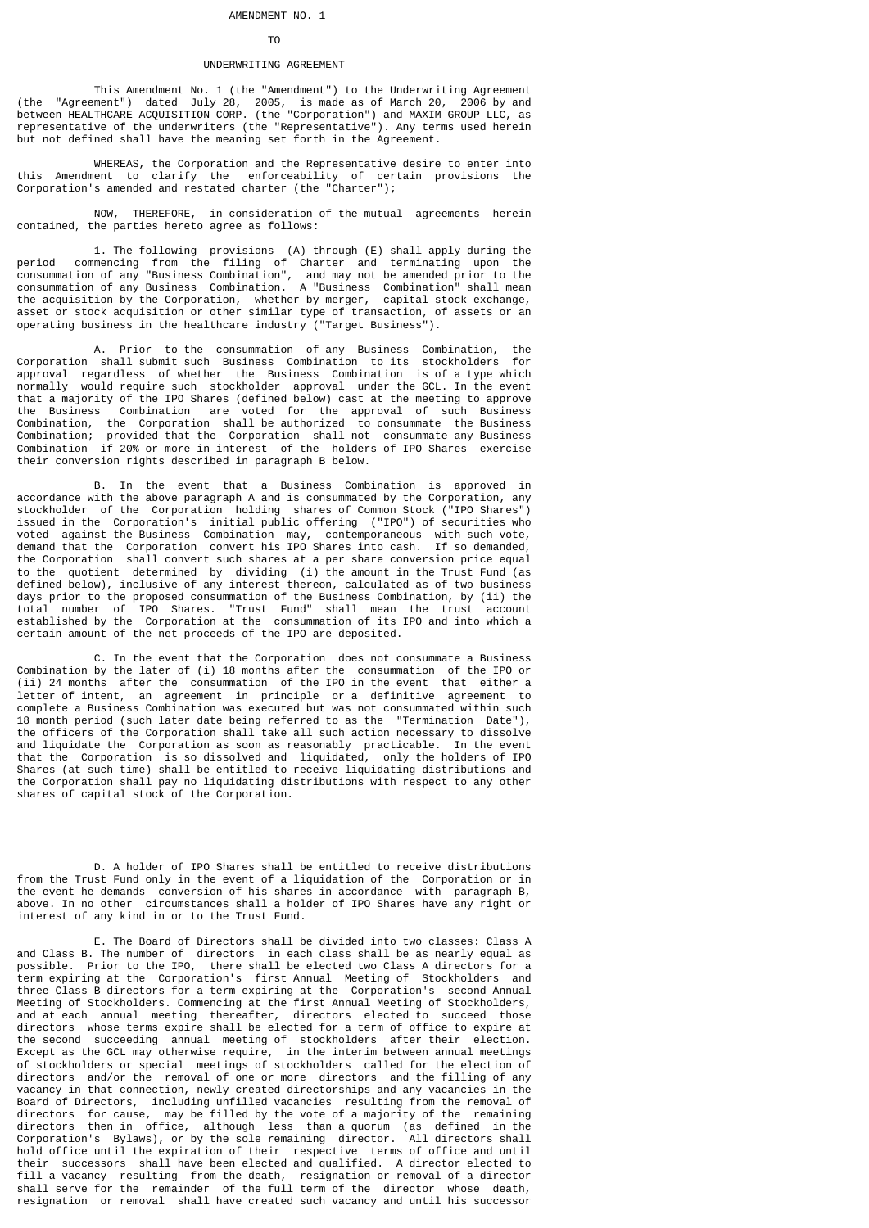## AMENDMENT NO. 1

#### The contract of the contract of the contract of the contract of the contract of the contract of the contract o

### UNDERWRITING AGREEMENT

 This Amendment No. 1 (the "Amendment") to the Underwriting Agreement (the "Agreement") dated July 28, 2005, is made as of March 20, 2006 by and between HEALTHCARE ACQUISITION CORP. (the "Corporation") and MAXIM GROUP LLC, as representative of the underwriters (the "Representative"). Any terms used herein but not defined shall have the meaning set forth in the Agreement.

 WHEREAS, the Corporation and the Representative desire to enter into this Amendment to clarify the enforceability of certain provisions the Corporation's amended and restated charter (the "Charter");

 NOW, THEREFORE, in consideration of the mutual agreements herein contained, the parties hereto agree as follows:

 1. The following provisions (A) through (E) shall apply during the period commencing from the filing of Charter and terminating upon the consummation of any "Business Combination", and may not be amended prior to the consummation of any Business Combination. A "Business Combination" shall mean the acquisition by the Corporation, whether by merger, capital stock exchange, asset or stock acquisition or other similar type of transaction, of assets or an operating business in the healthcare industry ("Target Business").

 A. Prior to the consummation of any Business Combination, the Corporation shall submit such Business Combination to its stockholders for approval regardless of whether the Business Combination is of a type which normally would require such stockholder approval under the GCL. In the event that a majority of the IPO Shares (defined below) cast at the meeting to approve the Business Combination are voted for the approval of such Business Combination, the Corporation shall be authorized to consummate the Business Combination; provided that the Corporation shall not consummate any Business Combination if 20% or more in interest of the holders of IPO Shares exercise their conversion rights described in paragraph B below.

 B. In the event that a Business Combination is approved in accordance with the above paragraph A and is consummated by the Corporation, any stockholder of the Corporation holding shares of Common Stock ("IPO Shares") issued in the Corporation's initial public offering ("IPO") of securities who voted against the Business Combination may, contemporaneous with such vote, demand that the Corporation convert his IPO Shares into cash. If so demanded, the Corporation shall convert such shares at a per share conversion price equal to the quotient determined by dividing (i) the amount in the Trust Fund (as defined below), inclusive of any interest thereon, calculated as of two business days prior to the proposed consummation of the Business Combination, by (ii) the total number of IPO Shares. "Trust Fund" shall mean the trust account established by the Corporation at the consummation of its IPO and into which a certain amount of the net proceeds of the IPO are deposited.

 C. In the event that the Corporation does not consummate a Business Combination by the later of (i) 18 months after the consummation of the IPO or (ii) 24 months after the consummation of the IPO in the event that either a letter of intent, an agreement in principle or a definitive agreement to complete a Business Combination was executed but was not consummated within such 18 month period (such later date being referred to as the "Termination Date"), the officers of the Corporation shall take all such action necessary to dissolve and liquidate the Corporation as soon as reasonably practicable. In the event that the Corporation is so dissolved and liquidated, only the holders of IPO Shares (at such time) shall be entitled to receive liquidating distributions and the Corporation shall pay no liquidating distributions with respect to any other shares of capital stock of the Corporation.

 D. A holder of IPO Shares shall be entitled to receive distributions from the Trust Fund only in the event of a liquidation of the Corporation or in the event he demands conversion of his shares in accordance with paragraph B, above. In no other circumstances shall a holder of IPO Shares have any right or interest of any kind in or to the Trust Fund.

 E. The Board of Directors shall be divided into two classes: Class A and Class B. The number of directors in each class shall be as nearly equal as possible. Prior to the IPO, there shall be elected two Class A directors for a term expiring at the Corporation's first Annual Meeting of Stockholders and three Class B directors for a term expiring at the Corporation's second Annual Meeting of Stockholders. Commencing at the first Annual Meeting of Stockholders, and at each annual meeting thereafter, directors elected to succeed those directors whose terms expire shall be elected for a term of office to expire at the second succeeding annual meeting of stockholders after their election. Except as the GCL may otherwise require, in the interim between annual meetings of stockholders or special meetings of stockholders called for the election of directors and/or the removal of one or more directors and the filling of any vacancy in that connection, newly created directorships and any vacancies in the Board of Directors, including unfilled vacancies resulting from the removal of directors for cause, may be filled by the vote of a majority of the remaining directors then in office, although less than a quorum (as defined in the Corporation's Bylaws), or by the sole remaining director. All directors shall hold office until the expiration of their respective terms of office and until their successors shall have been elected and qualified. A director elected to fill a vacancy resulting from the death, resignation or removal of a director shall serve for the remainder of the full term of the director whose death, resignation or removal shall have created such vacancy and until his successor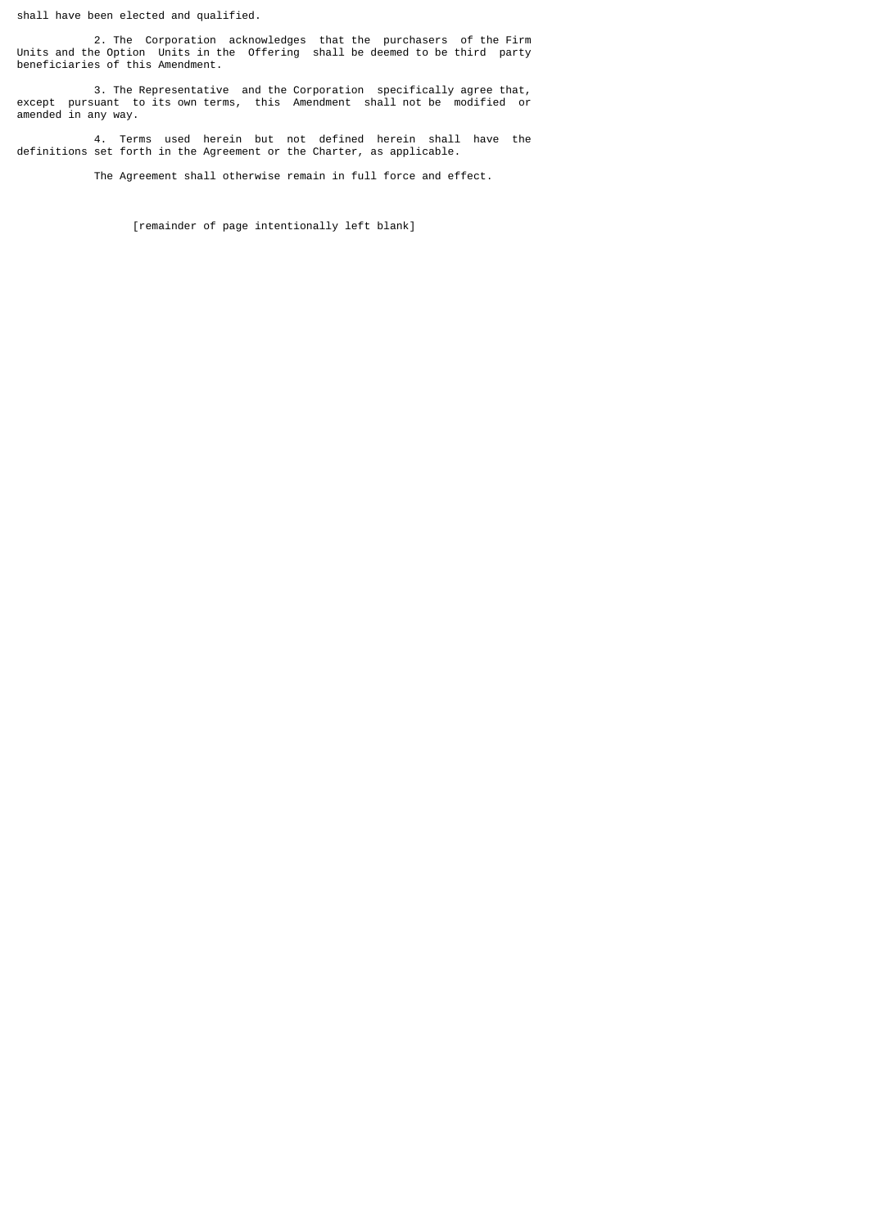shall have been elected and qualified.

 2. The Corporation acknowledges that the purchasers of the Firm Units and the Option Units in the Offering shall be deemed to be third party beneficiaries of this Amendment.

 3. The Representative and the Corporation specifically agree that, except pursuant to its own terms, this Amendment shall not be modified or amended in any way.

 4. Terms used herein but not defined herein shall have the definitions set forth in the Agreement or the Charter, as applicable.

The Agreement shall otherwise remain in full force and effect.

[remainder of page intentionally left blank]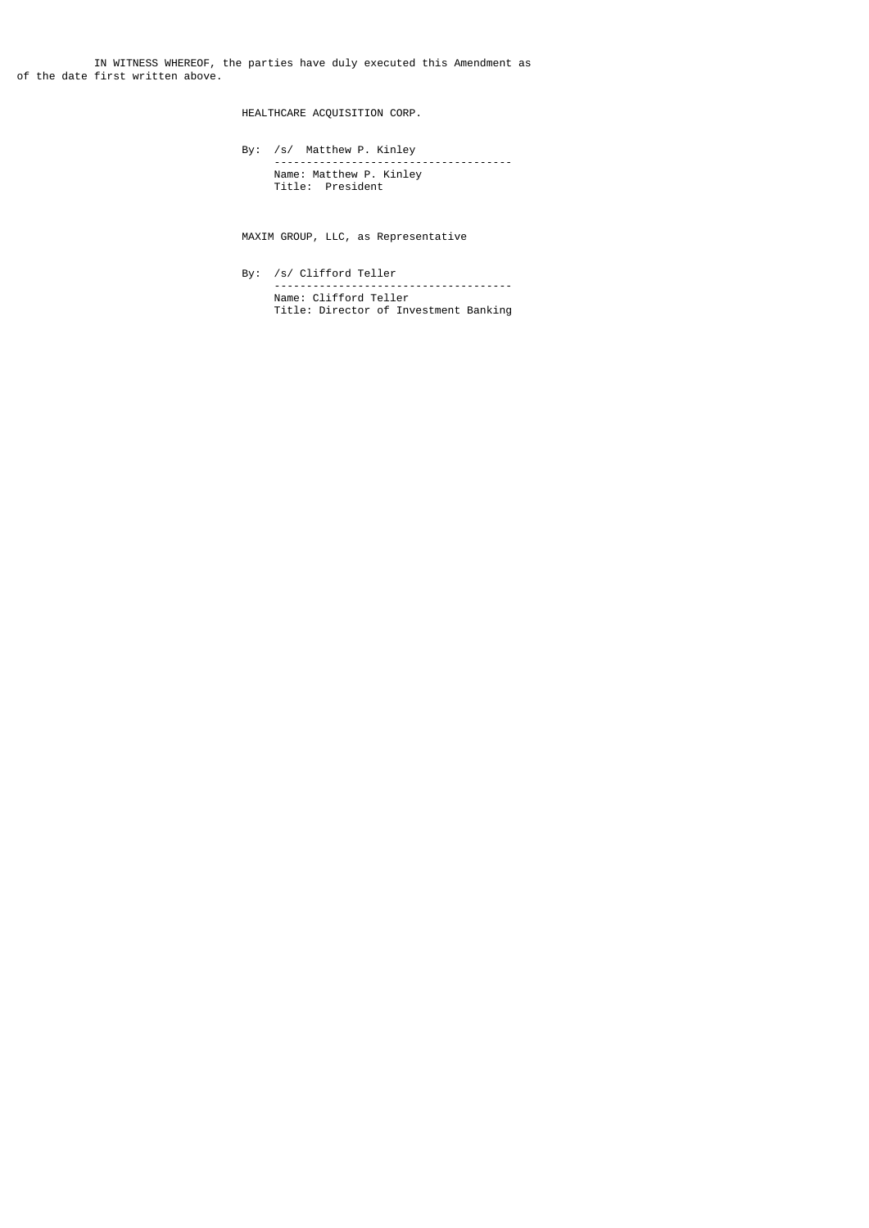IN WITNESS WHEREOF, the parties have duly executed this Amendment as of the date first written above.

HEALTHCARE ACQUISITION CORP.

 By: /s/ Matthew P. Kinley ------------------------------------- Name: Matthew P. Kinley Title: President

MAXIM GROUP, LLC, as Representative

 By: /s/ Clifford Teller ------------------------------------- Name: Clifford Teller Title: Director of Investment Banking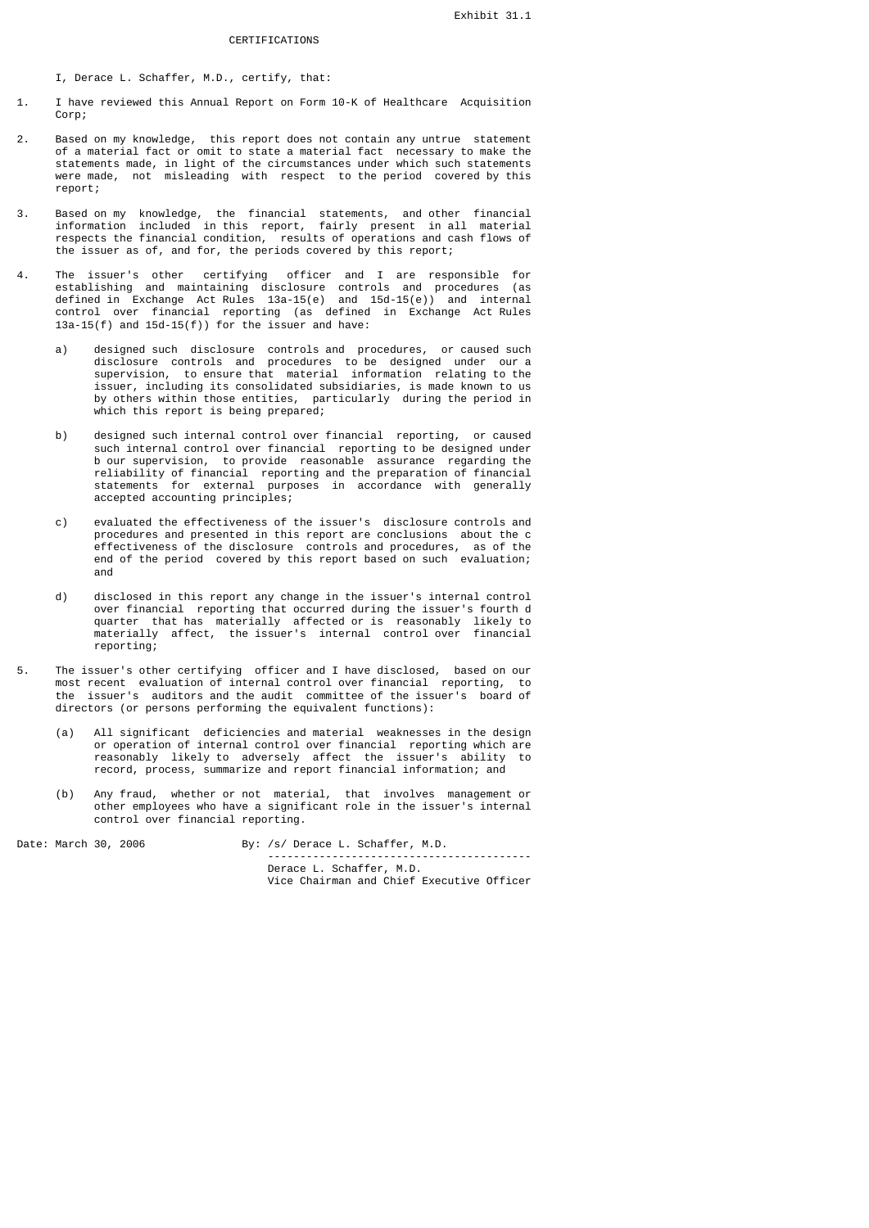# CERTIFICATIONS

I, Derace L. Schaffer, M.D., certify, that:

- 1. I have reviewed this Annual Report on Form 10-K of Healthcare Acquisition Corp:
- 2. Based on my knowledge, this report does not contain any untrue statement of a material fact or omit to state a material fact necessary to make the statements made, in light of the circumstances under which such statements were made, not misleading with respect to the period covered by this report;
- 3. Based on my knowledge, the financial statements, and other financial information included in this report, fairly present in all material respects the financial condition, results of operations and cash flows of the issuer as of, and for, the periods covered by this report;
- 4. The issuer's other certifying officer and I are responsible for establishing and maintaining disclosure controls and procedures (as defined in Exchange Act Rules 13a-15(e) and 15d-15(e)) and internal control over financial reporting (as defined in Exchange Act Rules 13a-15(f) and 15d-15(f)) for the issuer and have:
- a) designed such disclosure controls and procedures, or caused such disclosure controls and procedures to be designed under our a supervision, to ensure that material information relating to the issuer, including its consolidated subsidiaries, is made known to us by others within those entities, particularly during the period in which this report is being prepared;
- b) designed such internal control over financial reporting, or caused such internal control over financial reporting to be designed under b our supervision, to provide reasonable assurance regarding the reliability of financial reporting and the preparation of financial statements for external purposes in accordance with generally accepted accounting principles;
- c) evaluated the effectiveness of the issuer's disclosure controls and procedures and presented in this report are conclusions about the c effectiveness of the disclosure controls and procedures, as of the end of the period covered by this report based on such evaluation; and
- d) disclosed in this report any change in the issuer's internal control over financial reporting that occurred during the issuer's fourth d quarter that has materially affected or is reasonably likely to materially affect, the issuer's internal control over financial reporting;
- 5. The issuer's other certifying officer and I have disclosed, based on our most recent evaluation of internal control over financial reporting, to the issuer's auditors and the audit committee of the issuer's board of directors (or persons performing the equivalent functions):
	- (a) All significant deficiencies and material weaknesses in the design or operation of internal control over financial reporting which are reasonably likely to adversely affect the issuer's ability to record, process, summarize and report financial information; and
- (b) Any fraud, whether or not material, that involves management or other employees who have a significant role in the issuer's internal control over financial reporting.

Date: March 30, 2006 By: /s/ Derace L. Schaffer, M.D.

 ----------------------------------------- Derace L. Schaffer, M.D. Vice Chairman and Chief Executive Officer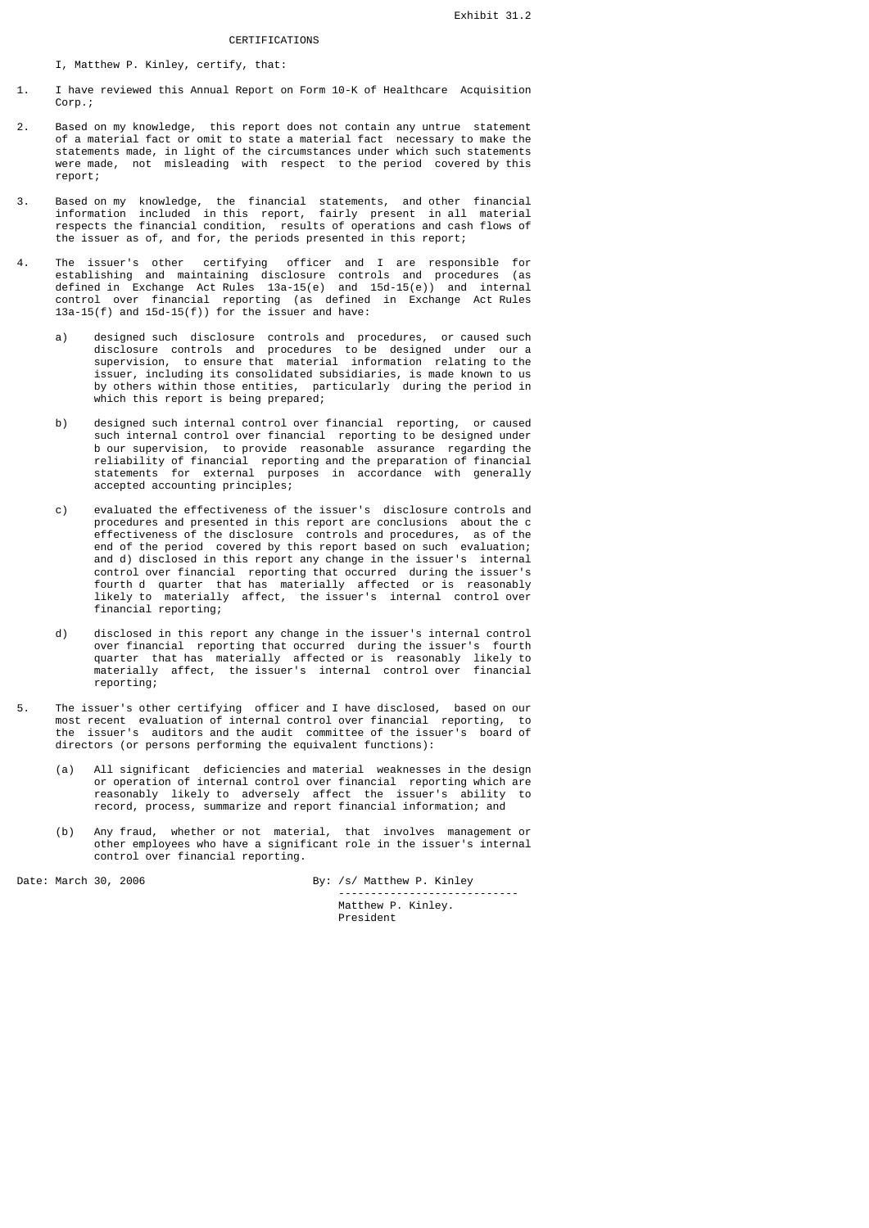# CERTIFICATIONS

I, Matthew P. Kinley, certify, that:

- 1. I have reviewed this Annual Report on Form 10-K of Healthcare Acquisition Corp.;
- 2. Based on my knowledge, this report does not contain any untrue statement of a material fact or omit to state a material fact necessary to make the statements made, in light of the circumstances under which such statements were made, not misleading with respect to the period covered by this report;
- 3. Based on my knowledge, the financial statements, and other financial information included in this report, fairly present in all material respects the financial condition, results of operations and cash flows of the issuer as of, and for, the periods presented in this report;
- 4. The issuer's other certifying officer and I are responsible for establishing and maintaining disclosure controls and procedures (as defined in Exchange Act Rules 13a-15(e) and 15d-15(e)) and internal control over financial reporting (as defined in Exchange Act Rules 13a-15(f) and 15d-15(f)) for the issuer and have:
- a) designed such disclosure controls and procedures, or caused such disclosure controls and procedures to be designed under our a supervision, to ensure that material information relating to the issuer, including its consolidated subsidiaries, is made known to us by others within those entities, particularly during the period in which this report is being prepared;
- b) designed such internal control over financial reporting, or caused such internal control over financial reporting to be designed under b our supervision, to provide reasonable assurance regarding the reliability of financial reporting and the preparation of financial statements for external purposes in accordance with generally accepted accounting principles;
	- c) evaluated the effectiveness of the issuer's disclosure controls and procedures and presented in this report are conclusions about the c effectiveness of the disclosure controls and procedures, as of the end of the period covered by this report based on such evaluation; and d) disclosed in this report any change in the issuer's internal control over financial reporting that occurred during the issuer's fourth d quarter that has materially affected or is reasonably likely to materially affect, the issuer's internal control over financial reporting;
	- d) disclosed in this report any change in the issuer's internal control over financial reporting that occurred during the issuer's fourth quarter that has materially affected or is reasonably likely to materially affect, the issuer's internal control over financial reporting;
- 5. The issuer's other certifying officer and I have disclosed, based on our most recent evaluation of internal control over financial reporting, to the issuer's auditors and the audit committee of the issuer's board of directors (or persons performing the equivalent functions):
- (a) All significant deficiencies and material weaknesses in the design or operation of internal control over financial reporting which are reasonably likely to adversely affect the issuer's ability to record, process, summarize and report financial information; and
	- (b) Any fraud, whether or not material, that involves management or other employees who have a significant role in the issuer's internal control over financial reporting.

Date: March 30, 2006 **By: /s/ Matthew P. Kinley** ----------------------------

> Matthew P. Kinley. President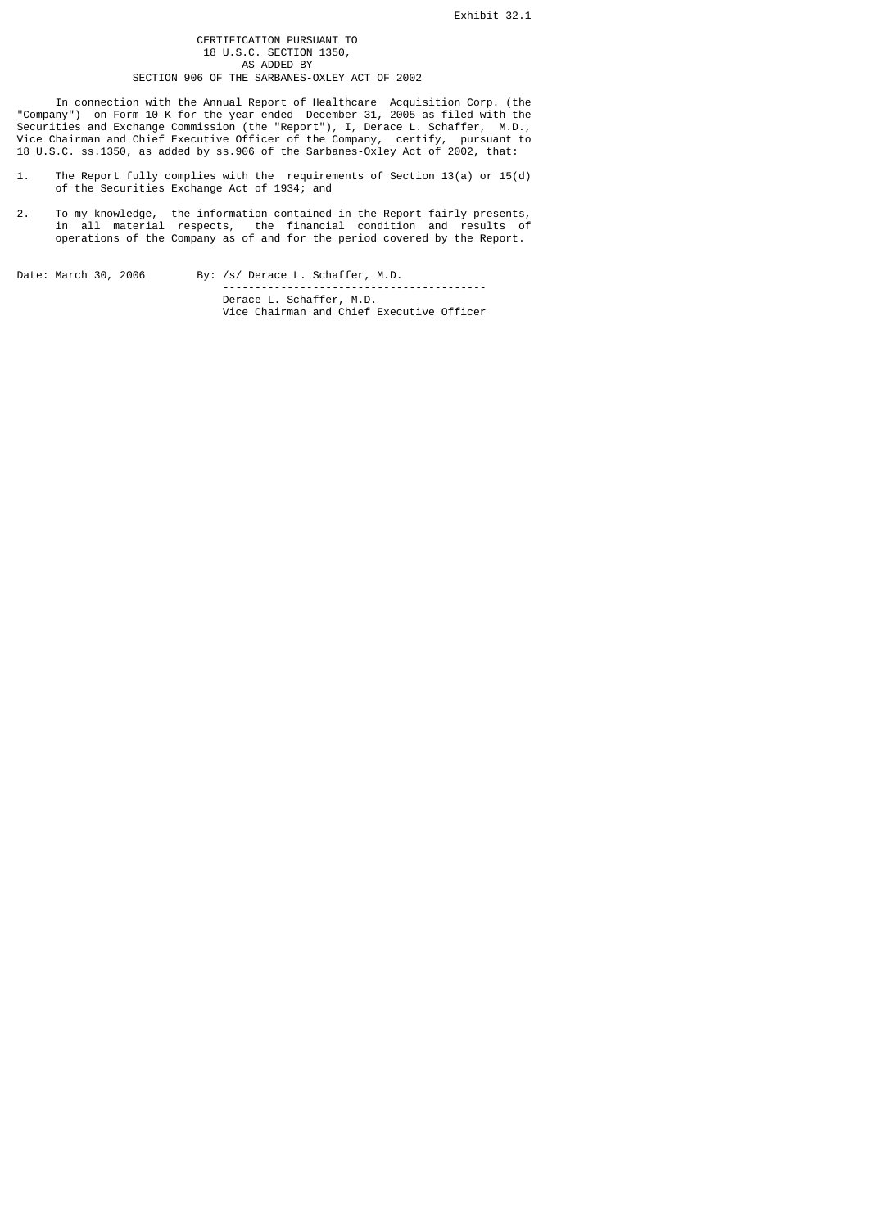## CERTIFICATION PURSUANT TO 18 U.S.C. SECTION 1350, AS ADDED BY SECTION 906 OF THE SARBANES-OXLEY ACT OF 2002

 In connection with the Annual Report of Healthcare Acquisition Corp. (the "Company") on Form 10-K for the year ended December 31, 2005 as filed with the Securities and Exchange Commission (the "Report"), I, Derace L. Schaffer, M.D., Vice Chairman and Chief Executive Officer of the Company, certify, pursuant to 18 U.S.C. ss.1350, as added by ss.906 of the Sarbanes-Oxley Act of 2002, that:

- 1. The Report fully complies with the requirements of Section 13(a) or 15(d) of the Securities Exchange Act of 1934; and
- 2. To my knowledge, the information contained in the Report fairly presents, in all material respects, the financial condition and results of operations of the Company as of and for the period covered by the Report.

Date: March 30, 2006 By: /s/ Derace L. Schaffer, M.D. ----------------------------------------- Derace L. Schaffer, M.D. Vice Chairman and Chief Executive Officer